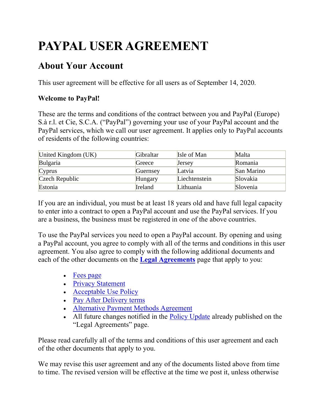# **PAYPAL USER AGREEMENT**

# **About Your Account**

This user agreement will be effective for all users as of September 14, 2020.

# **Welcome to PayPal!**

These are the terms and conditions of the contract between you and PayPal (Europe) S.à r.l. et Cie, S.C.A. ("PayPal") governing your use of your PayPal account and the PayPal services, which we call our user agreement. It applies only to PayPal accounts of residents of the following countries:

| United Kingdom (UK) | Gibraltar | Isle of Man   | Malta      |
|---------------------|-----------|---------------|------------|
| Bulgaria            | Greece    | Jersey        | Romania    |
| Cyprus              | Guernsey  | Latvia        | San Marino |
| Czech Republic      | Hungary   | Liechtenstein | Slovakia   |
| Estonia             | Ireland   | Lithuania     | Slovenia   |

If you are an individual, you must be at least 18 years old and have full legal capacity to enter into a contract to open a PayPal account and use the PayPal services. If you are a business, the business must be registered in one of the above countries.

To use the PayPal services you need to open a PayPal account. By opening and using a PayPal account, you agree to comply with all of the terms and conditions in this user agreement. You also agree to comply with the following additional documents and each of the other documents on the **[Legal Agreements](https://www.paypal.com/uk/webapps/mpp/ua/legalhub-full?locale.x=en_GB)** page that apply to you:

- [Fees page](#page-64-0)
- [Privacy Statement](https://www.paypal.com/uk/webapps/mpp/ua/privacy-full?locale.x=en_GB)
- [Acceptable Use Policy](https://www.paypal.com/uk/webapps/mpp/ua/acceptableuse-full?locale.x=en_GB)
- [Pay After Delivery terms](https://www.paypal.com/uk/webapps/mpp/pay-after-delivery-terms?locale.x=en_GB)
- [Alternative Payment Methods Agreement](https://www.paypal.com/uk/webapps/mpp/ua/apm-tnc?locale.x=en_GB)
- All future changes notified in the [Policy Update](https://www.paypal.com/uk/webapps/mpp/ua/upcoming-policies-full?locale.x=en_GB) already published on the "Legal Agreements" page.

Please read carefully all of the terms and conditions of this user agreement and each of the other documents that apply to you.

We may revise this user agreement and any of the documents listed above from time to time. The revised version will be effective at the time we post it, unless otherwise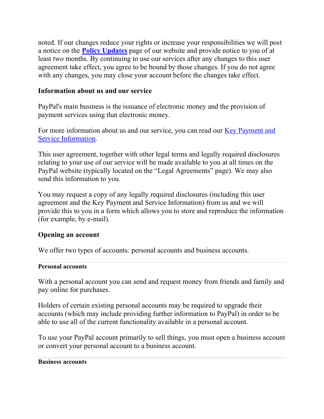noted. If our changes reduce your rights or increase your responsibilities we will post a notice on the **[Policy Updates](https://www.paypal.com/uk/webapps/mpp/ua/upcoming-policies-full?locale.x=en_GB)** page of our website and provide notice to you of at least two months. By continuing to use our services after any changes to this user agreement take effect, you agree to be bound by those changes. If you do not agree with any changes, you may close your account before the changes take effect.

# **Information about us and our service**

PayPal's main business is the issuance of electronic money and the provision of payment services using that electronic money.

For more information about us and our service, you can read our Key Payment and [Service Information.](https://www.paypal.com/uk/webapps/mpp/ua/servicedescription-full?locale.x=en_GB)

This user agreement, together with other legal terms and legally required disclosures relating to your use of our service will be made available to you at all times on the PayPal website (typically located on the "Legal Agreements" page). We may also send this information to you.

You may request a copy of any legally required disclosures (including this user agreement and the Key Payment and Service Information) from us and we will provide this to you in a form which allows you to store and reproduce the information (for example, by e-mail).

# **Opening an account**

We offer two types of accounts: personal accounts and business accounts.

#### **Personal accounts**

With a personal account you can send and request money from friends and family and pay online for purchases.

Holders of certain existing personal accounts may be required to upgrade their accounts (which may include providing further information to PayPal) in order to be able to use all of the current functionality available in a personal account.

To use your PayPal account primarily to sell things, you must open a business account or convert your personal account to a business account.

#### **Business accounts**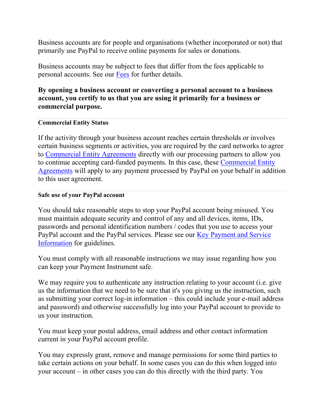Business accounts are for people and organisations (whether incorporated or not) that primarily use PayPal to receive online payments for sales or donations.

Business accounts may be subject to fees that differ from the fees applicable to personal accounts. See our [Fees](#page-64-0) for further details.

# **By opening a business account or converting a personal account to a business account, you certify to us that you are using it primarily for a business or commercial purpose.**

#### **Commercial Entity Status**

If the activity through your business account reaches certain thresholds or involves certain business segments or activities, you are required by the card networks to agree to [Commercial Entity Agreements](https://www.paypal.com/uk/webapps/mpp/ua/ceagreement-full?locale.x=en_GB) directly with our processing partners to allow you to continue accepting card-funded payments. In this case, these [Commercial Entity](https://www.paypal.com/uk/webapps/mpp/ua/ceagreement-full?locale.x=en_GB)  [Agreements](https://www.paypal.com/uk/webapps/mpp/ua/ceagreement-full?locale.x=en_GB) will apply to any payment processed by PayPal on your behalf in addition to this user agreement.

#### **Safe use of your PayPal account**

You should take reasonable steps to stop your PayPal account being misused. You must maintain adequate security and control of any and all devices, items, IDs, passwords and personal identification numbers / codes that you use to access your PayPal account and the PayPal services. Please see our Key Payment and Service [Information](https://www.paypal.com/uk/webapps/mpp/ua/servicedescription-full?locale.x=en_GB) for guidelines.

You must comply with all reasonable instructions we may issue regarding how you can keep your Payment Instrument safe.

We may require you to authenticate any instruction relating to your account (i.e. give us the information that we need to be sure that it's you giving us the instruction, such as submitting your correct log-in information – this could include your e-mail address and password) and otherwise successfully log into your PayPal account to provide to us your instruction.

You must keep your postal address, email address and other contact information current in your PayPal account profile.

You may expressly grant, remove and manage permissions for some third parties to take certain actions on your behalf. In some cases you can do this when logged into your account – in other cases you can do this directly with the third party. You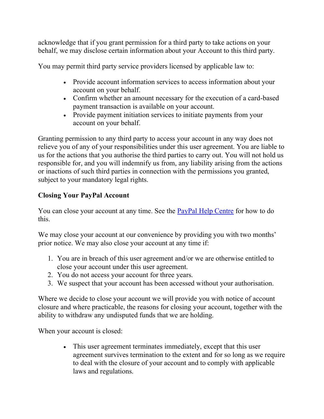acknowledge that if you grant permission for a third party to take actions on your behalf, we may disclose certain information about your Account to this third party.

You may permit third party service providers licensed by applicable law to:

- Provide account information services to access information about your account on your behalf.
- Confirm whether an amount necessary for the execution of a card-based payment transaction is available on your account.
- Provide payment initiation services to initiate payments from your account on your behalf.

Granting permission to any third party to access your account in any way does not relieve you of any of your responsibilities under this user agreement. You are liable to us for the actions that you authorise the third parties to carry out. You will not hold us responsible for, and you will indemnify us from, any liability arising from the actions or inactions of such third parties in connection with the permissions you granted, subject to your mandatory legal rights.

# **Closing Your PayPal Account**

You can close your account at any time. See the [PayPal Help Centre](https://www.paypal.com/uk/selfhelp/home?locale.x=en_GB) for how to do this.

We may close your account at our convenience by providing you with two months' prior notice. We may also close your account at any time if:

- 1. You are in breach of this user agreement and/or we are otherwise entitled to close your account under this user agreement.
- 2. You do not access your account for three years.
- 3. We suspect that your account has been accessed without your authorisation.

Where we decide to close your account we will provide you with notice of account closure and where practicable, the reasons for closing your account, together with the ability to withdraw any undisputed funds that we are holding.

When your account is closed:

• This user agreement terminates immediately, except that this user agreement survives termination to the extent and for so long as we require to deal with the closure of your account and to comply with applicable laws and regulations.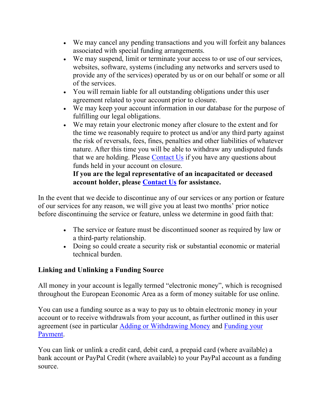- We may cancel any pending transactions and you will forfeit any balances associated with special funding arrangements.
- We may suspend, limit or terminate your access to or use of our services, websites, software, systems (including any networks and servers used to provide any of the services) operated by us or on our behalf or some or all of the services.
- You will remain liable for all outstanding obligations under this user agreement related to your account prior to closure.
- We may keep your account information in our database for the purpose of fulfilling our legal obligations.
- We may retain your electronic money after closure to the extent and for the time we reasonably require to protect us and/or any third party against the risk of reversals, fees, fines, penalties and other liabilities of whatever nature. After this time you will be able to withdraw any undisputed funds that we are holding. Please [Contact Us](https://www.paypal.com/uk/selfhelp/home?locale.x=en_GB) if you have any questions about funds held in your account on closure.

# **If you are the legal representative of an incapacitated or deceased account holder, please [Contact Us](https://www.paypal.com/uk/selfhelp/home?locale.x=en_GB) for assistance.**

In the event that we decide to discontinue any of our services or any portion or feature of our services for any reason, we will give you at least two months' prior notice before discontinuing the service or feature, unless we determine in good faith that:

- The service or feature must be discontinued sooner as required by law or a third-party relationship.
- Doing so could create a security risk or substantial economic or material technical burden.

# **Linking and Unlinking a Funding Source**

All money in your account is legally termed "electronic money", which is recognised throughout the European Economic Area as a form of money suitable for use online.

You can use a funding source as a way to pay us to obtain electronic money in your account or to receive withdrawals from your account, as further outlined in this user agreement (see in particular [Adding or Withdrawing Money](#page-7-0) and [Funding your](#page-19-0)  [Payment.](#page-19-0)

You can link or unlink a credit card, debit card, a prepaid card (where available) a bank account or PayPal Credit (where available) to your PayPal account as a funding source.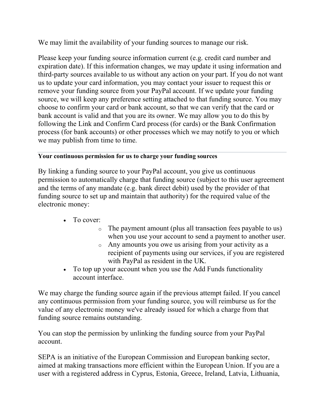We may limit the availability of your funding sources to manage our risk.

Please keep your funding source information current (e.g. credit card number and expiration date). If this information changes, we may update it using information and third-party sources available to us without any action on your part. If you do not want us to update your card information, you may contact your issuer to request this or remove your funding source from your PayPal account. If we update your funding source, we will keep any preference setting attached to that funding source. You may choose to confirm your card or bank account, so that we can verify that the card or bank account is valid and that you are its owner. We may allow you to do this by following the Link and Confirm Card process (for cards) or the Bank Confirmation process (for bank accounts) or other processes which we may notify to you or which we may publish from time to time.

# **Your continuous permission for us to charge your funding sources**

By linking a funding source to your PayPal account, you give us continuous permission to automatically charge that funding source (subject to this user agreement and the terms of any mandate (e.g. bank direct debit) used by the provider of that funding source to set up and maintain that authority) for the required value of the electronic money:

- To cover:
	- o The payment amount (plus all transaction fees payable to us) when you use your account to send a payment to another user.
	- o Any amounts you owe us arising from your activity as a recipient of payments using our services, if you are registered with PayPal as resident in the UK.
- To top up your account when you use the Add Funds functionality account interface.

We may charge the funding source again if the previous attempt failed. If you cancel any continuous permission from your funding source, you will reimburse us for the value of any electronic money we've already issued for which a charge from that funding source remains outstanding.

You can stop the permission by unlinking the funding source from your PayPal account.

SEPA is an initiative of the European Commission and European banking sector, aimed at making transactions more efficient within the European Union. If you are a user with a registered address in Cyprus, Estonia, Greece, Ireland, Latvia, Lithuania,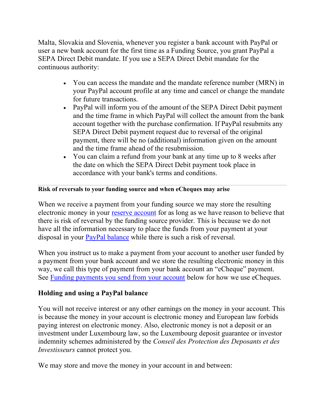Malta, Slovakia and Slovenia, whenever you register a bank account with PayPal or user a new bank account for the first time as a Funding Source, you grant PayPal a SEPA Direct Debit mandate. If you use a SEPA Direct Debit mandate for the continuous authority:

- You can access the mandate and the mandate reference number (MRN) in your PayPal account profile at any time and cancel or change the mandate for future transactions.
- PayPal will inform you of the amount of the SEPA Direct Debit payment and the time frame in which PayPal will collect the amount from the bank account together with the purchase confirmation. If PayPal resubmits any SEPA Direct Debit payment request due to reversal of the original payment, there will be no (additional) information given on the amount and the time frame ahead of the resubmission.
- You can claim a refund from your bank at any time up to 8 weeks after the date on which the SEPA Direct Debit payment took place in accordance with your bank's terms and conditions.

## **Risk of reversals to your funding source and when eCheques may arise**

When we receive a payment from your funding source we may store the resulting electronic money in your [reserve account](#page-43-0) for as long as we have reason to believe that there is risk of reversal by the funding source provider. This is because we do not have all the information necessary to place the funds from your payment at your disposal in your [PayPal balance](#page-6-0) while there is such a risk of reversal.

When you instruct us to make a payment from your account to another user funded by a payment from your bank account and we store the resulting electronic money in this way, we call this type of payment from your bank account an "eCheque" payment. See [Funding payments you send from your account](#page-19-0) below for how we use eCheques.

# <span id="page-6-0"></span>**Holding and using a PayPal balance**

You will not receive interest or any other earnings on the money in your account. This is because the money in your account is electronic money and European law forbids paying interest on electronic money. Also, electronic money is not a deposit or an investment under Luxembourg law, so the Luxembourg deposit guarantee or investor indemnity schemes administered by the *Conseil des Protection des Deposants et des Investisseurs* cannot protect you.

We may store and move the money in your account in and between: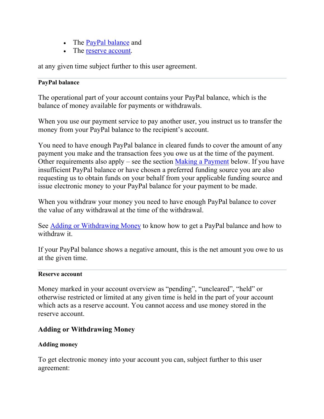- The [PayPal balance](#page-6-0) and
- The [reserve account.](#page-43-0)

at any given time subject further to this user agreement.

## **PayPal balance**

The operational part of your account contains your PayPal balance, which is the balance of money available for payments or withdrawals.

When you use our payment service to pay another user, you instruct us to transfer the money from your PayPal balance to the recipient's account.

You need to have enough PayPal balance in cleared funds to cover the amount of any payment you make and the transaction fees you owe us at the time of the payment. Other requirements also apply – see the section [Making a Payment](#page-14-0) below. If you have insufficient PayPal balance or have chosen a preferred funding source you are also requesting us to obtain funds on your behalf from your applicable funding source and issue electronic money to your PayPal balance for your payment to be made.

When you withdraw your money you need to have enough PayPal balance to cover the value of any withdrawal at the time of the withdrawal.

See [Adding or Withdrawing Money](#page-7-0) to know how to get a PayPal balance and how to withdraw it.

If your PayPal balance shows a negative amount, this is the net amount you owe to us at the given time.

#### **Reserve account**

Money marked in your account overview as "pending", "uncleared", "held" or otherwise restricted or limited at any given time is held in the part of your account which acts as a reserve account. You cannot access and use money stored in the reserve account.

# <span id="page-7-0"></span>**Adding or Withdrawing Money**

## **Adding money**

To get electronic money into your account you can, subject further to this user agreement: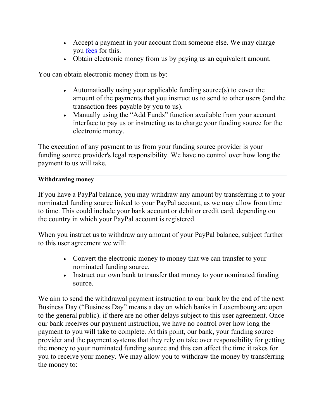- Accept a payment in your account from someone else. We may charge you [fees](#page-64-0) for this.
- Obtain electronic money from us by paying us an equivalent amount.

You can obtain electronic money from us by:

- Automatically using your applicable funding source(s) to cover the amount of the payments that you instruct us to send to other users (and the transaction fees payable by you to us).
- Manually using the "Add Funds" function available from your account interface to pay us or instructing us to charge your funding source for the electronic money.

The execution of any payment to us from your funding source provider is your funding source provider's legal responsibility. We have no control over how long the payment to us will take.

#### **Withdrawing money**

If you have a PayPal balance, you may withdraw any amount by transferring it to your nominated funding source linked to your PayPal account, as we may allow from time to time. This could include your bank account or debit or credit card, depending on the country in which your PayPal account is registered.

When you instruct us to withdraw any amount of your PayPal balance, subject further to this user agreement we will:

- Convert the electronic money to money that we can transfer to your nominated funding source.
- Instruct our own bank to transfer that money to your nominated funding source.

We aim to send the withdrawal payment instruction to our bank by the end of the next Business Day ("Business Day" means a day on which banks in Luxembourg are open to the general public). if there are no other delays subject to this user agreement. Once our bank receives our payment instruction, we have no control over how long the payment to you will take to complete. At this point, our bank, your funding source provider and the payment systems that they rely on take over responsibility for getting the money to your nominated funding source and this can affect the time it takes for you to receive your money. We may allow you to withdraw the money by transferring the money to: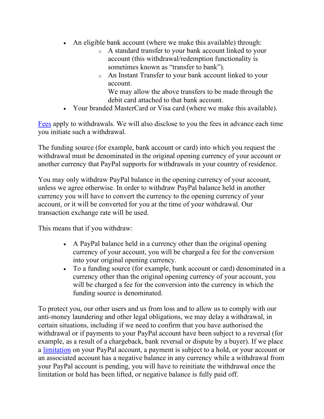- An eligible bank account (where we make this available) through:
	- o A standard transfer to your bank account linked to your account (this withdrawal/redemption functionality is sometimes known as "transfer to bank").
	- o An Instant Transfer to your bank account linked to your account.

We may allow the above transfers to be made through the debit card attached to that bank account.

• Your branded MasterCard or Visa card (where we make this available).

[Fees](#page-64-0) apply to withdrawals. We will also disclose to you the fees in advance each time you initiate such a withdrawal.

The funding source (for example, bank account or card) into which you request the withdrawal must be denominated in the original opening currency of your account or another currency that PayPal supports for withdrawals in your country of residence.

You may only withdraw PayPal balance in the opening currency of your account, unless we agree otherwise. In order to withdraw PayPal balance held in another currency you will have to convert the currency to the opening currency of your account, or it will be converted for you at the time of your withdrawal. Our transaction exchange rate will be used.

This means that if you withdraw:

- A PayPal balance held in a currency other than the original opening currency of your account, you will be charged a fee for the conversion into your original opening currency.
- To a funding source (for example, bank account or card) denominated in a currency other than the original opening currency of your account, you will be charged a fee for the conversion into the currency in which the funding source is denominated.

To protect you, our other users and us from loss and to allow us to comply with our anti-money laundering and other legal obligations, we may delay a withdrawal, in certain situations, including if we need to confirm that you have authorised the withdrawal or if payments to your PayPal account have been subject to a reversal (for example, as a result of a chargeback, bank reversal or dispute by a buyer). If we place a [limitation](#page-43-0) on your PayPal account, a payment is subject to a hold, or your account or an associated account has a negative balance in any currency while a withdrawal from your PayPal account is pending, you will have to reinitiate the withdrawal once the limitation or hold has been lifted, or negative balance is fully paid off.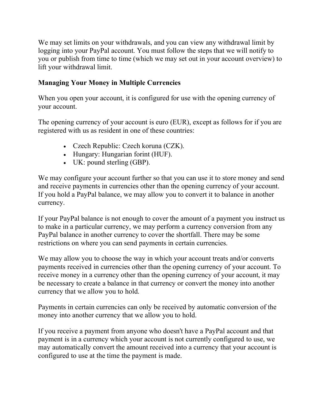We may set limits on your withdrawals, and you can view any withdrawal limit by logging into your PayPal account. You must follow the steps that we will notify to you or publish from time to time (which we may set out in your account overview) to lift your withdrawal limit.

# <span id="page-10-0"></span>**Managing Your Money in Multiple Currencies**

When you open your account, it is configured for use with the opening currency of your account.

The opening currency of your account is euro (EUR), except as follows for if you are registered with us as resident in one of these countries:

- Czech Republic: Czech koruna (CZK).
- Hungary: Hungarian forint (HUF).
- UK: pound sterling (GBP).

We may configure your account further so that you can use it to store money and send and receive payments in currencies other than the opening currency of your account. If you hold a PayPal balance, we may allow you to convert it to balance in another currency.

If your PayPal balance is not enough to cover the amount of a payment you instruct us to make in a particular currency, we may perform a currency conversion from any PayPal balance in another currency to cover the shortfall. There may be some restrictions on where you can send payments in certain currencies.

We may allow you to choose the way in which your account treats and/or converts payments received in currencies other than the opening currency of your account. To receive money in a currency other than the opening currency of your account, it may be necessary to create a balance in that currency or convert the money into another currency that we allow you to hold.

Payments in certain currencies can only be received by automatic conversion of the money into another currency that we allow you to hold.

If you receive a payment from anyone who doesn't have a PayPal account and that payment is in a currency which your account is not currently configured to use, we may automatically convert the amount received into a currency that your account is configured to use at the time the payment is made.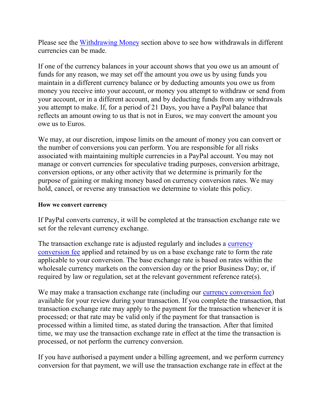Please see the [Withdrawing Money](#page-7-0) section above to see how withdrawals in different currencies can be made.

If one of the currency balances in your account shows that you owe us an amount of funds for any reason, we may set off the amount you owe us by using funds you maintain in a different currency balance or by deducting amounts you owe us from money you receive into your account, or money you attempt to withdraw or send from your account, or in a different account, and by deducting funds from any withdrawals you attempt to make. If, for a period of 21 Days, you have a PayPal balance that reflects an amount owing to us that is not in Euros, we may convert the amount you owe us to Euros.

We may, at our discretion, impose limits on the amount of money you can convert or the number of conversions you can perform. You are responsible for all risks associated with maintaining multiple currencies in a PayPal account. You may not manage or convert currencies for speculative trading purposes, conversion arbitrage, conversion options, or any other activity that we determine is primarily for the purpose of gaining or making money based on currency conversion rates. We may hold, cancel, or reverse any transaction we determine to violate this policy.

#### **How we convert currency**

If PayPal converts currency, it will be completed at the transaction exchange rate we set for the relevant currency exchange.

The transaction exchange rate is adjusted regularly and includes a currency [conversion fee](#page-10-0) applied and retained by us on a base exchange rate to form the rate applicable to your conversion. The base exchange rate is based on rates within the wholesale currency markets on the conversion day or the prior Business Day; or, if required by law or regulation, set at the relevant government reference rate(s).

We may make a transaction exchange rate (including our [currency conversion fee\)](#page-10-0) available for your review during your transaction. If you complete the transaction, that transaction exchange rate may apply to the payment for the transaction whenever it is processed; or that rate may be valid only if the payment for that transaction is processed within a limited time, as stated during the transaction. After that limited time, we may use the transaction exchange rate in effect at the time the transaction is processed, or not perform the currency conversion.

If you have authorised a payment under a billing agreement, and we perform currency conversion for that payment, we will use the transaction exchange rate in effect at the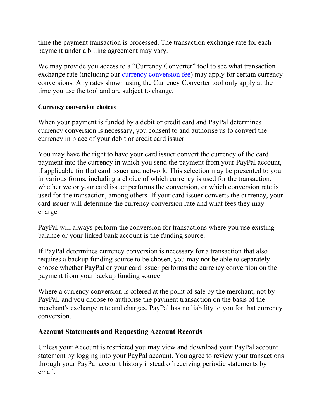time the payment transaction is processed. The transaction exchange rate for each payment under a billing agreement may vary.

We may provide you access to a "Currency Converter" tool to see what transaction exchange rate (including our [currency conversion fee\)](#page-10-0) may apply for certain currency conversions. Any rates shown using the Currency Converter tool only apply at the time you use the tool and are subject to change.

#### **Currency conversion choices**

When your payment is funded by a debit or credit card and PayPal determines currency conversion is necessary, you consent to and authorise us to convert the currency in place of your debit or credit card issuer.

You may have the right to have your card issuer convert the currency of the card payment into the currency in which you send the payment from your PayPal account, if applicable for that card issuer and network. This selection may be presented to you in various forms, including a choice of which currency is used for the transaction, whether we or your card issuer performs the conversion, or which conversion rate is used for the transaction, among others. If your card issuer converts the currency, your card issuer will determine the currency conversion rate and what fees they may charge.

PayPal will always perform the conversion for transactions where you use existing balance or your linked bank account is the funding source.

If PayPal determines currency conversion is necessary for a transaction that also requires a backup funding source to be chosen, you may not be able to separately choose whether PayPal or your card issuer performs the currency conversion on the payment from your backup funding source.

Where a currency conversion is offered at the point of sale by the merchant, not by PayPal, and you choose to authorise the payment transaction on the basis of the merchant's exchange rate and charges, PayPal has no liability to you for that currency conversion.

## **Account Statements and Requesting Account Records**

Unless your Account is restricted you may view and download your PayPal account statement by logging into your PayPal account. You agree to review your transactions through your PayPal account history instead of receiving periodic statements by email.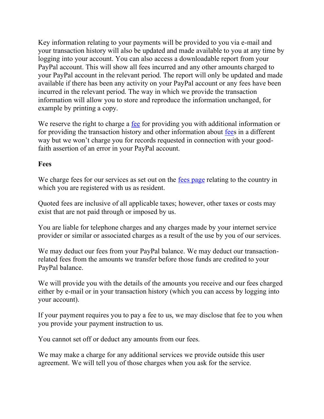Key information relating to your payments will be provided to you via e-mail and your transaction history will also be updated and made available to you at any time by logging into your account. You can also access a downloadable report from your PayPal account. This will show all fees incurred and any other amounts charged to your PayPal account in the relevant period. The report will only be updated and made available if there has been any activity on your PayPal account or any fees have been incurred in the relevant period. The way in which we provide the transaction information will allow you to store and reproduce the information unchanged, for example by printing a copy.

We reserve the right to charge a [fee](#page-64-0) for providing you with additional information or for providing the transaction history and other information about [fees](#page-64-0) in a different way but we won't charge you for records requested in connection with your goodfaith assertion of an error in your PayPal account.

## **Fees**

We charge fees for our services as set out on the [fees page](#page-64-0) relating to the country in which you are registered with us as resident.

Quoted fees are inclusive of all applicable taxes; however, other taxes or costs may exist that are not paid through or imposed by us.

You are liable for telephone charges and any charges made by your internet service provider or similar or associated charges as a result of the use by you of our services.

We may deduct our fees from your PayPal balance. We may deduct our transactionrelated fees from the amounts we transfer before those funds are credited to your PayPal balance.

We will provide you with the details of the amounts you receive and our fees charged either by e-mail or in your transaction history (which you can access by logging into your account).

If your payment requires you to pay a fee to us, we may disclose that fee to you when you provide your payment instruction to us.

You cannot set off or deduct any amounts from our fees.

We may make a charge for any additional services we provide outside this user agreement. We will tell you of those charges when you ask for the service.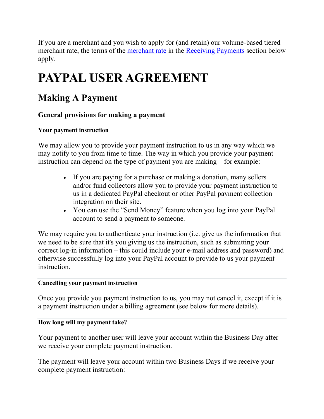If you are a merchant and you wish to apply for (and retain) our volume-based tiered merchant rate, the terms of the [merchant rate](#page-36-0) in the [Receiving Payments](#page-25-0) section below apply.

# **PAYPAL USER AGREEMENT**

# <span id="page-14-0"></span>**Making A Payment**

# **General provisions for making a payment**

# **Your payment instruction**

We may allow you to provide your payment instruction to us in any way which we may notify to you from time to time. The way in which you provide your payment instruction can depend on the type of payment you are making – for example:

- If you are paying for a purchase or making a donation, many sellers and/or fund collectors allow you to provide your payment instruction to us in a dedicated PayPal checkout or other PayPal payment collection integration on their site.
- You can use the "Send Money" feature when you log into your PayPal account to send a payment to someone.

We may require you to authenticate your instruction (i.e. give us the information that we need to be sure that it's you giving us the instruction, such as submitting your correct log-in information – this could include your e-mail address and password) and otherwise successfully log into your PayPal account to provide to us your payment instruction.

## **Cancelling your payment instruction**

Once you provide you payment instruction to us, you may not cancel it, except if it is a payment instruction under a billing agreement (see below for more details).

## **How long will my payment take?**

Your payment to another user will leave your account within the Business Day after we receive your complete payment instruction.

The payment will leave your account within two Business Days if we receive your complete payment instruction: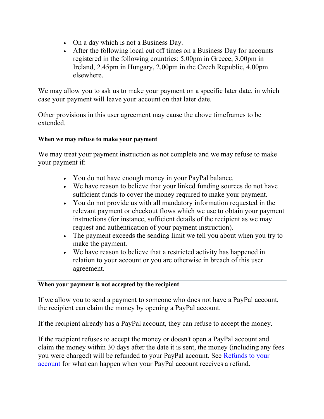- On a day which is not a Business Day.
- After the following local cut off times on a Business Day for accounts registered in the following countries: 5.00pm in Greece, 3.00pm in Ireland, 2.45pm in Hungary, 2.00pm in the Czech Republic, 4.00pm elsewhere.

We may allow you to ask us to make your payment on a specific later date, in which case your payment will leave your account on that later date.

Other provisions in this user agreement may cause the above timeframes to be extended.

## **When we may refuse to make your payment**

We may treat your payment instruction as not complete and we may refuse to make your payment if:

- You do not have enough money in your PayPal balance.
- We have reason to believe that your linked funding sources do not have sufficient funds to cover the money required to make your payment.
- You do not provide us with all mandatory information requested in the relevant payment or checkout flows which we use to obtain your payment instructions (for instance, sufficient details of the recipient as we may request and authentication of your payment instruction).
- The payment exceeds the sending limit we tell you about when you try to make the payment.
- We have reason to believe that a restricted activity has happened in relation to your account or you are otherwise in breach of this user agreement.

#### **When your payment is not accepted by the recipient**

If we allow you to send a payment to someone who does not have a PayPal account, the recipient can claim the money by opening a PayPal account.

If the recipient already has a PayPal account, they can refuse to accept the money.

If the recipient refuses to accept the money or doesn't open a PayPal account and claim the money within 30 days after the date it is sent, the money (including any fees you were charged) will be refunded to your PayPal account. See [Refunds to your](#page-17-0)  [account](#page-17-0) for what can happen when your PayPal account receives a refund.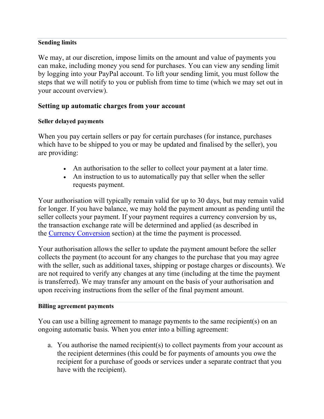#### **Sending limits**

We may, at our discretion, impose limits on the amount and value of payments you can make, including money you send for purchases. You can view any sending limit by logging into your PayPal account. To lift your sending limit, you must follow the steps that we will notify to you or publish from time to time (which we may set out in your account overview).

# **Setting up automatic charges from your account**

## **Seller delayed payments**

When you pay certain sellers or pay for certain purchases (for instance, purchases which have to be shipped to you or may be updated and finalised by the seller), you are providing:

- An authorisation to the seller to collect your payment at a later time.
- An instruction to us to automatically pay that seller when the seller requests payment.

Your authorisation will typically remain valid for up to 30 days, but may remain valid for longer. If you have balance, we may hold the payment amount as pending until the seller collects your payment. If your payment requires a currency conversion by us, the transaction exchange rate will be determined and applied (as described in the [Currency Conversion](#page-10-0) section) at the time the payment is processed.

Your authorisation allows the seller to update the payment amount before the seller collects the payment (to account for any changes to the purchase that you may agree with the seller, such as additional taxes, shipping or postage charges or discounts). We are not required to verify any changes at any time (including at the time the payment is transferred). We may transfer any amount on the basis of your authorisation and upon receiving instructions from the seller of the final payment amount.

#### **Billing agreement payments**

You can use a billing agreement to manage payments to the same recipient(s) on an ongoing automatic basis. When you enter into a billing agreement:

a. You authorise the named recipient(s) to collect payments from your account as the recipient determines (this could be for payments of amounts you owe the recipient for a purchase of goods or services under a separate contract that you have with the recipient).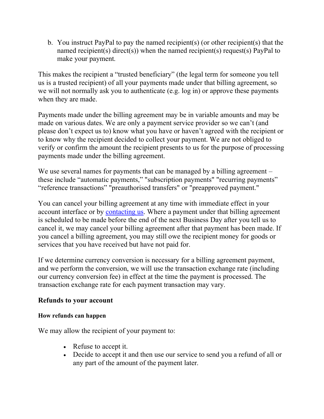b. You instruct PayPal to pay the named recipient(s) (or other recipient(s) that the named recipient(s) direct(s)) when the named recipient(s) request(s) PayPal to make your payment.

This makes the recipient a "trusted beneficiary" (the legal term for someone you tell us is a trusted recipient) of all your payments made under that billing agreement, so we will not normally ask you to authenticate (e.g. log in) or approve these payments when they are made.

Payments made under the billing agreement may be in variable amounts and may be made on various dates. We are only a payment service provider so we can't (and please don't expect us to) know what you have or haven't agreed with the recipient or to know why the recipient decided to collect your payment. We are not obliged to verify or confirm the amount the recipient presents to us for the purpose of processing payments made under the billing agreement.

We use several names for payments that can be managed by a billing agreement – these include "automatic payments," "subscription payments" "recurring payments" "reference transactions" "preauthorised transfers" or "preapproved payment."

You can cancel your billing agreement at any time with immediate effect in your account interface or by [contacting us.](https://www.paypal.com/uk/selfhelp/home?locale.x=en_GB) Where a payment under that billing agreement is scheduled to be made before the end of the next Business Day after you tell us to cancel it, we may cancel your billing agreement after that payment has been made. If you cancel a billing agreement, you may still owe the recipient money for goods or services that you have received but have not paid for.

If we determine currency conversion is necessary for a billing agreement payment, and we perform the conversion, we will use the transaction exchange rate (including our currency conversion fee) in effect at the time the payment is processed. The transaction exchange rate for each payment transaction may vary.

## <span id="page-17-0"></span>**Refunds to your account**

## **How refunds can happen**

We may allow the recipient of your payment to:

- Refuse to accept it.
- Decide to accept it and then use our service to send you a refund of all or any part of the amount of the payment later.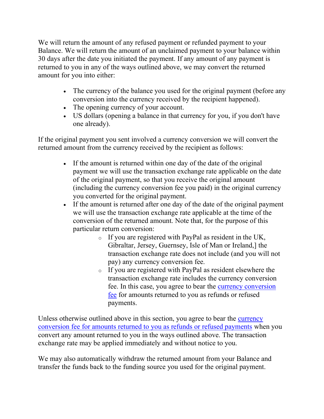We will return the amount of any refused payment or refunded payment to your Balance. We will return the amount of an unclaimed payment to your balance within 30 days after the date you initiated the payment. If any amount of any payment is returned to you in any of the ways outlined above, we may convert the returned amount for you into either:

- The currency of the balance you used for the original payment (before any conversion into the currency received by the recipient happened).
- The opening currency of your account.
- US dollars (opening a balance in that currency for you, if you don't have one already).

If the original payment you sent involved a currency conversion we will convert the returned amount from the currency received by the recipient as follows:

- If the amount is returned within one day of the date of the original payment we will use the transaction exchange rate applicable on the date of the original payment, so that you receive the original amount (including the currency conversion fee you paid) in the original currency you converted for the original payment.
- If the amount is returned after one day of the date of the original payment we will use the transaction exchange rate applicable at the time of the conversion of the returned amount. Note that, for the purpose of this particular return conversion:
	- o If you are registered with PayPal as resident in the UK, Gibraltar, Jersey, Guernsey, Isle of Man or Ireland,] the transaction exchange rate does not include (and you will not pay) any currency conversion fee.
	- o If you are registered with PayPal as resident elsewhere the transaction exchange rate includes the currency conversion fee. In this case, you agree to bear the [currency conversion](#page-10-0)  [fee](#page-10-0) for amounts returned to you as refunds or refused payments.

Unless otherwise outlined above in this section, you agree to bear the currency [conversion fee for amounts returned to you as refunds or refused payments](#page-10-0) when you convert any amount returned to you in the ways outlined above. The transaction exchange rate may be applied immediately and without notice to you.

We may also automatically withdraw the returned amount from your Balance and transfer the funds back to the funding source you used for the original payment.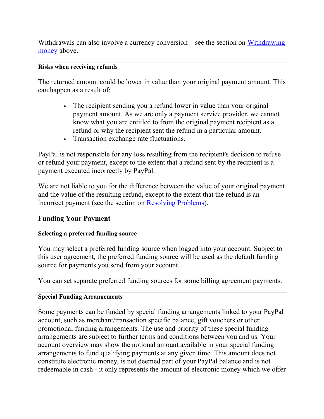Withdrawals can also involve a currency conversion – see the section on Withdrawing [money](#page-7-0) above.

#### **Risks when receiving refunds**

The returned amount could be lower in value than your original payment amount. This can happen as a result of:

- The recipient sending you a refund lower in value than your original payment amount. As we are only a payment service provider, we cannot know what you are entitled to from the original payment recipient as a refund or why the recipient sent the refund in a particular amount.
- Transaction exchange rate fluctuations.

PayPal is not responsible for any loss resulting from the recipient's decision to refuse or refund your payment, except to the extent that a refund sent by the recipient is a payment executed incorrectly by PayPal.

We are not liable to you for the difference between the value of your original payment and the value of the resulting refund, except to the extent that the refund is an incorrect payment (see the section on [Resolving Problems\)](#page-47-0).

# <span id="page-19-0"></span>**Funding Your Payment**

## **Selecting a preferred funding source**

You may select a preferred funding source when logged into your account. Subject to this user agreement, the preferred funding source will be used as the default funding source for payments you send from your account.

You can set separate preferred funding sources for some billing agreement payments.

## **Special Funding Arrangements**

Some payments can be funded by special funding arrangements linked to your PayPal account, such as merchant/transaction specific balance, gift vouchers or other promotional funding arrangements. The use and priority of these special funding arrangements are subject to further terms and conditions between you and us. Your account overview may show the notional amount available in your special funding arrangements to fund qualifying payments at any given time. This amount does not constitute electronic money, is not deemed part of your PayPal balance and is not redeemable in cash - it only represents the amount of electronic money which we offer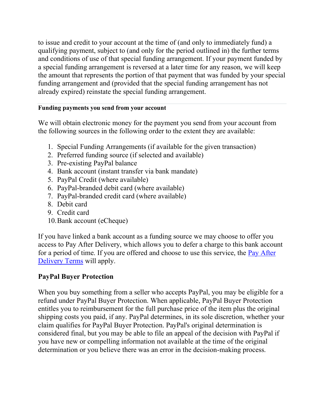to issue and credit to your account at the time of (and only to immediately fund) a qualifying payment, subject to (and only for the period outlined in) the further terms and conditions of use of that special funding arrangement. If your payment funded by a special funding arrangement is reversed at a later time for any reason, we will keep the amount that represents the portion of that payment that was funded by your special funding arrangement and (provided that the special funding arrangement has not already expired) reinstate the special funding arrangement.

# **Funding payments you send from your account**

We will obtain electronic money for the payment you send from your account from the following sources in the following order to the extent they are available:

- 1. Special Funding Arrangements (if available for the given transaction)
- 2. Preferred funding source (if selected and available)
- 3. Pre-existing PayPal balance
- 4. Bank account (instant transfer via bank mandate)
- 5. PayPal Credit (where available)
- 6. PayPal-branded debit card (where available)
- 7. PayPal-branded credit card (where available)
- 8. Debit card
- 9. Credit card
- 10.Bank account (eCheque)

If you have linked a bank account as a funding source we may choose to offer you access to Pay After Delivery, which allows you to defer a charge to this bank account for a period of time. If you are offered and choose to use this service, the Pay After [Delivery Terms](https://www.paypal.com/uk/webapps/mpp/pay-after-delivery-terms?locale.x=en_GB) will apply.

# <span id="page-20-0"></span>**PayPal Buyer Protection**

When you buy something from a seller who accepts PayPal, you may be eligible for a refund under PayPal Buyer Protection. When applicable, PayPal Buyer Protection entitles you to reimbursement for the full purchase price of the item plus the original shipping costs you paid, if any. PayPal determines, in its sole discretion, whether your claim qualifies for PayPal Buyer Protection. PayPal's original determination is considered final, but you may be able to file an appeal of the decision with PayPal if you have new or compelling information not available at the time of the original determination or you believe there was an error in the decision-making process.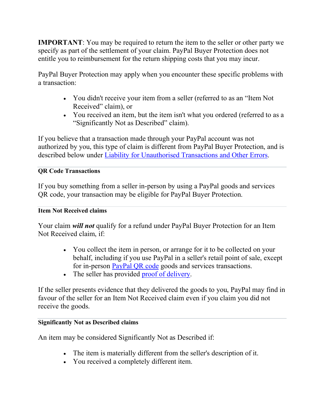**IMPORTANT**: You may be required to return the item to the seller or other party we specify as part of the settlement of your claim. PayPal Buyer Protection does not entitle you to reimbursement for the return shipping costs that you may incur.

PayPal Buyer Protection may apply when you encounter these specific problems with a transaction:

- You didn't receive your item from a seller (referred to as an "Item Not Received" claim), or
- You received an item, but the item isn't what you ordered (referred to as a "Significantly Not as Described" claim).

If you believe that a transaction made through your PayPal account was not authorized by you, this type of claim is different from PayPal Buyer Protection, and is described below under Liability for Unauthorised Transactions and Other Errors.

## <span id="page-21-0"></span>**QR Code Transactions**

If you buy something from a seller in-person by using a PayPal goods and services QR code, your transaction may be eligible for PayPal Buyer Protection.

## <span id="page-21-1"></span>**Item Not Received claims**

Your claim *will not* qualify for a refund under PayPal Buyer Protection for an Item Not Received claim, if:

- You collect the item in person, or arrange for it to be collected on your behalf, including if you use PayPal in a seller's retail point of sale, except for in-person [PayPal QR code](#page-21-0) goods and services transactions.
- The seller has provided [proof of delivery.](#page-35-0)

If the seller presents evidence that they delivered the goods to you, PayPal may find in favour of the seller for an Item Not Received claim even if you claim you did not receive the goods.

## **Significantly Not as Described claims**

An item may be considered Significantly Not as Described if:

- The item is materially different from the seller's description of it.
- You received a completely different item.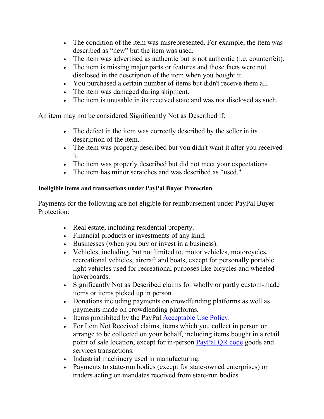- The condition of the item was misrepresented. For example, the item was described as "new" but the item was used.
- The item was advertised as authentic but is not authentic (i.e. counterfeit).
- The item is missing major parts or features and those facts were not disclosed in the description of the item when you bought it.
- You purchased a certain number of items but didn't receive them all.
- The item was damaged during shipment.
- The item is unusable in its received state and was not disclosed as such.

An item may not be considered Significantly Not as Described if:

- The defect in the item was correctly described by the seller in its description of the item.
- The item was properly described but you didn't want it after you received it.
- The item was properly described but did not meet your expectations.
- The item has minor scratches and was described as "used."

# **Ineligible items and transactions under PayPal Buyer Protection**

Payments for the following are not eligible for reimbursement under PayPal Buyer Protection:

- Real estate, including residential property.
- Financial products or investments of any kind.
- Businesses (when you buy or invest in a business).
- Vehicles, including, but not limited to, motor vehicles, motorcycles, recreational vehicles, aircraft and boats, except for personally portable light vehicles used for recreational purposes like bicycles and wheeled hoverboards.
- Significantly Not as Described claims for wholly or partly custom-made items or items picked up in person.
- Donations including payments on crowdfunding platforms as well as payments made on crowdlending platforms.
- Items prohibited by the PayPal [Acceptable Use Policy.](https://www.paypal.com/uk/webapps/mpp/ua/acceptableuse-full?locale.x=en_GB)
- For Item Not Received claims, items which you collect in person or arrange to be collected on your behalf, including items bought in a retail point of sale location, except for in-person **PayPal QR** code goods and services transactions.
- Industrial machinery used in manufacturing.
- Payments to state-run bodies (except for state-owned enterprises) or traders acting on mandates received from state-run bodies.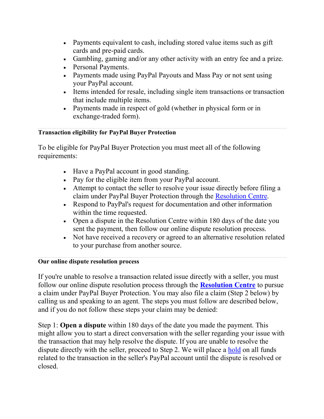- Payments equivalent to cash, including stored value items such as gift cards and pre-paid cards.
- Gambling, gaming and/or any other activity with an entry fee and a prize.
- Personal Payments.
- Payments made using PayPal Payouts and Mass Pay or not sent using your PayPal account.
- Items intended for resale, including single item transactions or transaction that include multiple items.
- Payments made in respect of gold (whether in physical form or in exchange-traded form).

# **Transaction eligibility for PayPal Buyer Protection**

To be eligible for PayPal Buyer Protection you must meet all of the following requirements:

- Have a PayPal account in good standing.
- Pay for the eligible item from your PayPal account.
- Attempt to contact the seller to resolve your issue directly before filing a claim under PayPal Buyer Protection through the [Resolution Centre.](https://www.paypal.com/uk/cgi-bin/webscr?cmd=_complaint-view&nav=0.4&locale.x=en_GB)
- Respond to PayPal's request for documentation and other information within the time requested.
- Open a dispute in the Resolution Centre within 180 days of the date you sent the payment, then follow our online dispute resolution process.
- Not have received a recovery or agreed to an alternative resolution related to your purchase from another source.

## **Our online dispute resolution process**

If you're unable to resolve a transaction related issue directly with a seller, you must follow our online dispute resolution process through the **[Resolution Centre](https://www.paypal.com/uk/cgi-bin/webscr?cmd=_complaint-view&nav=0.4&locale.x=en_GB)** to pursue a claim under PayPal Buyer Protection. You may also file a claim (Step 2 below) by calling us and speaking to an agent. The steps you must follow are described below, and if you do not follow these steps your claim may be denied:

Step 1: **Open a dispute** within 180 days of the date you made the payment. This might allow you to start a direct conversation with the seller regarding your issue with the transaction that may help resolve the dispute. If you are unable to resolve the dispute directly with the seller, proceed to Step 2. We will place a [hold](#page-43-0) on all funds related to the transaction in the seller's PayPal account until the dispute is resolved or closed.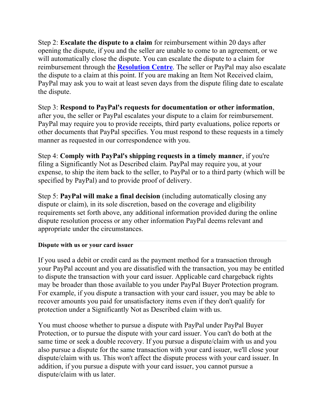Step 2: **Escalate the dispute to a claim** for reimbursement within 20 days after opening the dispute, if you and the seller are unable to come to an agreement, or we will automatically close the dispute. You can escalate the dispute to a claim for reimbursement through the **[Resolution Centre](https://www.paypal.com/uk/cgi-bin/webscr?cmd=_complaint-view&nav=0.4&locale.x=en_GB)**. The seller or PayPal may also escalate the dispute to a claim at this point. If you are making an Item Not Received claim, PayPal may ask you to wait at least seven days from the dispute filing date to escalate the dispute.

Step 3: **Respond to PayPal's requests for documentation or other information**, after you, the seller or PayPal escalates your dispute to a claim for reimbursement. PayPal may require you to provide receipts, third party evaluations, police reports or other documents that PayPal specifies. You must respond to these requests in a timely manner as requested in our correspondence with you.

Step 4: **Comply with PayPal's shipping requests in a timely manner**, if you're filing a Significantly Not as Described claim. PayPal may require you, at your expense, to ship the item back to the seller, to PayPal or to a third party (which will be specified by PayPal) and to provide proof of delivery.

Step 5: **PayPal will make a final decision** (including automatically closing any dispute or claim), in its sole discretion, based on the coverage and eligibility requirements set forth above, any additional information provided during the online dispute resolution process or any other information PayPal deems relevant and appropriate under the circumstances.

## **Dispute with us or your card issuer**

If you used a debit or credit card as the payment method for a transaction through your PayPal account and you are dissatisfied with the transaction, you may be entitled to dispute the transaction with your card issuer. Applicable card chargeback rights may be broader than those available to you under PayPal Buyer Protection program. For example, if you dispute a transaction with your card issuer, you may be able to recover amounts you paid for unsatisfactory items even if they don't qualify for protection under a Significantly Not as Described claim with us.

You must choose whether to pursue a dispute with PayPal under PayPal Buyer Protection, or to pursue the dispute with your card issuer. You can't do both at the same time or seek a double recovery. If you pursue a dispute/claim with us and you also pursue a dispute for the same transaction with your card issuer, we'll close your dispute/claim with us. This won't affect the dispute process with your card issuer. In addition, if you pursue a dispute with your card issuer, you cannot pursue a dispute/claim with us later.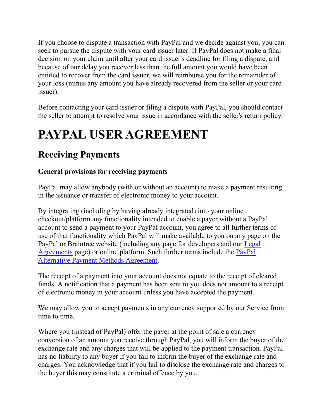If you choose to dispute a transaction with PayPal and we decide against you, you can seek to pursue the dispute with your card issuer later. If PayPal does not make a final decision on your claim until after your card issuer's deadline for filing a dispute, and because of our delay you recover less than the full amount you would have been entitled to recover from the card issuer, we will reimburse you for the remainder of your loss (minus any amount you have already recovered from the seller or your card issuer).

Before contacting your card issuer or filing a dispute with PayPal, you should contact the seller to attempt to resolve your issue in accordance with the seller's return policy.

# **PAYPAL USER AGREEMENT**

# <span id="page-25-0"></span>**Receiving Payments**

# **General provisions for receiving payments**

PayPal may allow anybody (with or without an account) to make a payment resulting in the issuance or transfer of electronic money to your account.

By integrating (including by having already integrated) into your online checkout/platform any functionality intended to enable a payer without a PayPal account to send a payment to your PayPal account, you agree to all further terms of use of that functionality which PayPal will make available to you on any page on the PayPal or Braintree website (including any page for developers and our [Legal](https://www.paypal.com/uk/webapps/mpp/ua/legalhub-full?locale.x=en_GB)  [Agreements](https://www.paypal.com/uk/webapps/mpp/ua/legalhub-full?locale.x=en_GB) page) or online platform. Such further terms include the [PayPal](https://www.paypal.com/uk/webapps/mpp/ua/apm-tnc?locale.x=en_GB)  [Alternative Payment Methods Agreement.](https://www.paypal.com/uk/webapps/mpp/ua/apm-tnc?locale.x=en_GB)

The receipt of a payment into your account does not equate to the receipt of cleared funds. A notification that a payment has been sent to you does not amount to a receipt of electronic money in your account unless you have accepted the payment.

We may allow you to accept payments in any currency supported by our Service from time to time.

Where you (instead of PayPal) offer the payer at the point of sale a currency conversion of an amount you receive through PayPal, you will inform the buyer of the exchange rate and any charges that will be applied to the payment transaction. PayPal has no liability to any buyer if you fail to inform the buyer of the exchange rate and charges. You acknowledge that if you fail to disclose the exchange rate and charges to the buyer this may constitute a criminal offence by you.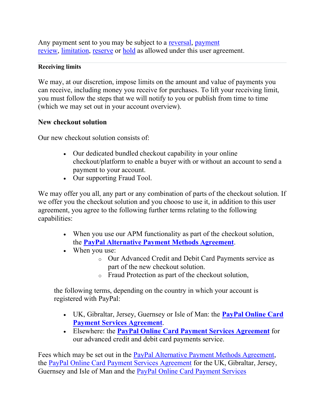Any payment sent to you may be subject to a [reversal,](#page-29-0) [payment](#page-44-0)  [review,](#page-44-0) [limitation,](#page-43-0) [reserve](#page-43-0) or [hold](#page-43-0) as allowed under this user agreement.

#### **Receiving limits**

We may, at our discretion, impose limits on the amount and value of payments you can receive, including money you receive for purchases. To lift your receiving limit, you must follow the steps that we will notify to you or publish from time to time (which we may set out in your account overview).

# **New checkout solution**

Our new checkout solution consists of:

- Our dedicated bundled checkout capability in your online checkout/platform to enable a buyer with or without an account to send a payment to your account.
- Our supporting Fraud Tool.

We may offer you all, any part or any combination of parts of the checkout solution. If we offer you the checkout solution and you choose to use it, in addition to this user agreement, you agree to the following further terms relating to the following capabilities:

- When you use our APM functionality as part of the checkout solution, the **[PayPal Alternative Payment Methods Agreement](https://www.paypal.com/uk/webapps/mpp/ua/apm-tnc?locale.x=en_GB)**.
- When you use:
	- o Our Advanced Credit and Debit Card Payments service as part of the new checkout solution.
	- o Fraud Protection as part of the checkout solution,

the following terms, depending on the country in which your account is registered with PayPal:

- UK, Gibraltar, Jersey, Guernsey or Isle of Man: the **[PayPal Online Card](https://www.paypal.com/uk/webapps/mpp/ua/pocpsa-full?locale.x=en_GB)  [Payment Services Agreement](https://www.paypal.com/uk/webapps/mpp/ua/pocpsa-full?locale.x=en_GB)**.
- Elsewhere: the **[PayPal Online Card Payment Services Agreement](https://www.paypal.com/uk/webapps/mpp/ua/pocpsa-full?locale.x=en_GB)** for our advanced credit and debit card payments service.

Fees which may be set out in the [PayPal Alternative Payment Methods Agreement,](https://www.paypal.com/uk/webapps/mpp/ua/apm-tnc?locale.x=en_GB) the [PayPal Online Card Payment Services Agreement](https://www.paypal.com/uk/webapps/mpp/ua/pocpsa-full?locale.x=en_GB) for the UK, Gibraltar, Jersey, Guernsey and Isle of Man and the [PayPal Online Card Payment Services](https://www.paypal.com/uk/webapps/mpp/ua/pocpsa-full?locale.x=en_GB)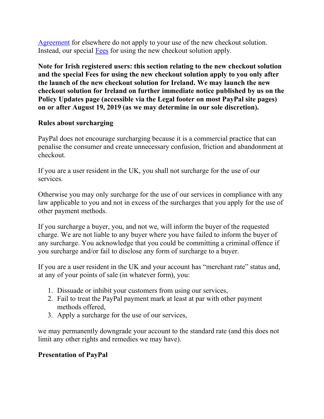[Agreement](https://www.paypal.com/uk/webapps/mpp/ua/pocpsa-full?locale.x=en_GB) for elsewhere do not apply to your use of the new checkout solution. Instead, our special [Fees](#page-64-0) for using the new checkout solution apply.

**Note for Irish registered users: this section relating to the new checkout solution and the special Fees for using the new checkout solution apply to you only after the launch of the new checkout solution for Ireland. We may launch the new checkout solution for Ireland on further immediate notice published by us on the Policy Updates page (accessible via the Legal footer on most PayPal site pages) on or after August 19, 2019 (as we may determine in our sole discretion).**

# **Rules about surcharging**

PayPal does not encourage surcharging because it is a commercial practice that can penalise the consumer and create unnecessary confusion, friction and abandonment at checkout.

If you are a user resident in the UK, you shall not surcharge for the use of our services.

Otherwise you may only surcharge for the use of our services in compliance with any law applicable to you and not in excess of the surcharges that you apply for the use of other payment methods.

If you surcharge a buyer, you, and not we, will inform the buyer of the requested charge. We are not liable to any buyer where you have failed to inform the buyer of any surcharge. You acknowledge that you could be committing a criminal offence if you surcharge and/or fail to disclose any form of surcharge to a buyer.

If you are a user resident in the UK and your account has "merchant rate" status and, at any of your points of sale (in whatever form), you:

- 1. Dissuade or inhibit your customers from using our services,
- 2. Fail to treat the PayPal payment mark at least at par with other payment methods offered,
- 3. Apply a surcharge for the use of our services,

we may permanently downgrade your account to the standard rate (and this does not limit any other rights and remedies we may have).

# **Presentation of PayPal**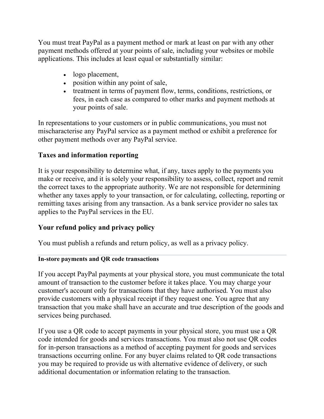You must treat PayPal as a payment method or mark at least on par with any other payment methods offered at your points of sale, including your websites or mobile applications. This includes at least equal or substantially similar:

- logo placement,
- position within any point of sale,
- treatment in terms of payment flow, terms, conditions, restrictions, or fees, in each case as compared to other marks and payment methods at your points of sale.

In representations to your customers or in public communications, you must not mischaracterise any PayPal service as a payment method or exhibit a preference for other payment methods over any PayPal service.

# **Taxes and information reporting**

It is your responsibility to determine what, if any, taxes apply to the payments you make or receive, and it is solely your responsibility to assess, collect, report and remit the correct taxes to the appropriate authority. We are not responsible for determining whether any taxes apply to your transaction, or for calculating, collecting, reporting or remitting taxes arising from any transaction. As a bank service provider no sales tax applies to the PayPal services in the EU.

# **Your refund policy and privacy policy**

You must publish a refunds and return policy, as well as a privacy policy.

## **In-store payments and QR code transactions**

If you accept PayPal payments at your physical store, you must communicate the total amount of transaction to the customer before it takes place. You may charge your customer's account only for transactions that they have authorised. You must also provide customers with a physical receipt if they request one. You agree that any transaction that you make shall have an accurate and true description of the goods and services being purchased.

If you use a QR code to accept payments in your physical store, you must use a QR code intended for goods and services transactions. You must also not use QR codes for in-person transactions as a method of accepting payment for goods and services transactions occurring online. For any buyer claims related to QR code transactions you may be required to provide us with alternative evidence of delivery, or such additional documentation or information relating to the transaction.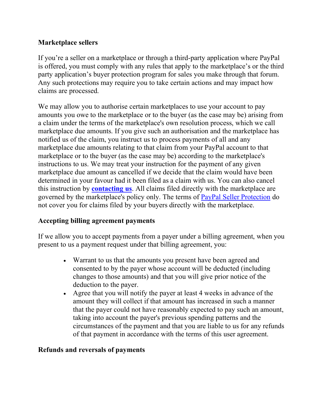# **Marketplace sellers**

If you're a seller on a marketplace or through a third-party application where PayPal is offered, you must comply with any rules that apply to the marketplace's or the third party application's buyer protection program for sales you make through that forum. Any such protections may require you to take certain actions and may impact how claims are processed.

We may allow you to authorise certain marketplaces to use your account to pay amounts you owe to the marketplace or to the buyer (as the case may be) arising from a claim under the terms of the marketplace's own resolution process, which we call marketplace due amounts. If you give such an authorisation and the marketplace has notified us of the claim, you instruct us to process payments of all and any marketplace due amounts relating to that claim from your PayPal account to that marketplace or to the buyer (as the case may be) according to the marketplace's instructions to us. We may treat your instruction for the payment of any given marketplace due amount as cancelled if we decide that the claim would have been determined in your favour had it been filed as a claim with us. You can also cancel this instruction by **[contacting us](#page-53-0)**. All claims filed directly with the marketplace are governed by the marketplace's policy only. The terms of PayPal Seller Protection do not cover you for claims filed by your buyers directly with the marketplace.

# **Accepting billing agreement payments**

If we allow you to accept payments from a payer under a billing agreement, when you present to us a payment request under that billing agreement, you:

- Warrant to us that the amounts you present have been agreed and consented to by the payer whose account will be deducted (including changes to those amounts) and that you will give prior notice of the deduction to the payer.
- Agree that you will notify the payer at least 4 weeks in advance of the amount they will collect if that amount has increased in such a manner that the payer could not have reasonably expected to pay such an amount, taking into account the payer's previous spending patterns and the circumstances of the payment and that you are liable to us for any refunds of that payment in accordance with the terms of this user agreement.

# <span id="page-29-0"></span>**Refunds and reversals of payments**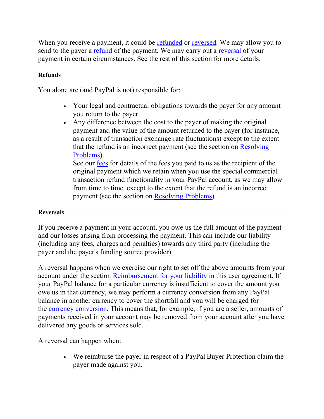When you receive a payment, it could be [refunded](#page-17-0) or [reversed.](#page-29-0) We may allow you to send to the payer a [refund](#page-29-0) of the payment. We may carry out a [reversal](#page-29-0) of your payment in certain circumstances. See the rest of this section for more details.

#### **Refunds**

You alone are (and PayPal is not) responsible for:

- Your legal and contractual obligations towards the payer for any amount you return to the payer.
- Any difference between the cost to the payer of making the original payment and the value of the amount returned to the payer (for instance, as a result of transaction exchange rate fluctuations) except to the extent that the refund is an incorrect payment (see the section on [Resolving](#page-47-0)  [Problems\)](#page-47-0).

See our [fees](#page-64-0) for details of the fees you paid to us as the recipient of the original payment which we retain when you use the special commercial transaction refund functionality in your PayPal account, as we may allow from time to time. except to the extent that the refund is an incorrect payment (see the section on [Resolving Problems\)](#page-47-0).

#### **Reversals**

If you receive a payment in your account, you owe us the full amount of the payment and our losses arising from processing the payment. This can include our liability (including any fees, charges and penalties) towards any third party (including the payer and the payer's funding source provider).

A reversal happens when we exercise our right to set off the above amounts from your account under the section [Reimbursement for your liability](#page-55-0) in this user agreement. If your PayPal balance for a particular currency is insufficient to cover the amount you owe us in that currency, we may perform a currency conversion from any PayPal balance in another currency to cover the shortfall and you will be charged for the [currency conversion.](#page-10-0) This means that, for example, if you are a seller, amounts of payments received in your account may be removed from your account after you have delivered any goods or services sold.

A reversal can happen when:

• We reimburse the payer in respect of a PayPal Buyer Protection claim the payer made against you.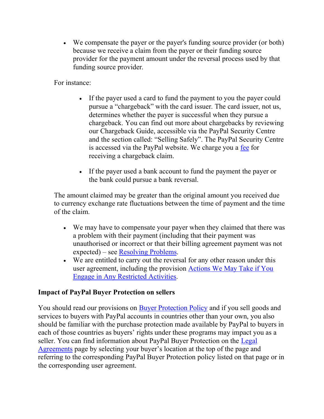• We compensate the payer or the payer's funding source provider (or both) because we receive a claim from the payer or their funding source provider for the payment amount under the reversal process used by that funding source provider.

For instance:

- If the payer used a card to fund the payment to you the payer could pursue a "chargeback" with the card issuer. The card issuer, not us, determines whether the payer is successful when they pursue a chargeback. You can find out more about chargebacks by reviewing our Chargeback Guide, accessible via the PayPal Security Centre and the section called: "Selling Safely". The PayPal Security Centre is accessed via the PayPal website. We charge you a [fee](#page-64-0) for receiving a chargeback claim.
- If the payer used a bank account to fund the payment the payer or the bank could pursue a bank reversal.

The amount claimed may be greater than the original amount you received due to currency exchange rate fluctuations between the time of payment and the time of the claim.

- We may have to compensate your payer when they claimed that there was a problem with their payment (including that their payment was unauthorised or incorrect or that their billing agreement payment was not expected) – see [Resolving Problems.](#page-47-0)
- We are entitled to carry out the reversal for any other reason under this user agreement, including the provision [Actions We May Take if You](#page-40-0)  [Engage in Any Restricted Activities.](#page-40-0)

# **Impact of PayPal Buyer Protection on sellers**

You should read our provisions on **[Buyer Protection Policy](#page-20-0)** and if you sell goods and services to buyers with PayPal accounts in countries other than your own, you also should be familiar with the purchase protection made available by PayPal to buyers in each of those countries as buyers' rights under these programs may impact you as a seller. You can find information about PayPal Buyer Protection on the [Legal](https://www.paypal.com/uk/webapps/mpp/ua/legalhub-full?locale.x=en_GB)  [Agreements](https://www.paypal.com/uk/webapps/mpp/ua/legalhub-full?locale.x=en_GB) page by selecting your buyer's location at the top of the page and referring to the corresponding PayPal Buyer Protection policy listed on that page or in the corresponding user agreement.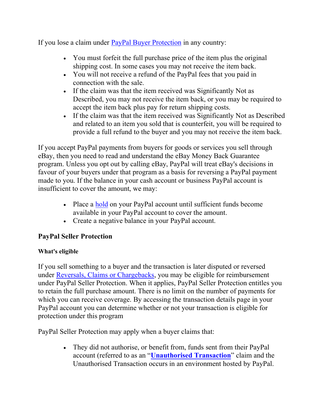If you lose a claim under **[PayPal Buyer Protection](#page-20-0)** in any country:

- You must forfeit the full purchase price of the item plus the original shipping cost. In some cases you may not receive the item back.
- You will not receive a refund of the PayPal fees that you paid in connection with the sale.
- If the claim was that the item received was Significantly Not as Described, you may not receive the item back, or you may be required to accept the item back plus pay for return shipping costs.
- If the claim was that the item received was Significantly Not as Described and related to an item you sold that is counterfeit, you will be required to provide a full refund to the buyer and you may not receive the item back.

If you accept PayPal payments from buyers for goods or services you sell through eBay, then you need to read and understand the eBay Money Back Guarantee program. Unless you opt out by calling eBay, PayPal will treat eBay's decisions in favour of your buyers under that program as a basis for reversing a PayPal payment made to you. If the balance in your cash account or business PayPal account is insufficient to cover the amount, we may:

- Place a [hold](#page-43-0) on your PayPal account until sufficient funds become available in your PayPal account to cover the amount.
- Create a negative balance in your PayPal account.

# **PayPal Seller Protection**

# **What's eligible**

If you sell something to a buyer and the transaction is later disputed or reversed under [Reversals, Claims or Chargebacks,](#page-29-0) you may be eligible for reimbursement under PayPal Seller Protection. When it applies, PayPal Seller Protection entitles you to retain the full purchase amount. There is no limit on the number of payments for which you can receive coverage. By accessing the transaction details page in your PayPal account you can determine whether or not your transaction is eligible for protection under this program

PayPal Seller Protection may apply when a buyer claims that:

• They did not authorise, or benefit from, funds sent from their PayPal account (referred to as an "**Unauthorised Transaction**" claim and the Unauthorised Transaction occurs in an environment hosted by PayPal.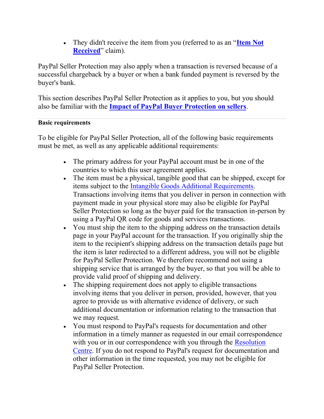• They didn't receive the item from you (referred to as an "**[Item Not](#page-21-1)  [Received](#page-21-1)**" claim).

PayPal Seller Protection may also apply when a transaction is reversed because of a successful chargeback by a buyer or when a bank funded payment is reversed by the buyer's bank.

This section describes PayPal Seller Protection as it applies to you, but you should also be familiar with the **Impact of PayPal Buyer Protection on sellers**.

## <span id="page-33-0"></span>**Basic requirements**

To be eligible for PayPal Seller Protection, all of the following basic requirements must be met, as well as any applicable additional requirements:

- The primary address for your PayPal account must be in one of the countries to which this user agreement applies.
- The item must be a physical, tangible good that can be shipped, except for items subject to the [Intangible Goods Additional Requirements.](#page-34-0) Transactions involving items that you deliver in person in connection with payment made in your physical store may also be eligible for PayPal Seller Protection so long as the buyer paid for the transaction in-person by using a PayPal QR code for goods and services transactions.
- You must ship the item to the shipping address on the transaction details page in your PayPal account for the transaction. If you originally ship the item to the recipient's shipping address on the transaction details page but the item is later redirected to a different address, you will not be eligible for PayPal Seller Protection. We therefore recommend not using a shipping service that is arranged by the buyer, so that you will be able to provide valid proof of shipping and delivery.
- The shipping requirement does not apply to eligible transactions involving items that you deliver in person, provided, however, that you agree to provide us with alternative evidence of delivery, or such additional documentation or information relating to the transaction that we may request.
- You must respond to PayPal's requests for documentation and other information in a timely manner as requested in our email correspondence with you or in our correspondence with you through the Resolution [Centre.](https://www.paypal.com/uk/cgi-bin/webscr?cmd=_complaint-view&nav=0.4&locale.x=en_GB) If you do not respond to PayPal's request for documentation and other information in the time requested, you may not be eligible for PayPal Seller Protection.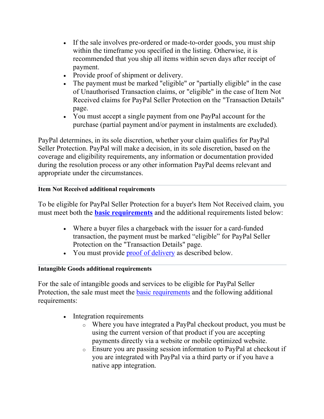- If the sale involves pre-ordered or made-to-order goods, you must ship within the timeframe you specified in the listing. Otherwise, it is recommended that you ship all items within seven days after receipt of payment.
- Provide proof of shipment or delivery.
- The payment must be marked "eligible" or "partially eligible" in the case of Unauthorised Transaction claims, or "eligible" in the case of Item Not Received claims for PayPal Seller Protection on the "Transaction Details" page.
- You must accept a single payment from one PayPal account for the purchase (partial payment and/or payment in instalments are excluded).

PayPal determines, in its sole discretion, whether your claim qualifies for PayPal Seller Protection. PayPal will make a decision, in its sole discretion, based on the coverage and eligibility requirements, any information or documentation provided during the resolution process or any other information PayPal deems relevant and appropriate under the circumstances.

# **Item Not Received additional requirements**

To be eligible for PayPal Seller Protection for a buyer's Item Not Received claim, you must meet both the **[basic requirements](#page-33-0)** and the additional requirements listed below:

- Where a buyer files a chargeback with the issuer for a card-funded transaction, the payment must be marked "eligible" for PayPal Seller Protection on the "Transaction Details" page.
- You must provide [proof of delivery](#page-35-0) as described below.

# <span id="page-34-0"></span>**Intangible Goods additional requirements**

For the sale of intangible goods and services to be eligible for PayPal Seller Protection, the sale must meet the **[basic requirements](#page-33-0)** and the following additional requirements:

- Integration requirements
	- o Where you have integrated a PayPal checkout product, you must be using the current version of that product if you are accepting payments directly via a website or mobile optimized website.
	- o Ensure you are passing session information to PayPal at checkout if you are integrated with PayPal via a third party or if you have a native app integration.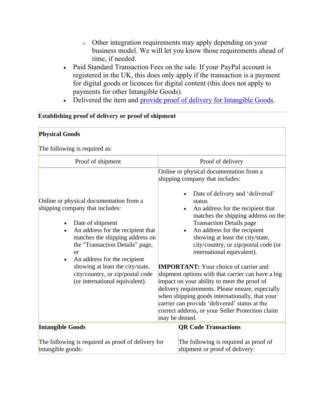- o Other integration requirements may apply depending on your business model. We will let you know those requirements ahead of time, if needed.
- Paid Standard Transaction Fees on the sale. If your PayPal account is registered in the UK, this does only apply if the transaction is a payment for digital goods or licences for digital content (this does not apply to payments for other Intangible Goods).
- Delivered the item and [provide proof of delivery for Intangible Goods.](#page-35-1)

# <span id="page-35-0"></span>**Establishing proof of delivery or proof of shipment**

<span id="page-35-1"></span>

| <b>Physical Goods</b>                                                                                                                                                                                                                                                                                                                                                                                   |                                                                                                                                                                                                                                                                                                                                                                                                                                                                                                                                                                                                                                                                                      |  |  |
|---------------------------------------------------------------------------------------------------------------------------------------------------------------------------------------------------------------------------------------------------------------------------------------------------------------------------------------------------------------------------------------------------------|--------------------------------------------------------------------------------------------------------------------------------------------------------------------------------------------------------------------------------------------------------------------------------------------------------------------------------------------------------------------------------------------------------------------------------------------------------------------------------------------------------------------------------------------------------------------------------------------------------------------------------------------------------------------------------------|--|--|
| The following is required as:                                                                                                                                                                                                                                                                                                                                                                           |                                                                                                                                                                                                                                                                                                                                                                                                                                                                                                                                                                                                                                                                                      |  |  |
| Proof of shipment                                                                                                                                                                                                                                                                                                                                                                                       | Proof of delivery                                                                                                                                                                                                                                                                                                                                                                                                                                                                                                                                                                                                                                                                    |  |  |
|                                                                                                                                                                                                                                                                                                                                                                                                         | Online or physical documentation from a<br>shipping company that includes:                                                                                                                                                                                                                                                                                                                                                                                                                                                                                                                                                                                                           |  |  |
| Online or physical documentation from a<br>shipping company that includes:<br>Date of shipment<br>$\bullet$<br>An address for the recipient that<br>$\bullet$<br>matches the shipping address on<br>the "Transaction Details" page,<br><b>or</b><br>An address for the recipient<br>$\bullet$<br>showing at least the city/state,<br>city/country, or zip/postal code<br>(or international equivalent). | Date of delivery and 'delivered'<br>status<br>An address for the recipient that<br>matches the shipping address on the<br><b>Transaction Details page</b><br>An address for the recipient<br>showing at least the city/state,<br>city/country, or zip/postal code (or<br>international equivalent).<br><b>IMPORTANT:</b> Your choice of carrier and<br>shipment options with that carrier can have a big<br>impact on your ability to meet the proof of<br>delivery requirements. Please ensure, especially<br>when shipping goods internationally, that your<br>carrier can provide 'delivered' status at the<br>correct address, or your Seller Protection claim<br>may be denied. |  |  |
| <b>Intangible Goods</b>                                                                                                                                                                                                                                                                                                                                                                                 | <b>QR Code Transactions</b>                                                                                                                                                                                                                                                                                                                                                                                                                                                                                                                                                                                                                                                          |  |  |
| The following is required as proof of delivery for<br>intangible goods:                                                                                                                                                                                                                                                                                                                                 | The following is required as proof of<br>shipment or proof of delivery:                                                                                                                                                                                                                                                                                                                                                                                                                                                                                                                                                                                                              |  |  |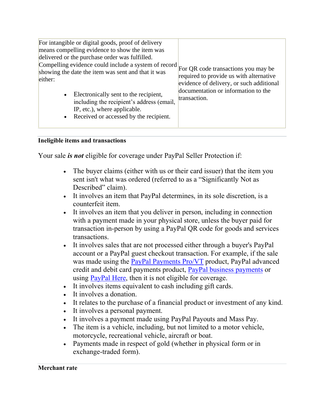| For intangible or digital goods, proof of delivery<br>means compelling evidence to show the item was<br>delivered or the purchase order was fulfilled.<br>Compelling evidence could include a system of record<br>showing the date the item was sent and that it was<br>either: | For QR code transactions you may be<br>required to provide us with alternative<br>evidence of delivery, or such additional<br>documentation or information to the |
|---------------------------------------------------------------------------------------------------------------------------------------------------------------------------------------------------------------------------------------------------------------------------------|-------------------------------------------------------------------------------------------------------------------------------------------------------------------|
| Electronically sent to the recipient,<br>$\bullet$<br>including the recipient's address (email,<br>IP, etc.), where applicable.<br>Received or accessed by the recipient.<br>$\bullet$                                                                                          | transaction.                                                                                                                                                      |

#### **Ineligible items and transactions**

Your sale *is not* eligible for coverage under PayPal Seller Protection if:

- The buyer claims (either with us or their card issuer) that the item you sent isn't what was ordered (referred to as a "Significantly Not as Described" claim).
- It involves an item that PayPal determines, in its sole discretion, is a counterfeit item.
- It involves an item that you deliver in person, including in connection with a payment made in your physical store, unless the buyer paid for transaction in-person by using a PayPal QR code for goods and services transactions.
- It involves sales that are not processed either through a buyer's PayPal account or a PayPal guest checkout transaction. For example, if the sale was made using the [PayPal Payments Pro/VT](https://www.paypal.com/uk/webapps/mpp/ua/pocpsa-full?locale.x=en_GB) product, PayPal advanced credit and debit card payments product, PayPal business payments or using [PayPal Here,](https://www.paypal.com/uk/webapps/mpp/ua/paypalhereterms-full?locale.x=en_GB) then it is not eligible for coverage.
- It involves items equivalent to cash including gift cards.
- It involves a donation.
- It relates to the purchase of a financial product or investment of any kind.
- It involves a personal payment.
- It involves a payment made using PayPal Payouts and Mass Pay.
- The item is a vehicle, including, but not limited to a motor vehicle, motorcycle, recreational vehicle, aircraft or boat.
- Payments made in respect of gold (whether in physical form or in exchange-traded form).

**Merchant rate**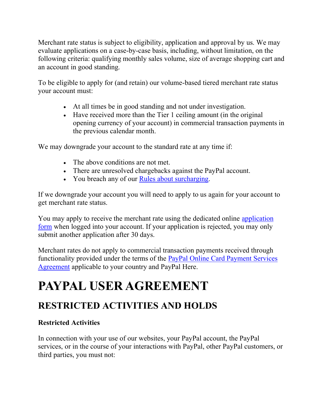Merchant rate status is subject to eligibility, application and approval by us. We may evaluate applications on a case-by-case basis, including, without limitation, on the following criteria: qualifying monthly sales volume, size of average shopping cart and an account in good standing.

To be eligible to apply for (and retain) our volume-based tiered merchant rate status your account must:

- At all times be in good standing and not under investigation.
- Have received more than the Tier 1 ceiling amount (in the original opening currency of your account) in commercial transaction payments in the previous calendar month.

We may downgrade your account to the standard rate at any time if:

- The above conditions are not met.
- There are unresolved chargebacks against the PayPal account.
- You breach any of our [Rules about surcharging.](#page-27-0)

If we downgrade your account you will need to apply to us again for your account to get merchant rate status.

You may apply to receive the merchant rate using the dedicated online [application](https://www.paypal.com/businesswallet/applymra)  [form](https://www.paypal.com/businesswallet/applymra) when logged into your account. If your application is rejected, you may only submit another application after 30 days.

Merchant rates do not apply to commercial transaction payments received through functionality provided under the terms of the [PayPal Online Card Payment Services](https://www.paypal.com/uk/webapps/mpp/ua/pocpsa-full?locale.x=en_GB)  [Agreement](https://www.paypal.com/uk/webapps/mpp/ua/pocpsa-full?locale.x=en_GB) applicable to your country and PayPal Here.

# **PAYPAL USER AGREEMENT**

# **RESTRICTED ACTIVITIES AND HOLDS**

# <span id="page-37-0"></span>**Restricted Activities**

In connection with your use of our websites, your PayPal account, the PayPal services, or in the course of your interactions with PayPal, other PayPal customers, or third parties, you must not: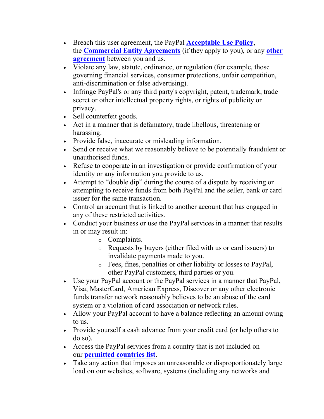- Breach this user agreement, the PayPal **[Acceptable Use Policy](https://www.paypal.com/uk/webapps/mpp/ua/acceptableuse-full?locale.x=en_GB)**, the **[Commercial Entity Agreements](https://www.paypal.com/uk/webapps/mpp/ua/ceagreement-full?locale.x=en_GB)** (if they apply to you), or any **[other](https://www.paypal.com/uk/webapps/mpp/ua/legalhub-full?locale.x=en_GB)  [agreement](https://www.paypal.com/uk/webapps/mpp/ua/legalhub-full?locale.x=en_GB)** between you and us.
- Violate any law, statute, ordinance, or regulation (for example, those governing financial services, consumer protections, unfair competition, anti-discrimination or false advertising).
- Infringe PayPal's or any third party's copyright, patent, trademark, trade secret or other intellectual property rights, or rights of publicity or privacy.
- Sell counterfeit goods.
- Act in a manner that is defamatory, trade libellous, threatening or harassing.
- Provide false, inaccurate or misleading information.
- Send or receive what we reasonably believe to be potentially fraudulent or unauthorised funds.
- Refuse to cooperate in an investigation or provide confirmation of your identity or any information you provide to us.
- Attempt to "double dip" during the course of a dispute by receiving or attempting to receive funds from both PayPal and the seller, bank or card issuer for the same transaction.
- Control an account that is linked to another account that has engaged in any of these restricted activities.
- Conduct your business or use the PayPal services in a manner that results in or may result in:
	- o Complaints.
	- o Requests by buyers (either filed with us or card issuers) to invalidate payments made to you.
	- o Fees, fines, penalties or other liability or losses to PayPal, other PayPal customers, third parties or you.
- Use your PayPal account or the PayPal services in a manner that PayPal, Visa, MasterCard, American Express, Discover or any other electronic funds transfer network reasonably believes to be an abuse of the card system or a violation of card association or network rules.
- Allow your PayPal account to have a balance reflecting an amount owing to us.
- Provide yourself a cash advance from your credit card (or help others to do so).
- Access the PayPal services from a country that is not included on our **[permitted countries list](https://www.paypal.com/uk/webapps/mpp/country-worldwide?locale.x=en_GB)**.
- Take any action that imposes an unreasonable or disproportionately large load on our websites, software, systems (including any networks and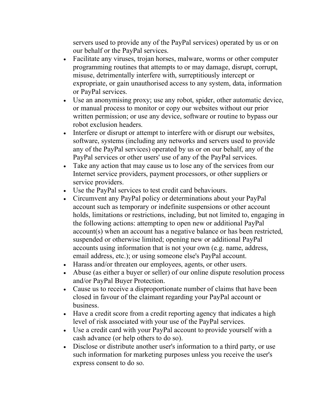servers used to provide any of the PayPal services) operated by us or on our behalf or the PayPal services.

- Facilitate any viruses, trojan horses, malware, worms or other computer programming routines that attempts to or may damage, disrupt, corrupt, misuse, detrimentally interfere with, surreptitiously intercept or expropriate, or gain unauthorised access to any system, data, information or PayPal services.
- Use an anonymising proxy; use any robot, spider, other automatic device, or manual process to monitor or copy our websites without our prior written permission; or use any device, software or routine to bypass our robot exclusion headers.
- Interfere or disrupt or attempt to interfere with or disrupt our websites, software, systems (including any networks and servers used to provide any of the PayPal services) operated by us or on our behalf, any of the PayPal services or other users' use of any of the PayPal services.
- Take any action that may cause us to lose any of the services from our Internet service providers, payment processors, or other suppliers or service providers.
- Use the PayPal services to test credit card behaviours.
- Circumvent any PayPal policy or determinations about your PayPal account such as temporary or indefinite suspensions or other account holds, limitations or restrictions, including, but not limited to, engaging in the following actions: attempting to open new or additional PayPal account(s) when an account has a negative balance or has been restricted, suspended or otherwise limited; opening new or additional PayPal accounts using information that is not your own (e.g. name, address, email address, etc.); or using someone else's PayPal account.
- Harass and/or threaten our employees, agents, or other users.
- Abuse (as either a buyer or seller) of our online dispute resolution process and/or PayPal Buyer Protection.
- Cause us to receive a disproportionate number of claims that have been closed in favour of the claimant regarding your PayPal account or business.
- Have a credit score from a credit reporting agency that indicates a high level of risk associated with your use of the PayPal services.
- Use a credit card with your PayPal account to provide yourself with a cash advance (or help others to do so).
- Disclose or distribute another user's information to a third party, or use such information for marketing purposes unless you receive the user's express consent to do so.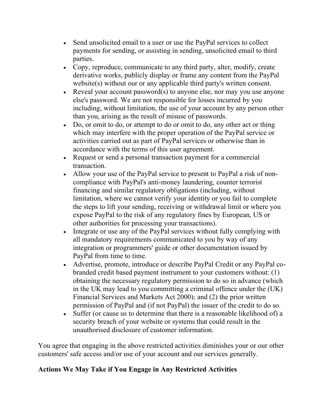- Send unsolicited email to a user or use the PayPal services to collect payments for sending, or assisting in sending, unsolicited email to third parties.
- Copy, reproduce, communicate to any third party, alter, modify, create derivative works, publicly display or frame any content from the PayPal website(s) without our or any applicable third party's written consent.
- Reveal your account password(s) to anyone else, nor may you use anyone else's password. We are not responsible for losses incurred by you including, without limitation, the use of your account by any person other than you, arising as the result of misuse of passwords.
- Do, or omit to do, or attempt to do or omit to do, any other act or thing which may interfere with the proper operation of the PayPal service or activities carried out as part of PayPal services or otherwise than in accordance with the terms of this user agreement.
- Request or send a personal transaction payment for a commercial transaction.
- Allow your use of the PayPal service to present to PayPal a risk of noncompliance with PayPal's anti-money laundering, counter terrorist financing and similar regulatory obligations (including, without limitation, where we cannot verify your identity or you fail to complete the steps to lift your sending, receiving or withdrawal limit or where you expose PayPal to the risk of any regulatory fines by European, US or other authorities for processing your transactions).
- Integrate or use any of the PayPal services without fully complying with all mandatory requirements communicated to you by way of any integration or programmers' guide or other documentation issued by PayPal from time to time.
- Advertise, promote, introduce or describe PayPal Credit or any PayPal cobranded credit based payment instrument to your customers without: (1) obtaining the necessary regulatory permission to do so in advance (which in the UK may lead to you committing a criminal offence under the (UK) Financial Services and Markets Act 2000); and (2) the prior written permission of PayPal and (if not PayPal) the issuer of the credit to do so.
- Suffer (or cause us to determine that there is a reasonable likelihood of) a security breach of your website or systems that could result in the unauthorised disclosure of customer information.

You agree that engaging in the above restricted activities diminishes your or our other customers' safe access and/or use of your account and our services generally.

# <span id="page-40-0"></span>**Actions We May Take if You Engage in Any Restricted Activities**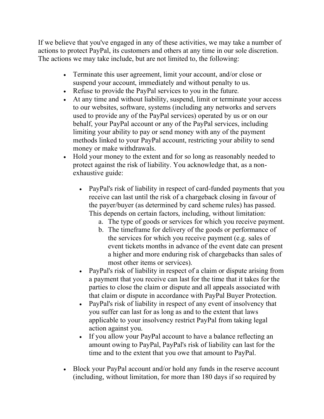If we believe that you've engaged in any of these activities, we may take a number of actions to protect PayPal, its customers and others at any time in our sole discretion. The actions we may take include, but are not limited to, the following:

- Terminate this user agreement, limit your account, and/or close or suspend your account, immediately and without penalty to us.
- Refuse to provide the PayPal services to you in the future.
- At any time and without liability, suspend, limit or terminate your access to our websites, software, systems (including any networks and servers used to provide any of the PayPal services) operated by us or on our behalf, your PayPal account or any of the PayPal services, including limiting your ability to pay or send money with any of the payment methods linked to your PayPal account, restricting your ability to send money or make withdrawals.
- Hold your money to the extent and for so long as reasonably needed to protect against the risk of liability. You acknowledge that, as a nonexhaustive guide:
	- PayPal's risk of liability in respect of card-funded payments that you receive can last until the risk of a chargeback closing in favour of the payer/buyer (as determined by card scheme rules) has passed. This depends on certain factors, including, without limitation:
		- a. The type of goods or services for which you receive payment.
		- b. The timeframe for delivery of the goods or performance of the services for which you receive payment (e.g. sales of event tickets months in advance of the event date can present a higher and more enduring risk of chargebacks than sales of most other items or services).
	- PayPal's risk of liability in respect of a claim or dispute arising from a payment that you receive can last for the time that it takes for the parties to close the claim or dispute and all appeals associated with that claim or dispute in accordance with PayPal Buyer Protection.
	- PayPal's risk of liability in respect of any event of insolvency that you suffer can last for as long as and to the extent that laws applicable to your insolvency restrict PayPal from taking legal action against you.
	- If you allow your PayPal account to have a balance reflecting an amount owing to PayPal, PayPal's risk of liability can last for the time and to the extent that you owe that amount to PayPal.
- Block your PayPal account and/or hold any funds in the reserve account (including, without limitation, for more than 180 days if so required by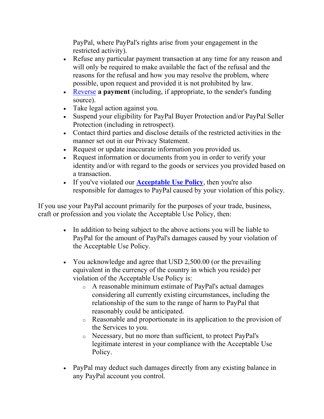PayPal, where PayPal's rights arise from your engagement in the restricted activity).

- Refuse any particular payment transaction at any time for any reason and will only be required to make available the fact of the refusal and the reasons for the refusal and how you may resolve the problem, where possible, upon request and provided it is not prohibited by law.
- [Reverse](#page-29-0) **a payment** (including, if appropriate, to the sender's funding source).
- Take legal action against you.
- Suspend your eligibility for PayPal Buyer Protection and/or PayPal Seller Protection (including in retrospect).
- Contact third parties and disclose details of the restricted activities in the manner set out in our Privacy Statement.
- Request or update inaccurate information you provided us.
- Request information or documents from you in order to verify your identity and/or with regard to the goods or services you provided based on a transaction.
- If you've violated our **[Acceptable Use Policy](https://www.paypal.com/uk/webapps/mpp/ua/acceptableuse-full?locale.x=en_GB)**, then you're also responsible for damages to PayPal caused by your violation of this policy.

If you use your PayPal account primarily for the purposes of your trade, business, craft or profession and you violate the Acceptable Use Policy, then:

- In addition to being subject to the above actions you will be liable to PayPal for the amount of PayPal's damages caused by your violation of the Acceptable Use Policy.
- You acknowledge and agree that USD 2,500.00 (or the prevailing equivalent in the currency of the country in which you reside) per violation of the Acceptable Use Policy is:
	- o A reasonable minimum estimate of PayPal's actual damages considering all currently existing circumstances, including the relationship of the sum to the range of harm to PayPal that reasonably could be anticipated.
	- o Reasonable and proportionate in its application to the provision of the Services to you.
	- o Necessary, but no more than sufficient, to protect PayPal's legitimate interest in your compliance with the Acceptable Use Policy.
- PayPal may deduct such damages directly from any existing balance in any PayPal account you control.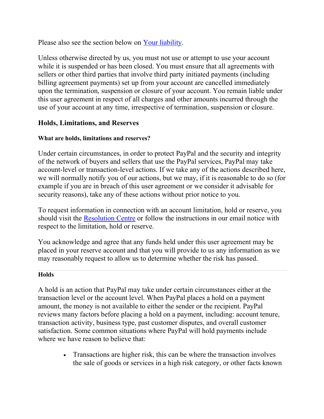Please also see the section below on [Your liability.](#page-43-0)

Unless otherwise directed by us, you must not use or attempt to use your account while it is suspended or has been closed. You must ensure that all agreements with sellers or other third parties that involve third party initiated payments (including billing agreement payments) set up from your account are cancelled immediately upon the termination, suspension or closure of your account. You remain liable under this user agreement in respect of all charges and other amounts incurred through the use of your account at any time, irrespective of termination, suspension or closure.

# <span id="page-43-0"></span>**Holds, Limitations, and Reserves**

# **What are holds, limitations and reserves?**

Under certain circumstances, in order to protect PayPal and the security and integrity of the network of buyers and sellers that use the PayPal services, PayPal may take account-level or transaction-level actions. If we take any of the actions described here, we will normally notify you of our actions, but we may, if it is reasonable to do so (for example if you are in breach of this user agreement or we consider it advisable for security reasons), take any of these actions without prior notice to you.

To request information in connection with an account limitation, hold or reserve, you should visit the [Resolution Centre](https://www.paypal.com/signin/?returnUri=https%3A%2F%2Fwww.paypal.com%2Fcgi-bin%2Fwebscr%3Fcmd%3D_complaint-view) or follow the instructions in our email notice with respect to the limitation, hold or reserve.

You acknowledge and agree that any funds held under this user agreement may be placed in your reserve account and that you will provide to us any information as we may reasonably request to allow us to determine whether the risk has passed.

# **Holds**

A hold is an action that PayPal may take under certain circumstances either at the transaction level or the account level. When PayPal places a hold on a payment amount, the money is not available to either the sender or the recipient. PayPal reviews many factors before placing a hold on a payment, including: account tenure, transaction activity, business type, past customer disputes, and overall customer satisfaction. Some common situations where PayPal will hold payments include where we have reason to believe that:

> • Transactions are higher risk, this can be where the transaction involves the sale of goods or services in a high risk category, or other facts known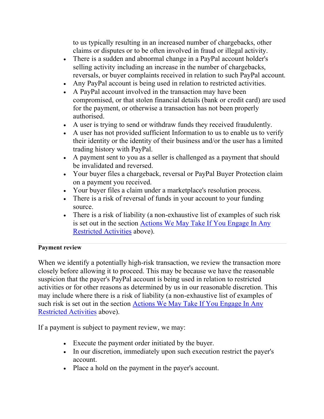to us typically resulting in an increased number of chargebacks, other claims or disputes or to be often involved in fraud or illegal activity.

- There is a sudden and abnormal change in a PayPal account holder's selling activity including an increase in the number of chargebacks, reversals, or buyer complaints received in relation to such PayPal account.
- Any PayPal account is being used in relation to restricted activities.
- A PayPal account involved in the transaction may have been compromised, or that stolen financial details (bank or credit card) are used for the payment, or otherwise a transaction has not been properly authorised.
- A user is trying to send or withdraw funds they received fraudulently.
- A user has not provided sufficient Information to us to enable us to verify their identity or the identity of their business and/or the user has a limited trading history with PayPal.
- A payment sent to you as a seller is challenged as a payment that should be invalidated and reversed.
- Your buyer files a chargeback, reversal or PayPal Buyer Protection claim on a payment you received.
- Your buyer files a claim under a marketplace's resolution process.
- There is a risk of reversal of funds in your account to your funding source.
- There is a risk of liability (a non-exhaustive list of examples of such risk is set out in the section [Actions We May Take If You Engage In Any](#page-40-0)  [Restricted Activities](#page-40-0) above).

# **Payment review**

When we identify a potentially high-risk transaction, we review the transaction more closely before allowing it to proceed. This may be because we have the reasonable suspicion that the payer's PayPal account is being used in relation to restricted activities or for other reasons as determined by us in our reasonable discretion. This may include where there is a risk of liability (a non-exhaustive list of examples of such risk is set out in the section [Actions We May Take If You Engage In Any](#page-40-0)  [Restricted Activities](#page-40-0) above).

If a payment is subject to payment review, we may:

- Execute the payment order initiated by the buyer.
- In our discretion, immediately upon such execution restrict the payer's account.
- Place a hold on the payment in the payer's account.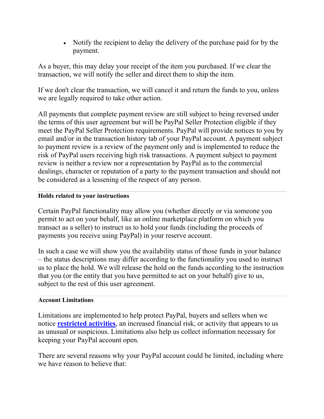• Notify the recipient to delay the delivery of the purchase paid for by the payment.

As a buyer, this may delay your receipt of the item you purchased. If we clear the transaction, we will notify the seller and direct them to ship the item.

If we don't clear the transaction, we will cancel it and return the funds to you, unless we are legally required to take other action.

All payments that complete payment review are still subject to being reversed under the terms of this user agreement but will be PayPal Seller Protection eligible if they meet the PayPal Seller Protection requirements. PayPal will provide notices to you by email and/or in the transaction history tab of your PayPal account. A payment subject to payment review is a review of the payment only and is implemented to reduce the risk of PayPal users receiving high risk transactions. A payment subject to payment review is neither a review nor a representation by PayPal as to the commercial dealings, character or reputation of a party to the payment transaction and should not be considered as a lessening of the respect of any person.

# **Holds related to your instructions**

Certain PayPal functionality may allow you (whether directly or via someone you permit to act on your behalf, like an online marketplace platform on which you transact as a seller) to instruct us to hold your funds (including the proceeds of payments you receive using PayPal) in your reserve account.

In such a case we will show you the availability status of those funds in your balance – the status descriptions may differ according to the functionality you used to instruct us to place the hold. We will release the hold on the funds according to the instruction that you (or the entity that you have permitted to act on your behalf) give to us, subject to the rest of this user agreement.

# **Account Limitations**

Limitations are implemented to help protect PayPal, buyers and sellers when we notice **[restricted activities](#page-37-0)**, an increased financial risk, or activity that appears to us as unusual or suspicious. Limitations also help us collect information necessary for keeping your PayPal account open.

There are several reasons why your PayPal account could be limited, including where we have reason to believe that: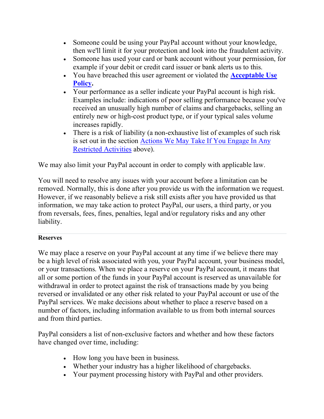- Someone could be using your PayPal account without your knowledge, then we'll limit it for your protection and look into the fraudulent activity.
- Someone has used your card or bank account without your permission, for example if your debit or credit card issuer or bank alerts us to this.
- You have breached this user agreement or violated the **[Acceptable Use](https://www.paypal.com/uk/webapps/mpp/ua/acceptableuse-full?locale.x=en_GB)  [Policy.](https://www.paypal.com/uk/webapps/mpp/ua/acceptableuse-full?locale.x=en_GB)**
- Your performance as a seller indicate your PayPal account is high risk. Examples include: indications of poor selling performance because you've received an unusually high number of claims and chargebacks, selling an entirely new or high-cost product type, or if your typical sales volume increases rapidly.
- There is a risk of liability (a non-exhaustive list of examples of such risk is set out in the section [Actions We May Take If You Engage In Any](#page-40-0)  [Restricted Activities](#page-40-0) above).

We may also limit your PayPal account in order to comply with applicable law.

You will need to resolve any issues with your account before a limitation can be removed. Normally, this is done after you provide us with the information we request. However, if we reasonably believe a risk still exists after you have provided us that information, we may take action to protect PayPal, our users, a third party, or you from reversals, fees, fines, penalties, legal and/or regulatory risks and any other liability.

# **Reserves**

We may place a reserve on your PayPal account at any time if we believe there may be a high level of risk associated with you, your PayPal account, your business model, or your transactions. When we place a reserve on your PayPal account, it means that all or some portion of the funds in your PayPal account is reserved as unavailable for withdrawal in order to protect against the risk of transactions made by you being reversed or invalidated or any other risk related to your PayPal account or use of the PayPal services. We make decisions about whether to place a reserve based on a number of factors, including information available to us from both internal sources and from third parties.

PayPal considers a list of non-exclusive factors and whether and how these factors have changed over time, including:

- How long you have been in business.
- Whether your industry has a higher likelihood of chargebacks.
- Your payment processing history with PayPal and other providers.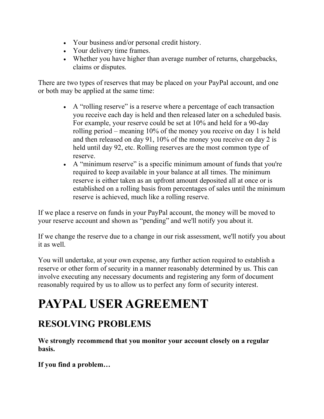- Your business and/or personal credit history.
- Your delivery time frames.
- Whether you have higher than average number of returns, chargebacks, claims or disputes.

There are two types of reserves that may be placed on your PayPal account, and one or both may be applied at the same time:

- A "rolling reserve" is a reserve where a percentage of each transaction you receive each day is held and then released later on a scheduled basis. For example, your reserve could be set at 10% and held for a 90-day rolling period – meaning 10% of the money you receive on day 1 is held and then released on day 91, 10% of the money you receive on day 2 is held until day 92, etc. Rolling reserves are the most common type of reserve.
- A "minimum reserve" is a specific minimum amount of funds that you're required to keep available in your balance at all times. The minimum reserve is either taken as an upfront amount deposited all at once or is established on a rolling basis from percentages of sales until the minimum reserve is achieved, much like a rolling reserve.

If we place a reserve on funds in your PayPal account, the money will be moved to your reserve account and shown as "pending" and we'll notify you about it.

If we change the reserve due to a change in our risk assessment, we'll notify you about it as well.

You will undertake, at your own expense, any further action required to establish a reserve or other form of security in a manner reasonably determined by us. This can involve executing any necessary documents and registering any form of document reasonably required by us to allow us to perfect any form of security interest.

# **PAYPAL USER AGREEMENT**

# **RESOLVING PROBLEMS**

**We strongly recommend that you monitor your account closely on a regular basis.**

**If you find a problem…**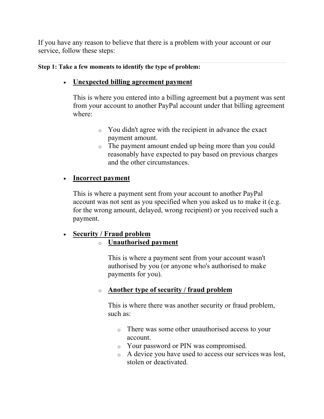If you have any reason to believe that there is a problem with your account or our service, follow these steps:

#### **Step 1: Take a few moments to identify the type of problem:**

# • **Unexpected billing agreement payment**

This is where you entered into a billing agreement but a payment was sent from your account to another PayPal account under that billing agreement where:

- o You didn't agree with the recipient in advance the exact payment amount.
- o The payment amount ended up being more than you could reasonably have expected to pay based on previous charges and the other circumstances.

# • **Incorrect payment**

This is where a payment sent from your account to another PayPal account was not sent as you specified when you asked us to make it (e.g. for the wrong amount, delayed, wrong recipient) or you received such a payment.

# • **Security / Fraud problem**

# o **Unauthorised payment**

This is where a payment sent from your account wasn't authorised by you (or anyone who's authorised to make payments for you).

# o **Another type of security / fraud problem**

This is where there was another security or fraud problem, such as:

- o There was some other unauthorised access to your account.
- o Your password or PIN was compromised.
- o A device you have used to access our services was lost, stolen or deactivated.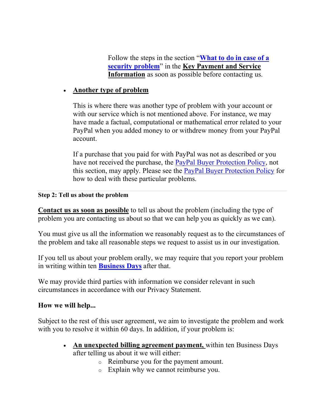Follow the steps in the section "**[What to do in case of a](https://www.paypal.com/uk/webapps/mpp/ua/servicedescription-full?locale.x=en_GB)  [security problem](https://www.paypal.com/uk/webapps/mpp/ua/servicedescription-full?locale.x=en_GB)**" in the **Key Payment and Service Information** as soon as possible before contacting us.

# • **Another type of problem**

This is where there was another type of problem with your account or with our service which is not mentioned above. For instance, we may have made a factual, computational or mathematical error related to your PayPal when you added money to or withdrew money from your PayPal account.

If a purchase that you paid for with PayPal was not as described or you have not received the purchase, the [PayPal Buyer Protection Policy,](https://www.paypal.com/uk/webapps/mpp/ua/buyer-protection?locale.x=en_GB) not this section, may apply. Please see the [PayPal Buyer Protection Policy](https://www.paypal.com/uk/webapps/mpp/ua/buyer-protection?locale.x=en_GB) for how to deal with these particular problems.

#### **Step 2: Tell us about the problem**

**Contact us as soon as possible** to tell us about the problem (including the type of problem you are contacting us about so that we can help you as quickly as we can).

You must give us all the information we reasonably request as to the circumstances of the problem and take all reasonable steps we request to assist us in our investigation.

If you tell us about your problem orally, we may require that you report your problem in writing within ten **Business Days** after that.

We may provide third parties with information we consider relevant in such circumstances in accordance with our Privacy Statement.

# **How we will help...**

Subject to the rest of this user agreement, we aim to investigate the problem and work with you to resolve it within 60 days. In addition, if your problem is:

- **An unexpected billing agreement payment,** within ten Business Days after telling us about it we will either:
	- o Reimburse you for the payment amount.
	- o Explain why we cannot reimburse you.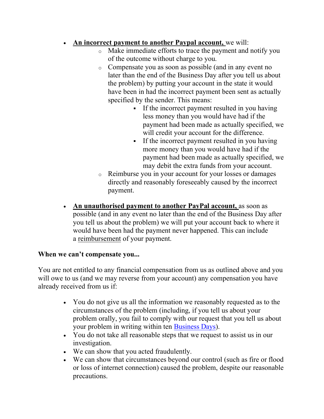# • **An incorrect payment to another Paypal account,** we will:

- o Make immediate efforts to trace the payment and notify you of the outcome without charge to you.
- o Compensate you as soon as possible (and in any event no later than the end of the Business Day after you tell us about the problem) by putting your account in the state it would have been in had the incorrect payment been sent as actually specified by the sender. This means:
	- If the incorrect payment resulted in you having less money than you would have had if the payment had been made as actually specified, we will credit your account for the difference.
	- If the incorrect payment resulted in you having more money than you would have had if the payment had been made as actually specified, we may debit the extra funds from your account.
- o Reimburse you in your account for your losses or damages directly and reasonably foreseeably caused by the incorrect payment.
- **An unauthorised payment to another PayPal account,** as soon as possible (and in any event no later than the end of the Business Day after you tell us about the problem) we will put your account back to where it would have been had the payment never happened. This can include a reimbursement of your payment.

# **When we can't compensate you...**

You are not entitled to any financial compensation from us as outlined above and you will owe to us (and we may reverse from your account) any compensation you have already received from us if:

- You do not give us all the information we reasonably requested as to the circumstances of the problem (including, if you tell us about your problem orally, you fail to comply with our request that you tell us about your problem in writing within ten Business Days).
- You do not take all reasonable steps that we request to assist us in our investigation.
- We can show that you acted fraudulently.
- We can show that circumstances beyond our control (such as fire or flood or loss of internet connection) caused the problem, despite our reasonable precautions.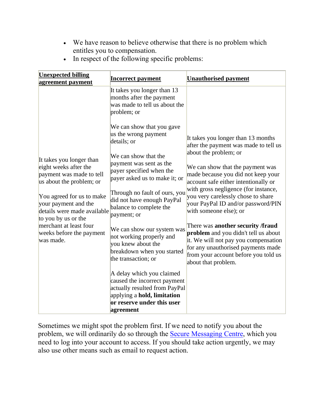• We have reason to believe otherwise that there is no problem which entitles you to compensation.

| <b>Unexpected billing</b>                                                                                 | <b>Incorrect payment</b>                                                                                                                                                         | <b>Unauthorised payment</b>                                                                                                                                                                                            |
|-----------------------------------------------------------------------------------------------------------|----------------------------------------------------------------------------------------------------------------------------------------------------------------------------------|------------------------------------------------------------------------------------------------------------------------------------------------------------------------------------------------------------------------|
| agreement payment                                                                                         | It takes you longer than 13<br>months after the payment<br>was made to tell us about the<br>problem; or                                                                          |                                                                                                                                                                                                                        |
| It takes you longer than<br>eight weeks after the<br>payment was made to tell<br>us about the problem; or | We can show that you gave<br>us the wrong payment<br>details; or<br>We can show that the<br>payment was sent as the<br>payer specified when the<br>payer asked us to make it; or | It takes you longer than 13 months<br>after the payment was made to tell us<br>about the problem; or<br>We can show that the payment was<br>made because you did not keep your<br>account safe either intentionally or |
| You agreed for us to make<br>your payment and the<br>details were made available<br>to you by us or the   | Through no fault of ours, you<br>did not have enough PayPal<br>balance to complete the<br>payment; or                                                                            | with gross negligence (for instance,<br>you very carelessly chose to share<br>your PayPal ID and/or password/PIN<br>with someone else); or                                                                             |
| merchant at least four<br>weeks before the payment<br>was made.                                           | We can show our system was<br>not working properly and<br>you knew about the<br>breakdown when you started<br>the transaction; or                                                | There was another security /fraud<br>problem and you didn't tell us about<br>it. We will not pay you compensation<br>for any unauthorised payments made<br>from your account before you told us<br>about that problem. |
|                                                                                                           | A delay which you claimed<br>caused the incorrect payment<br>actually resulted from PayPal<br>applying a hold, limitation<br>or reserve under this user<br>agreement             |                                                                                                                                                                                                                        |

• In respect of the following specific problems:

Sometimes we might spot the problem first. If we need to notify you about the problem, we will ordinarily do so through the [Secure Messaging Centre,](https://www.paypal.com/uk/selfhelp/home?locale.x=en_GB) which you need to log into your account to access. If you should take action urgently, we may also use other means such as email to request action.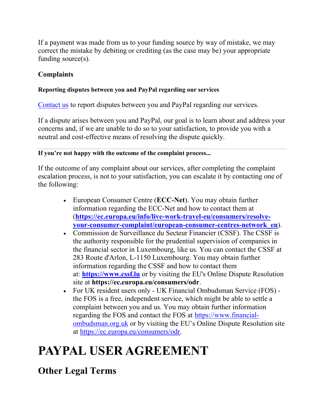If a payment was made from us to your funding source by way of mistake, we may correct the mistake by debiting or crediting (as the case may be) your appropriate funding source(s).

# **Complaints**

# **Reporting disputes between you and PayPal regarding our services**

[Contact us](https://www.paypal.com/uk/selfhelp/home?locale.x=en_GB) to report disputes between you and PayPal regarding our services.

If a dispute arises between you and PayPal, our goal is to learn about and address your concerns and, if we are unable to do so to your satisfaction, to provide you with a neutral and cost-effective means of resolving the dispute quickly.

# **If you're not happy with the outcome of the complaint process...**

If the outcome of any complaint about our services, after completing the complaint escalation process, is not to your satisfaction, you can escalate it by contacting one of the following:

- European Consumer Centre (**ECC-Net**). You may obtain further information regarding the ECC-Net and how to contact them at (**[https://ec.europa.eu/info/live-work-travel-eu/consumers/resolve](https://ec.europa.eu/info/live-work-travel-eu/consumers/resolve-your-consumer-complaint/european-consumer-centres-network_en)[your-consumer-complaint/european-consumer-centres-network\\_en](https://ec.europa.eu/info/live-work-travel-eu/consumers/resolve-your-consumer-complaint/european-consumer-centres-network_en)**).
- Commission de Surveillance du Secteur Financier (CSSF). The CSSF is the authority responsible for the prudential supervision of companies in the financial sector in Luxembourg, like us. You can contact the CSSF at 283 Route d'Arlon, L-1150 Luxembourg. You may obtain further information regarding the CSSF and how to contact them at: **[https://www.cssf.lu](https://www.cssf.lu/)** or by visiting the EU's Online Dispute Resolution site at **https://ec.europa.eu/consumers/odr**.
- For UK resident users only UK Financial Ombudsman Service (FOS) the FOS is a free, independent service, which might be able to settle a complaint between you and us. You may obtain further information regarding the FOS and contact the FOS at [https://www.financial](https://www.financial-ombudsman.org.uk/)[ombudsman.org.uk](https://www.financial-ombudsman.org.uk/) or by visiting the EU's Online Dispute Resolution site at [https://ec.europa.eu/consumers/odr.](https://ec.europa.eu/consumers/odr)

# **PAYPAL USER AGREEMENT**

**Other Legal Terms**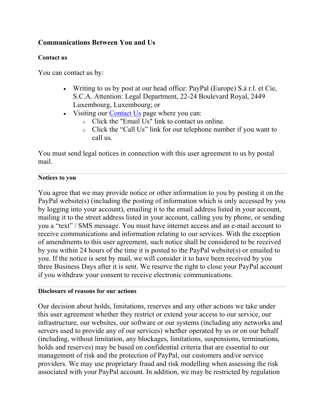# **Communications Between You and Us**

#### **Contact us**

You can contact us by:

- Writing to us by post at our head office: PayPal (Europe) S.à r.l. et Cie, S.C.A. Attention: Legal Department, 22-24 Boulevard Royal, 2449 Luxembourg, Luxembourg; or
- Visiting our [Contact Us](https://www.paypal.com/uk/cgi-bin/helpscr?cmd=_help&t=escalateTab&locale.x=en_GB) page where you can:
	- o Click the "Email Us" link to contact us online.
	- o Click the "Call Us" link for our telephone number if you want to call us.

You must send legal notices in connection with this user agreement to us by postal mail.

#### **Notices to you**

You agree that we may provide notice or other information to you by posting it on the PayPal website(s) (including the posting of information which is only accessed by you by logging into your account), emailing it to the email address listed in your account, mailing it to the street address listed in your account, calling you by phone, or sending you a "text" / SMS message. You must have internet access and an e-mail account to receive communications and information relating to our services. With the exception of amendments to this user agreement, such notice shall be considered to be received by you within 24 hours of the time it is posted to the PayPal website(s) or emailed to you. If the notice is sent by mail, we will consider it to have been received by you three Business Days after it is sent. We reserve the right to close your PayPal account if you withdraw your consent to receive electronic communications.

#### **Disclosure of reasons for our actions**

Our decision about holds, limitations, reserves and any other actions we take under this user agreement whether they restrict or extend your access to our service, our infrastructure, our websites, our software or our systems (including any networks and servers used to provide any of our services) whether operated by us or on our behalf (including, without limitation, any blockages, limitations, suspensions, terminations, holds and reserves) may be based on confidential criteria that are essential to our management of risk and the protection of PayPal, our customers and/or service providers. We may use proprietary fraud and risk modelling when assessing the risk associated with your PayPal account. In addition, we may be restricted by regulation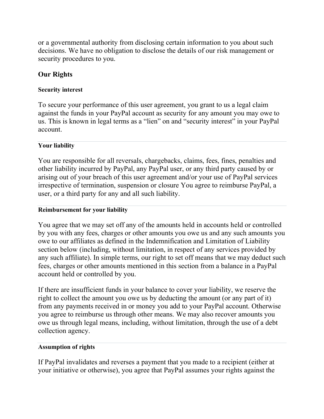or a governmental authority from disclosing certain information to you about such decisions. We have no obligation to disclose the details of our risk management or security procedures to you.

# **Our Rights**

#### **Security interest**

To secure your performance of this user agreement, you grant to us a legal claim against the funds in your PayPal account as security for any amount you may owe to us. This is known in legal terms as a "lien" on and "security interest" in your PayPal account.

# **Your liability**

You are responsible for all reversals, chargebacks, claims, fees, fines, penalties and other liability incurred by PayPal, any PayPal user, or any third party caused by or arising out of your breach of this user agreement and/or your use of PayPal services irrespective of termination, suspension or closure You agree to reimburse PayPal, a user, or a third party for any and all such liability.

#### **Reimbursement for your liability**

You agree that we may set off any of the amounts held in accounts held or controlled by you with any fees, charges or other amounts you owe us and any such amounts you owe to our affiliates as defined in the Indemnification and Limitation of Liability section below (including, without limitation, in respect of any services provided by any such affiliate). In simple terms, our right to set off means that we may deduct such fees, charges or other amounts mentioned in this section from a balance in a PayPal account held or controlled by you.

If there are insufficient funds in your balance to cover your liability, we reserve the right to collect the amount you owe us by deducting the amount (or any part of it) from any payments received in or money you add to your PayPal account. Otherwise you agree to reimburse us through other means. We may also recover amounts you owe us through legal means, including, without limitation, through the use of a debt collection agency.

# **Assumption of rights**

If PayPal invalidates and reverses a payment that you made to a recipient (either at your initiative or otherwise), you agree that PayPal assumes your rights against the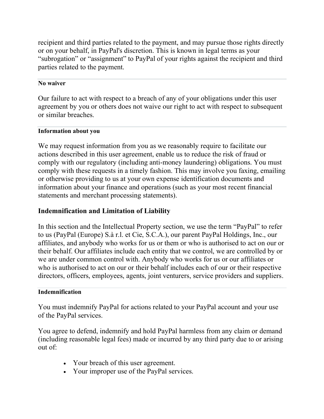recipient and third parties related to the payment, and may pursue those rights directly or on your behalf, in PayPal's discretion. This is known in legal terms as your "subrogation" or "assignment" to PayPal of your rights against the recipient and third parties related to the payment.

#### **No waiver**

Our failure to act with respect to a breach of any of your obligations under this user agreement by you or others does not waive our right to act with respect to subsequent or similar breaches.

#### **Information about you**

We may request information from you as we reasonably require to facilitate our actions described in this user agreement, enable us to reduce the risk of fraud or comply with our regulatory (including anti-money laundering) obligations. You must comply with these requests in a timely fashion. This may involve you faxing, emailing or otherwise providing to us at your own expense identification documents and information about your finance and operations (such as your most recent financial statements and merchant processing statements).

# **Indemnification and Limitation of Liability**

In this section and the Intellectual Property section, we use the term "PayPal" to refer to us (PayPal (Europe) S.à r.l. et Cie, S.C.A.), our parent PayPal Holdings, Inc., our affiliates, and anybody who works for us or them or who is authorised to act on our or their behalf. Our affiliates include each entity that we control, we are controlled by or we are under common control with. Anybody who works for us or our affiliates or who is authorised to act on our or their behalf includes each of our or their respective directors, officers, employees, agents, joint venturers, service providers and suppliers.

#### **Indemnification**

You must indemnify PayPal for actions related to your PayPal account and your use of the PayPal services.

You agree to defend, indemnify and hold PayPal harmless from any claim or demand (including reasonable legal fees) made or incurred by any third party due to or arising out of:

- Your breach of this user agreement.
- Your improper use of the PayPal services.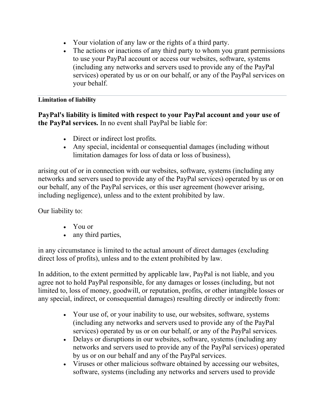- Your violation of any law or the rights of a third party.
- The actions or inactions of any third party to whom you grant permissions to use your PayPal account or access our websites, software, systems (including any networks and servers used to provide any of the PayPal services) operated by us or on our behalf, or any of the PayPal services on your behalf.

# **Limitation of liability**

**PayPal's liability is limited with respect to your PayPal account and your use of the PayPal services.** In no event shall PayPal be liable for:

- Direct or indirect lost profits.
- Any special, incidental or consequential damages (including without limitation damages for loss of data or loss of business),

arising out of or in connection with our websites, software, systems (including any networks and servers used to provide any of the PayPal services) operated by us or on our behalf, any of the PayPal services, or this user agreement (however arising, including negligence), unless and to the extent prohibited by law.

Our liability to:

- You or
- any third parties,

in any circumstance is limited to the actual amount of direct damages (excluding direct loss of profits), unless and to the extent prohibited by law.

In addition, to the extent permitted by applicable law, PayPal is not liable, and you agree not to hold PayPal responsible, for any damages or losses (including, but not limited to, loss of money, goodwill, or reputation, profits, or other intangible losses or any special, indirect, or consequential damages) resulting directly or indirectly from:

- Your use of, or your inability to use, our websites, software, systems (including any networks and servers used to provide any of the PayPal services) operated by us or on our behalf, or any of the PayPal services.
- Delays or disruptions in our websites, software, systems (including any networks and servers used to provide any of the PayPal services) operated by us or on our behalf and any of the PayPal services.
- Viruses or other malicious software obtained by accessing our websites, software, systems (including any networks and servers used to provide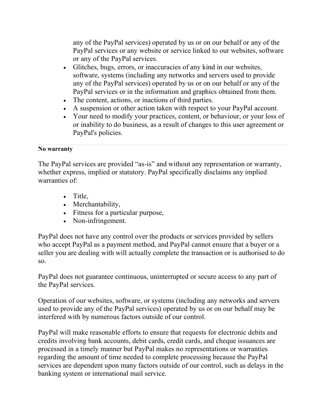any of the PayPal services) operated by us or on our behalf or any of the PayPal services or any website or service linked to our websites, software or any of the PayPal services.

- Glitches, bugs, errors, or inaccuracies of any kind in our websites, software, systems (including any networks and servers used to provide any of the PayPal services) operated by us or on our behalf or any of the PayPal services or in the information and graphics obtained from them.
- The content, actions, or inactions of third parties.
- A suspension or other action taken with respect to your PayPal account.
- Your need to modify your practices, content, or behaviour, or your loss of or inability to do business, as a result of changes to this user agreement or PayPal's policies.

# **No warranty**

The PayPal services are provided "as-is" and without any representation or warranty, whether express, implied or statutory. PayPal specifically disclaims any implied warranties of:

- Title,
- Merchantability,
- Fitness for a particular purpose,
- Non-infringement.

PayPal does not have any control over the products or services provided by sellers who accept PayPal as a payment method, and PayPal cannot ensure that a buyer or a seller you are dealing with will actually complete the transaction or is authorised to do so.

PayPal does not guarantee continuous, uninterrupted or secure access to any part of the PayPal services.

Operation of our websites, software, or systems (including any networks and servers used to provide any of the PayPal services) operated by us or on our behalf may be interfered with by numerous factors outside of our control.

PayPal will make reasonable efforts to ensure that requests for electronic debits and credits involving bank accounts, debit cards, credit cards, and cheque issuances are processed in a timely manner but PayPal makes no representations or warranties regarding the amount of time needed to complete processing because the PayPal services are dependent upon many factors outside of our control, such as delays in the banking system or international mail service.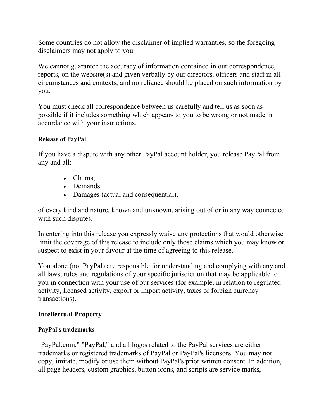Some countries do not allow the disclaimer of implied warranties, so the foregoing disclaimers may not apply to you.

We cannot guarantee the accuracy of information contained in our correspondence, reports, on the website(s) and given verbally by our directors, officers and staff in all circumstances and contexts, and no reliance should be placed on such information by you.

You must check all correspondence between us carefully and tell us as soon as possible if it includes something which appears to you to be wrong or not made in accordance with your instructions.

# **Release of PayPal**

If you have a dispute with any other PayPal account holder, you release PayPal from any and all:

- Claims,
- Demands,
- Damages (actual and consequential),

of every kind and nature, known and unknown, arising out of or in any way connected with such disputes.

In entering into this release you expressly waive any protections that would otherwise limit the coverage of this release to include only those claims which you may know or suspect to exist in your favour at the time of agreeing to this release.

You alone (not PayPal) are responsible for understanding and complying with any and all laws, rules and regulations of your specific jurisdiction that may be applicable to you in connection with your use of our services (for example, in relation to regulated activity, licensed activity, export or import activity, taxes or foreign currency transactions).

# **Intellectual Property**

# **PayPal's trademarks**

"PayPal.com," "PayPal," and all logos related to the PayPal services are either trademarks or registered trademarks of PayPal or PayPal's licensors. You may not copy, imitate, modify or use them without PayPal's prior written consent. In addition, all page headers, custom graphics, button icons, and scripts are service marks,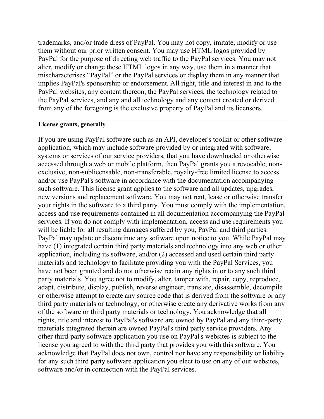trademarks, and/or trade dress of PayPal. You may not copy, imitate, modify or use them without our prior written consent. You may use HTML logos provided by PayPal for the purpose of directing web traffic to the PayPal services. You may not alter, modify or change these HTML logos in any way, use them in a manner that mischaracterises "PayPal" or the PayPal services or display them in any manner that implies PayPal's sponsorship or endorsement. All right, title and interest in and to the PayPal websites, any content thereon, the PayPal services, the technology related to the PayPal services, and any and all technology and any content created or derived from any of the foregoing is the exclusive property of PayPal and its licensors.

#### **License grants, generally**

If you are using PayPal software such as an API, developer's toolkit or other software application, which may include software provided by or integrated with software, systems or services of our service providers, that you have downloaded or otherwise accessed through a web or mobile platform, then PayPal grants you a revocable, nonexclusive, non-sublicensable, non-transferable, royalty-free limited license to access and/or use PayPal's software in accordance with the documentation accompanying such software. This license grant applies to the software and all updates, upgrades, new versions and replacement software. You may not rent, lease or otherwise transfer your rights in the software to a third party. You must comply with the implementation, access and use requirements contained in all documentation accompanying the PayPal services. If you do not comply with implementation, access and use requirements you will be liable for all resulting damages suffered by you, PayPal and third parties. PayPal may update or discontinue any software upon notice to you. While PayPal may have (1) integrated certain third party materials and technology into any web or other application, including its software, and/or (2) accessed and used certain third party materials and technology to facilitate providing you with the PayPal Services, you have not been granted and do not otherwise retain any rights in or to any such third party materials. You agree not to modify, alter, tamper with, repair, copy, reproduce, adapt, distribute, display, publish, reverse engineer, translate, disassemble, decompile or otherwise attempt to create any source code that is derived from the software or any third party materials or technology, or otherwise create any derivative works from any of the software or third party materials or technology. You acknowledge that all rights, title and interest to PayPal's software are owned by PayPal and any third-party materials integrated therein are owned PayPal's third party service providers. Any other third-party software application you use on PayPal's websites is subject to the license you agreed to with the third party that provides you with this software. You acknowledge that PayPal does not own, control nor have any responsibility or liability for any such third party software application you elect to use on any of our websites, software and/or in connection with the PayPal services.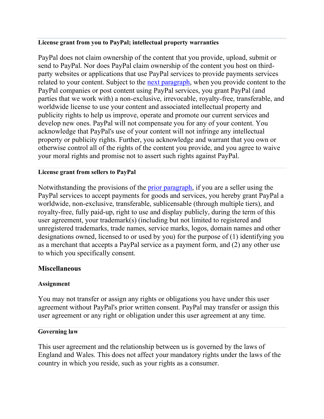#### <span id="page-60-1"></span>**License grant from you to PayPal; intellectual property warranties**

PayPal does not claim ownership of the content that you provide, upload, submit or send to PayPal. Nor does PayPal claim ownership of the content you host on thirdparty websites or applications that use PayPal services to provide payments services related to your content. Subject to the [next paragraph,](#page-60-0) when you provide content to the PayPal companies or post content using PayPal services, you grant PayPal (and parties that we work with) a non-exclusive, irrevocable, royalty-free, transferable, and worldwide license to use your content and associated intellectual property and publicity rights to help us improve, operate and promote our current services and develop new ones. PayPal will not compensate you for any of your content. You acknowledge that PayPal's use of your content will not infringe any intellectual property or publicity rights. Further, you acknowledge and warrant that you own or otherwise control all of the rights of the content you provide, and you agree to waive your moral rights and promise not to assert such rights against PayPal.

#### <span id="page-60-0"></span>**License grant from sellers to PayPal**

Notwithstanding the provisions of the [prior paragraph,](#page-60-1) if you are a seller using the PayPal services to accept payments for goods and services, you hereby grant PayPal a worldwide, non-exclusive, transferable, sublicensable (through multiple tiers), and royalty-free, fully paid-up, right to use and display publicly, during the term of this user agreement, your trademark(s) (including but not limited to registered and unregistered trademarks, trade names, service marks, logos, domain names and other designations owned, licensed to or used by you) for the purpose of (1) identifying you as a merchant that accepts a PayPal service as a payment form, and (2) any other use to which you specifically consent.

# **Miscellaneous**

# **Assignment**

You may not transfer or assign any rights or obligations you have under this user agreement without PayPal's prior written consent. PayPal may transfer or assign this user agreement or any right or obligation under this user agreement at any time.

#### **Governing law**

This user agreement and the relationship between us is governed by the laws of England and Wales. This does not affect your mandatory rights under the laws of the country in which you reside, such as your rights as a consumer.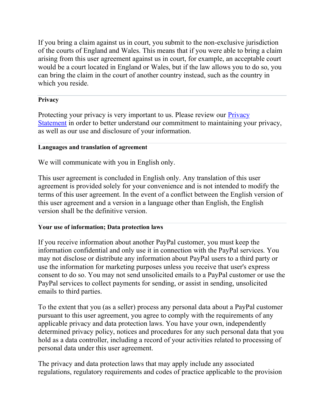If you bring a claim against us in court, you submit to the non-exclusive jurisdiction of the courts of England and Wales. This means that if you were able to bring a claim arising from this user agreement against us in court, for example, an acceptable court would be a court located in England or Wales, but if the law allows you to do so, you can bring the claim in the court of another country instead, such as the country in which you reside.

# **Privacy**

Protecting your privacy is very important to us. Please review our Privacy [Statement](https://www.paypal.com/uk/webapps/mpp/ua/privacy-full?locale.x=en_GB) in order to better understand our commitment to maintaining your privacy, as well as our use and disclosure of your information.

# **Languages and translation of agreement**

We will communicate with you in English only.

This user agreement is concluded in English only. Any translation of this user agreement is provided solely for your convenience and is not intended to modify the terms of this user agreement. In the event of a conflict between the English version of this user agreement and a version in a language other than English, the English version shall be the definitive version.

# **Your use of information; Data protection laws**

If you receive information about another PayPal customer, you must keep the information confidential and only use it in connection with the PayPal services. You may not disclose or distribute any information about PayPal users to a third party or use the information for marketing purposes unless you receive that user's express consent to do so. You may not send unsolicited emails to a PayPal customer or use the PayPal services to collect payments for sending, or assist in sending, unsolicited emails to third parties.

To the extent that you (as a seller) process any personal data about a PayPal customer pursuant to this user agreement, you agree to comply with the requirements of any applicable privacy and data protection laws. You have your own, independently determined privacy policy, notices and procedures for any such personal data that you hold as a data controller, including a record of your activities related to processing of personal data under this user agreement.

The privacy and data protection laws that may apply include any associated regulations, regulatory requirements and codes of practice applicable to the provision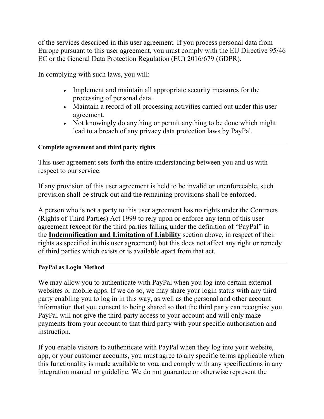of the services described in this user agreement. If you process personal data from Europe pursuant to this user agreement, you must comply with the EU Directive 95/46 EC or the General Data Protection Regulation (EU) 2016/679 (GDPR).

In complying with such laws, you will:

- Implement and maintain all appropriate security measures for the processing of personal data.
- Maintain a record of all processing activities carried out under this user agreement.
- Not knowingly do anything or permit anything to be done which might lead to a breach of any privacy data protection laws by PayPal.

# **Complete agreement and third party rights**

This user agreement sets forth the entire understanding between you and us with respect to our service.

If any provision of this user agreement is held to be invalid or unenforceable, such provision shall be struck out and the remaining provisions shall be enforced.

A person who is not a party to this user agreement has no rights under the Contracts (Rights of Third Parties) Act 1999 to rely upon or enforce any term of this user agreement (except for the third parties falling under the definition of "PayPal" in the **Indemnification and Limitation of Liability** section above, in respect of their rights as specified in this user agreement) but this does not affect any right or remedy of third parties which exists or is available apart from that act.

# **PayPal as Login Method**

We may allow you to authenticate with PayPal when you log into certain external websites or mobile apps. If we do so, we may share your login status with any third party enabling you to log in in this way, as well as the personal and other account information that you consent to being shared so that the third party can recognise you. PayPal will not give the third party access to your account and will only make payments from your account to that third party with your specific authorisation and instruction.

If you enable visitors to authenticate with PayPal when they log into your website, app, or your customer accounts, you must agree to any specific terms applicable when this functionality is made available to you, and comply with any specifications in any integration manual or guideline. We do not guarantee or otherwise represent the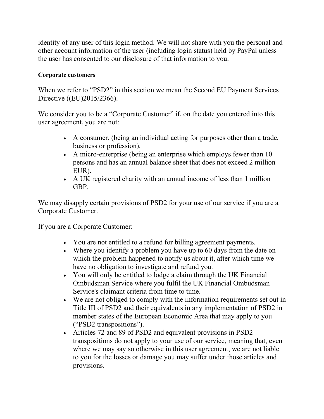identity of any user of this login method. We will not share with you the personal and other account information of the user (including login status) held by PayPal unless the user has consented to our disclosure of that information to you.

#### **Corporate customers**

When we refer to "PSD2" in this section we mean the Second EU Payment Services Directive ((EU)2015/2366).

We consider you to be a "Corporate Customer" if, on the date you entered into this user agreement, you are not:

- A consumer, (being an individual acting for purposes other than a trade, business or profession).
- A micro-enterprise (being an enterprise which employs fewer than 10 persons and has an annual balance sheet that does not exceed 2 million EUR).
- A UK registered charity with an annual income of less than 1 million GBP.

We may disapply certain provisions of PSD2 for your use of our service if you are a Corporate Customer.

If you are a Corporate Customer:

- You are not entitled to a refund for billing agreement payments.
- Where you identify a problem you have up to 60 days from the date on which the problem happened to notify us about it, after which time we have no obligation to investigate and refund you.
- You will only be entitled to lodge a claim through the UK Financial Ombudsman Service where you fulfil the UK Financial Ombudsman Service's claimant criteria from time to time.
- We are not obliged to comply with the information requirements set out in Title III of PSD2 and their equivalents in any implementation of PSD2 in member states of the European Economic Area that may apply to you ("PSD2 transpositions").
- Articles 72 and 89 of PSD2 and equivalent provisions in PSD2 transpositions do not apply to your use of our service, meaning that, even where we may say so otherwise in this user agreement, we are not liable to you for the losses or damage you may suffer under those articles and provisions.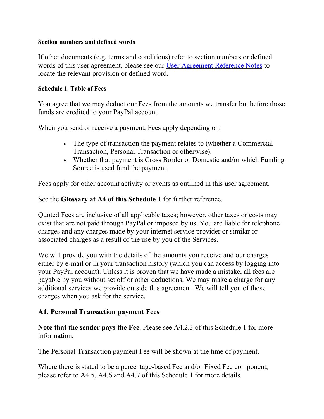#### **Section numbers and defined words**

If other documents (e.g. terms and conditions) refer to section numbers or defined words of this user agreement, please see our [User Agreement Reference Notes](https://www.paypal.com/uk/webapps/mpp/ua/reference-notes-full?locale.x=en_GB) to locate the relevant provision or defined word.

#### **Schedule 1. Table of Fees**

You agree that we may deduct our Fees from the amounts we transfer but before those funds are credited to your PayPal account.

When you send or receive a payment, Fees apply depending on:

- The type of transaction the payment relates to (whether a Commercial Transaction, Personal Transaction or otherwise).
- Whether that payment is Cross Border or Domestic and/or which Funding Source is used fund the payment.

Fees apply for other account activity or events as outlined in this user agreement.

See the **Glossary at A4 of this Schedule 1** for further reference.

Quoted Fees are inclusive of all applicable taxes; however, other taxes or costs may exist that are not paid through PayPal or imposed by us. You are liable for telephone charges and any charges made by your internet service provider or similar or associated charges as a result of the use by you of the Services.

We will provide you with the details of the amounts you receive and our charges either by e-mail or in your transaction history (which you can access by logging into your PayPal account). Unless it is proven that we have made a mistake, all fees are payable by you without set off or other deductions. We may make a charge for any additional services we provide outside this agreement. We will tell you of those charges when you ask for the service.

# **A1. Personal Transaction payment Fees**

**Note that the sender pays the Fee**. Please see A4.2.3 of this Schedule 1 for more information.

The Personal Transaction payment Fee will be shown at the time of payment.

Where there is stated to be a percentage-based Fee and/or Fixed Fee component, please refer to A4.5, A4.6 and A4.7 of this Schedule 1 for more details.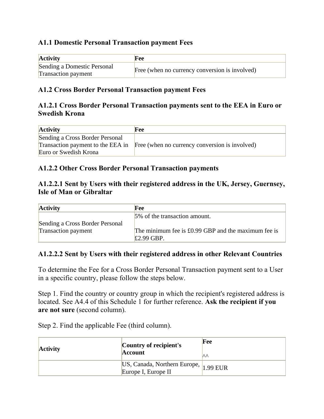# **A1.1 Domestic Personal Transaction payment Fees**

| <b>Activity</b>                                           | <b>Fee</b>                                     |
|-----------------------------------------------------------|------------------------------------------------|
| Sending a Domestic Personal<br><b>Transaction payment</b> | Free (when no currency conversion is involved) |

# **A1.2 Cross Border Personal Transaction payment Fees**

# **A1.2.1 Cross Border Personal Transaction payments sent to the EEA in Euro or Swedish Krona**

| <b>Activity</b>                 | Fee                                                                              |
|---------------------------------|----------------------------------------------------------------------------------|
| Sending a Cross Border Personal |                                                                                  |
|                                 | Transaction payment to the EEA in Free (when no currency conversion is involved) |
| Euro or Swedish Krona           |                                                                                  |

# **A1.2.2 Other Cross Border Personal Transaction payments**

# **A1.2.2.1 Sent by Users with their registered address in the UK, Jersey, Guernsey, Isle of Man or Gibraltar**

| <b>Activity</b>                 | Fee                                                                          |
|---------------------------------|------------------------------------------------------------------------------|
|                                 | 5% of the transaction amount.                                                |
| Sending a Cross Border Personal |                                                                              |
| <b>Transaction payment</b>      | The minimum fee is $\pounds 0.99$ GBP and the maximum fee is<br>$£2.99$ GBP. |

# **A1.2.2.2 Sent by Users with their registered address in other Relevant Countries**

To determine the Fee for a Cross Border Personal Transaction payment sent to a User in a specific country, please follow the steps below.

Step 1. Find the country or country group in which the recipient's registered address is located. See A4.4 of this Schedule 1 for further reference. **Ask the recipient if you are not sure** (second column).

Step 2. Find the applicable Fee (third column).

| <b>Activity</b> | Country of recipient's<br><b>Account</b>                     | Fee<br><b>IAA</b> |
|-----------------|--------------------------------------------------------------|-------------------|
|                 | US, Canada, Northern Europe, 1.99 EUR<br>Europe I, Europe II |                   |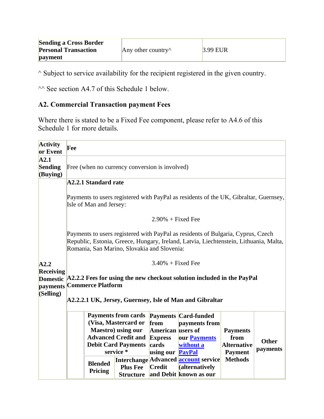| <b>Sending a Cross Border</b> |                            |            |
|-------------------------------|----------------------------|------------|
| <b>Personal Transaction</b>   | Any other country $\wedge$ | $3.99$ EUR |
| payment                       |                            |            |

 $\land$  Subject to service availability for the recipient registered in the given country.

 $\sim$  See section A4.7 of this Schedule 1 below.

# **A2. Commercial Transaction payment Fees**

Where there is stated to be a Fixed Fee component, please refer to A4.6 of this Schedule 1 for more details.

| <b>Activity</b><br>or Event              | Fee                                                                                                                                                                                                                                                                                                                                                              |  |  |  |  |
|------------------------------------------|------------------------------------------------------------------------------------------------------------------------------------------------------------------------------------------------------------------------------------------------------------------------------------------------------------------------------------------------------------------|--|--|--|--|
| A2.1<br><b>Sending</b><br>(Buying)       | Free (when no currency conversion is involved)                                                                                                                                                                                                                                                                                                                   |  |  |  |  |
|                                          | <b>A2.2.1 Standard rate</b><br>Payments to users registered with PayPal as residents of the UK, Gibraltar, Guernsey,                                                                                                                                                                                                                                             |  |  |  |  |
|                                          | Isle of Man and Jersey:                                                                                                                                                                                                                                                                                                                                          |  |  |  |  |
|                                          | $2.90\%$ + Fixed Fee                                                                                                                                                                                                                                                                                                                                             |  |  |  |  |
|                                          | Payments to users registered with PayPal as residents of Bulgaria, Cyprus, Czech<br>Republic, Estonia, Greece, Hungary, Ireland, Latvia, Liechtenstein, Lithuania, Malta,<br>Romania, San Marino, Slovakia and Slovenia:                                                                                                                                         |  |  |  |  |
| A2.2<br><b>Receiving</b>                 | $3.40\%$ + Fixed Fee                                                                                                                                                                                                                                                                                                                                             |  |  |  |  |
| <b>Domestic</b><br>payments<br>(Selling) | A2.2.2 Fees for using the new checkout solution included in the PayPal<br><b>Commerce Platform</b>                                                                                                                                                                                                                                                               |  |  |  |  |
|                                          | A2.2.2.1 UK, Jersey, Guernsey, Isle of Man and Gibraltar                                                                                                                                                                                                                                                                                                         |  |  |  |  |
|                                          | <b>Payments from cards</b><br><b>Payments Card-funded</b><br>(Visa, Mastercard or<br>from<br>payments from<br><b>Maestro</b> ) using our<br><b>American</b> users of<br><b>Payments</b><br><b>Advanced Credit and</b><br><b>Express</b><br>our <b>Payments</b><br>from<br><b>Other</b><br><b>Debit Card Payments</b><br>cards<br>without a<br><b>Alternative</b> |  |  |  |  |
|                                          | payments<br>service*<br>using our <b>PayPal</b><br><b>Payment</b><br><b>Methods</b><br>Interchange Advanced account service<br><b>Blended</b><br><b>Plus Fee</b><br>Credit<br>(alternatively<br>Pricing<br>and Debit known as our<br><b>Structure</b>                                                                                                            |  |  |  |  |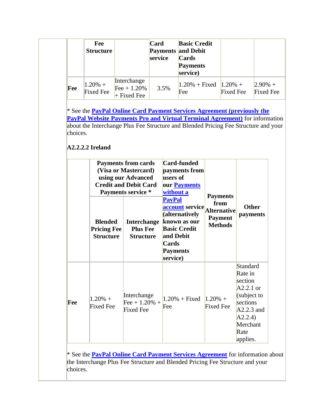|     | Fee<br><b>Structure</b> |                                                  | Card<br><b>Payments and Debit</b><br>service | <b>Basic Credit</b><br><b>Cards</b><br><b>Payments</b><br>service) |                  |                                |
|-----|-------------------------|--------------------------------------------------|----------------------------------------------|--------------------------------------------------------------------|------------------|--------------------------------|
| Fee | $1.20\% +$<br>Fixed Fee | Interchange<br>$[Fee + 1.20\%]$<br>$+$ Fixed Fee | 3.5%                                         | $ 1.20\% +$ Fixed $ 1.20\% +$<br>Fee                               | <b>Fixed Fee</b> | $2.90\% +$<br><b>Fixed Fee</b> |

\* See the **[PayPal Online Card Payment Services Agreement \(previously the](https://www.paypal.com/uk/webapps/mpp/ua/pocpsa-full?locale.x=en_GB)  PayPal Website Payments Pro and Virtual Terminal Agreement**) for information about the Interchange Plus Fee Structure and Blended Pricing Fee Structure and your choices.

# **A2.2.2.2 Ireland**

|     | <b>Blended</b><br><b>Pricing Fee</b><br><b>Structure</b> | <b>Payments from cards</b><br>(Visa or Mastercard)<br>using our Advanced<br><b>Credit and Debit Card</b><br>Payments service *<br><b>Interchange</b><br><b>Plus Fee</b><br><b>Structure</b> | <b>Card-funded</b><br>payments from<br>users of<br>our <b>Payments</b><br>without a<br><b>PayPal</b><br><b>account</b> service<br>(alternatively<br>known as our<br><b>Basic Credit</b><br>and Debit<br><b>Cards</b><br><b>Payments</b><br>service) | <b>Payments</b><br>from<br>Alternative<br><b>Payment</b><br><b>Methods</b> | <b>Other</b><br>payments                                                                                                           |
|-----|----------------------------------------------------------|---------------------------------------------------------------------------------------------------------------------------------------------------------------------------------------------|-----------------------------------------------------------------------------------------------------------------------------------------------------------------------------------------------------------------------------------------------------|----------------------------------------------------------------------------|------------------------------------------------------------------------------------------------------------------------------------|
| Fee | $1.20% +$<br><b>Fixed Fee</b>                            | Interchange<br>Fee + $1.20%$ +<br><b>Fixed Fee</b>                                                                                                                                          | $1.20\%$ + Fixed<br>Fee                                                                                                                                                                                                                             | $1.20% +$<br><b>Fixed Fee</b>                                              | Standard<br>Rate in<br>section<br>$A2.2.1$ or<br>(subject to<br>sections<br>$A2.2.3$ and<br>A2.2.4<br>Merchant<br>Rate<br>applies. |

\* See the **[PayPal Online Card Payment Services Agreement](https://www.paypal.com/uk/webapps/mpp/ua/pocpsa-full?locale.x=en_GB)** for information about the Interchange Plus Fee Structure and Blended Pricing Fee Structure and your choices.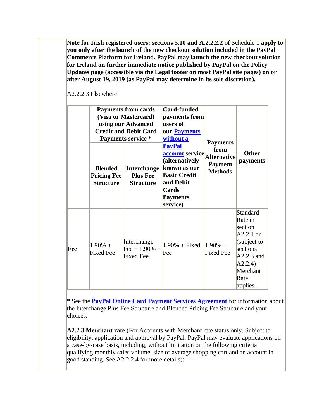**Note for Irish registered users: sections 5.10 and A.2.2.2.2** of Schedule 1 **apply to you only after the launch of the new checkout solution included in the PayPal Commerce Platform for Ireland. PayPal may launch the new checkout solution for Ireland on further immediate notice published by PayPal on the Policy Updates page (accessible via the Legal footer on most PayPal site pages) on or after August 19, 2019 (as PayPal may determine in its sole discretion).**

|     | <b>Blended</b><br><b>Pricing Fee</b><br><b>Structure</b> | <b>Payments from cards</b><br>(Visa or Mastercard)<br>using our Advanced<br><b>Credit and Debit Card</b><br><b>Payments service *</b><br><b>Interchange</b><br><b>Plus Fee</b><br><b>Structure</b> | <b>Card-funded</b><br>payments from<br>users of<br>our <b>Payments</b><br>without a<br><b>PayPal</b><br><b>account</b> service<br>(alternatively<br>known as our<br><b>Basic Credit</b><br>and Debit<br>Cards<br><b>Payments</b><br>service) | <b>Payments</b><br>from<br>Alternative<br><b>Payment</b><br><b>Methods</b> | <b>Other</b><br>payments                                                                                                                   |
|-----|----------------------------------------------------------|----------------------------------------------------------------------------------------------------------------------------------------------------------------------------------------------------|----------------------------------------------------------------------------------------------------------------------------------------------------------------------------------------------------------------------------------------------|----------------------------------------------------------------------------|--------------------------------------------------------------------------------------------------------------------------------------------|
| Fee | $1.90\% +$<br><b>Fixed Fee</b>                           | Interchange<br>Fee + $1.90\%$ +<br><b>Fixed Fee</b>                                                                                                                                                | $1.90\% + Fixed$<br>Fee                                                                                                                                                                                                                      | $1.90\% +$<br><b>Fixed Fee</b>                                             | <b>Standard</b><br>Rate in<br>section<br>$A2.2.1$ or<br>(subject to<br>sections<br>$A2.2.3$ and<br>A2.2.4)<br>Merchant<br>Rate<br>applies. |

A2.2.2.3 Elsewhere

\* See the **[PayPal Online Card Payment Services Agreement](https://www.paypal.com/uk/webapps/mpp/ua/pocpsa-full?locale.x=en_GB)** for information about the Interchange Plus Fee Structure and Blended Pricing Fee Structure and your choices.

**A2.2.3 Merchant rate** (For Accounts with Merchant rate status only. Subject to eligibility, application and approval by PayPal. PayPal may evaluate applications on a case-by-case basis, including, without limitation on the following criteria: qualifying monthly sales volume, size of average shopping cart and an account in good standing. See A2.2.2.4 for more details):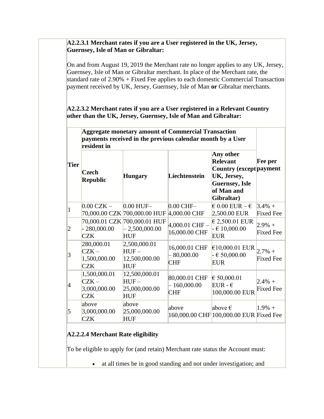#### **A2.2.3.1 Merchant rates if you are a User registered in the UK, Jersey, Guernsey, Isle of Man or Gibraltar:**

On and from August 19, 2019 the Merchant rate no longer applies to any UK, Jersey, Guernsey, Isle of Man or Gibraltar merchant. In place of the Merchant rate, the standard rate of 2.90% + Fixed Fee applies to each domestic Commercial Transaction payment received by UK, Jersey, Guernsey, Isle of Man **or** Gibraltar merchants.

#### **A2.2.3.2 Merchant rates if you are a User registered in a Relevant Country other than the UK, Jersey, Guernsey, Isle of Man and Gibraltar:**

|                 | <b>Aggregate monetary amount of Commercial Transaction</b><br>payments received in the previous calendar month by a User<br>resident in |                                                            |                                              |                                                                                                                                     |                               |  |
|-----------------|-----------------------------------------------------------------------------------------------------------------------------------------|------------------------------------------------------------|----------------------------------------------|-------------------------------------------------------------------------------------------------------------------------------------|-------------------------------|--|
| <b>Tier</b>     | Czech<br><b>Republic</b>                                                                                                                | <b>Hungary</b>                                             | Liechtenstein                                | Any other<br><b>Relevant</b><br><b>Country (except payment</b><br>UK, Jersey,<br><b>Guernsey</b> , Isle<br>of Man and<br>Gibraltar) | <b>Fee per</b>                |  |
|                 | $0.00$ CZK $-$                                                                                                                          | $0.00$ HUF-<br>70,000.00 CZK 700,000.00 HUF                | $0.00$ CHF $-$<br>$4,000.00$ CHF             | € 0.00 EUR – $∈$<br>2,500.00 EUR                                                                                                    | $3.4\% +$<br><b>Fixed</b> Fee |  |
|                 | 280,000.00<br><b>CZK</b>                                                                                                                | 70,000.01 CZK 700,000.01 HUF<br>2,500,000.00<br><b>HUF</b> | $4,000.01$ CHF $-$<br>16,000.00 CHF          | $\in$ 2,500.01 EUR<br>$- 610,000.00$<br><b>EUR</b>                                                                                  | $2.9%$ +<br><b>Fixed Fee</b>  |  |
| $\vert 3 \vert$ | 280,000.01<br>$CZK -$<br>1,500,000.00<br><b>CZK</b>                                                                                     | 2,500,000.01<br>$HUF -$<br>12,500,000.00<br><b>HUF</b>     | 16,000.01 CHF<br>80,000.00<br><b>CHF</b>     | €10,000.01 EUR<br>$-650,000.00$<br><b>EUR</b>                                                                                       | $2.7\% +$<br><b>Fixed Fee</b> |  |
| 14              | 1,500,000.01<br>$CZK -$<br>3,000,000.00<br><b>CZK</b>                                                                                   | 12,500,000.01<br>$HUF -$<br>25,000,000.00<br><b>HUF</b>    | 80,000.01 CHF<br>$-160,000.00$<br><b>CHF</b> | € 50,000.01<br>$EUR - \epsilon$<br>100,000.00 EUR                                                                                   | $2.4\% +$<br><b>Fixed Fee</b> |  |
| 5               | above<br>3,000,000.00<br><b>CZK</b>                                                                                                     | above<br>25,000,000.00<br><b>HUF</b>                       | above                                        | above $\epsilon$<br>160,000.00 CHF 100,000.00 EUR Fixed Fee                                                                         | $1.9% +$                      |  |

# **A2.2.2.4 Merchant Rate eligibility**

To be eligible to apply for (and retain) Merchant rate status the Account must:

• at all times be in good standing and not under investigation; and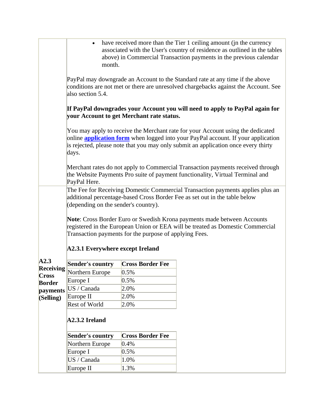|                           | have received more than the Tier 1 ceiling amount (jn the currency<br>$\bullet$<br>associated with the User's country of residence as outlined in the tables<br>above) in Commercial Transaction payments in the previous calendar<br>month.                               |                         |  |  |  |  |  |
|---------------------------|----------------------------------------------------------------------------------------------------------------------------------------------------------------------------------------------------------------------------------------------------------------------------|-------------------------|--|--|--|--|--|
|                           | PayPal may downgrade an Account to the Standard rate at any time if the above<br>conditions are not met or there are unresolved chargebacks against the Account. See<br>also section 5.4.                                                                                  |                         |  |  |  |  |  |
|                           | If PayPal downgrades your Account you will need to apply to PayPal again for<br>your Account to get Merchant rate status.                                                                                                                                                  |                         |  |  |  |  |  |
|                           | You may apply to receive the Merchant rate for your Account using the dedicated<br>online <b>application form</b> when logged into your PayPal account. If your application<br>is rejected, please note that you may only submit an application once every thirty<br>days. |                         |  |  |  |  |  |
|                           | Merchant rates do not apply to Commercial Transaction payments received through<br>the Website Payments Pro suite of payment functionality, Virtual Terminal and<br>PayPal Here.                                                                                           |                         |  |  |  |  |  |
|                           | The Fee for Receiving Domestic Commercial Transaction payments applies plus an<br>additional percentage-based Cross Border Fee as set out in the table below<br>(depending on the sender's country).                                                                       |                         |  |  |  |  |  |
|                           | Note: Cross Border Euro or Swedish Krona payments made between Accounts<br>registered in the European Union or EEA will be treated as Domestic Commercial<br>Transaction payments for the purpose of applying Fees.                                                        |                         |  |  |  |  |  |
|                           | <b>A2.3.1 Everywhere except Ireland</b>                                                                                                                                                                                                                                    |                         |  |  |  |  |  |
| A2.3                      | <b>Sender's country</b>                                                                                                                                                                                                                                                    | <b>Cross Border Fee</b> |  |  |  |  |  |
| <b>Receiving</b>          | Northern Europe                                                                                                                                                                                                                                                            | 0.5%                    |  |  |  |  |  |
| Cross                     | Europe I                                                                                                                                                                                                                                                                   | 0.5%                    |  |  |  |  |  |
| <b>Border</b><br>payments | US / Canada                                                                                                                                                                                                                                                                | 2.0%                    |  |  |  |  |  |
| (Selling)                 | Europe II                                                                                                                                                                                                                                                                  | 2.0%                    |  |  |  |  |  |
|                           | <b>Rest of World</b>                                                                                                                                                                                                                                                       | 2.0%                    |  |  |  |  |  |
|                           | A2.3.2 Ireland                                                                                                                                                                                                                                                             |                         |  |  |  |  |  |
|                           | <b>Sender's country</b>                                                                                                                                                                                                                                                    | <b>Cross Border Fee</b> |  |  |  |  |  |
|                           | Northern Europe                                                                                                                                                                                                                                                            | 0.4%                    |  |  |  |  |  |
|                           | Europe I                                                                                                                                                                                                                                                                   | 0.5%                    |  |  |  |  |  |
|                           | US / Canada                                                                                                                                                                                                                                                                | 1.0%                    |  |  |  |  |  |
|                           | Europe II                                                                                                                                                                                                                                                                  | 1.3%                    |  |  |  |  |  |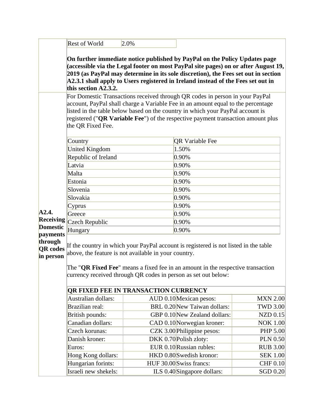|                                     | <b>Rest of World</b>                                                                                                                                                                                                                                                                                                                                        | 2.0% |                                                                                                                                                                                                                                                                                                                                            |                                    |  |  |  |
|-------------------------------------|-------------------------------------------------------------------------------------------------------------------------------------------------------------------------------------------------------------------------------------------------------------------------------------------------------------------------------------------------------------|------|--------------------------------------------------------------------------------------------------------------------------------------------------------------------------------------------------------------------------------------------------------------------------------------------------------------------------------------------|------------------------------------|--|--|--|
|                                     | this section A2.3.2.                                                                                                                                                                                                                                                                                                                                        |      | On further immediate notice published by PayPal on the Policy Updates page<br>(accessible via the Legal footer on most PayPal site pages) on or after August 19,<br>2019 (as PayPal may determine in its sole discretion), the Fees set out in section<br>A2.3.1 shall apply to Users registered in Ireland instead of the Fees set out in |                                    |  |  |  |
|                                     | For Domestic Transactions received through QR codes in person in your PayPal<br>account, PayPal shall charge a Variable Fee in an amount equal to the percentage<br>listed in the table below based on the country in which your PayPal account is<br>registered ("QR Variable Fee") of the respective payment transaction amount plus<br>the QR Fixed Fee. |      |                                                                                                                                                                                                                                                                                                                                            |                                    |  |  |  |
|                                     | Country                                                                                                                                                                                                                                                                                                                                                     |      | <b>QR Variable Fee</b>                                                                                                                                                                                                                                                                                                                     |                                    |  |  |  |
|                                     | <b>United Kingdom</b>                                                                                                                                                                                                                                                                                                                                       |      | 1.50%                                                                                                                                                                                                                                                                                                                                      |                                    |  |  |  |
|                                     | Republic of Ireland                                                                                                                                                                                                                                                                                                                                         |      | 0.90%                                                                                                                                                                                                                                                                                                                                      |                                    |  |  |  |
|                                     | Latvia                                                                                                                                                                                                                                                                                                                                                      |      | 0.90%                                                                                                                                                                                                                                                                                                                                      |                                    |  |  |  |
|                                     | Malta                                                                                                                                                                                                                                                                                                                                                       |      | 0.90%                                                                                                                                                                                                                                                                                                                                      |                                    |  |  |  |
|                                     | Estonia                                                                                                                                                                                                                                                                                                                                                     |      | 0.90%                                                                                                                                                                                                                                                                                                                                      |                                    |  |  |  |
|                                     | Slovenia                                                                                                                                                                                                                                                                                                                                                    |      | 0.90%                                                                                                                                                                                                                                                                                                                                      |                                    |  |  |  |
|                                     | Slovakia                                                                                                                                                                                                                                                                                                                                                    |      | 0.90%                                                                                                                                                                                                                                                                                                                                      |                                    |  |  |  |
|                                     | Cyprus                                                                                                                                                                                                                                                                                                                                                      |      | 0.90%                                                                                                                                                                                                                                                                                                                                      |                                    |  |  |  |
| A2.4.                               | Greece<br>Czech Republic<br>Hungary                                                                                                                                                                                                                                                                                                                         |      | 0.90%                                                                                                                                                                                                                                                                                                                                      |                                    |  |  |  |
| <b>Receiving</b><br><b>Domestic</b> |                                                                                                                                                                                                                                                                                                                                                             |      | 0.90%                                                                                                                                                                                                                                                                                                                                      |                                    |  |  |  |
| payments                            |                                                                                                                                                                                                                                                                                                                                                             |      | 0.90%                                                                                                                                                                                                                                                                                                                                      |                                    |  |  |  |
| through                             | If the country in which your PayPal account is registered is not listed in the table                                                                                                                                                                                                                                                                        |      |                                                                                                                                                                                                                                                                                                                                            |                                    |  |  |  |
| <b>QR</b> codes<br>in person        | above, the feature is not available in your country.                                                                                                                                                                                                                                                                                                        |      |                                                                                                                                                                                                                                                                                                                                            |                                    |  |  |  |
|                                     | The " <b>QR Fixed Fee</b> " means a fixed fee in an amount in the respective transaction<br>currency received through QR codes in person as set out below:<br><b>QR FIXED FEE IN TRANSACTION CURRENCY</b>                                                                                                                                                   |      |                                                                                                                                                                                                                                                                                                                                            |                                    |  |  |  |
|                                     |                                                                                                                                                                                                                                                                                                                                                             |      |                                                                                                                                                                                                                                                                                                                                            |                                    |  |  |  |
|                                     | Australian dollars:                                                                                                                                                                                                                                                                                                                                         |      | AUD 0.10 Mexican pesos:                                                                                                                                                                                                                                                                                                                    | <b>MXN 2.00</b>                    |  |  |  |
|                                     | Brazilian real:                                                                                                                                                                                                                                                                                                                                             |      | BRL 0.20 New Taiwan dollars:                                                                                                                                                                                                                                                                                                               | <b>TWD 3.00</b>                    |  |  |  |
|                                     | British pounds:                                                                                                                                                                                                                                                                                                                                             |      | GBP 0.10 New Zealand dollars:                                                                                                                                                                                                                                                                                                              | $NZD$ 0.15                         |  |  |  |
|                                     | Canadian dollars:                                                                                                                                                                                                                                                                                                                                           |      | CAD 0.10 Norwegian kroner:                                                                                                                                                                                                                                                                                                                 | <b>NOK 1.00</b>                    |  |  |  |
|                                     | Czech korunas:<br>Danish kroner:                                                                                                                                                                                                                                                                                                                            |      | CZK 3.00 Philippine pesos:                                                                                                                                                                                                                                                                                                                 | <b>PHP 5.00</b>                    |  |  |  |
|                                     |                                                                                                                                                                                                                                                                                                                                                             |      | DKK 0.70 Polish zloty:                                                                                                                                                                                                                                                                                                                     | <b>PLN 0.50</b>                    |  |  |  |
|                                     | Euros:                                                                                                                                                                                                                                                                                                                                                      |      | EUR 0.10 Russian rubles:<br>HKD 0.80 Swedish kronor:                                                                                                                                                                                                                                                                                       | <b>RUB 3.00</b><br><b>SEK 1.00</b> |  |  |  |
|                                     | Hong Kong dollars:<br>Hungarian forints:                                                                                                                                                                                                                                                                                                                    |      |                                                                                                                                                                                                                                                                                                                                            | CHF 0.10                           |  |  |  |
|                                     | HUF 30.00 Swiss francs:<br>Israeli new shekels:<br>ILS 0.40 Singapore dollars:                                                                                                                                                                                                                                                                              |      |                                                                                                                                                                                                                                                                                                                                            | SGD $0.20$                         |  |  |  |
|                                     |                                                                                                                                                                                                                                                                                                                                                             |      |                                                                                                                                                                                                                                                                                                                                            |                                    |  |  |  |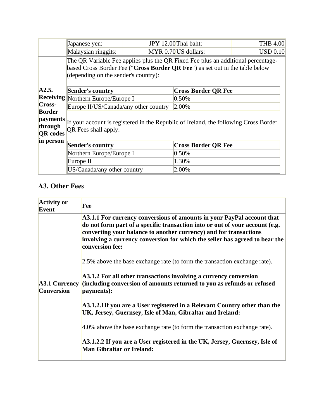|                     | Japanese yen:                                                                        |  | JPY 12.00 Thai baht:       | <b>THB 4.00</b> |  |  |  |
|---------------------|--------------------------------------------------------------------------------------|--|----------------------------|-----------------|--|--|--|
|                     | Malaysian ringgits:                                                                  |  | MYR 0.70 US dollars:       | USD 0.10        |  |  |  |
|                     | The QR Variable Fee applies plus the QR Fixed Fee plus an additional percentage-     |  |                            |                 |  |  |  |
|                     | based Cross Border Fee ("Cross Border QR Fee") as set out in the table below         |  |                            |                 |  |  |  |
|                     | (depending on the sender's country):                                                 |  |                            |                 |  |  |  |
|                     |                                                                                      |  |                            |                 |  |  |  |
| A2.5.               | <b>Sender's country</b>                                                              |  | <b>Cross Border QR Fee</b> |                 |  |  |  |
|                     | Receiving Northern Europe/Europe I                                                   |  | 0.50%                      |                 |  |  |  |
| <b>Cross-</b>       | Europe II/US/Canada/any other country                                                |  | 2.00%                      |                 |  |  |  |
| <b>Border</b>       |                                                                                      |  |                            |                 |  |  |  |
| payments<br>through | If your account is registered in the Republic of Ireland, the following Cross Border |  |                            |                 |  |  |  |
| <b>QR</b> codes     | QR Fees shall apply:                                                                 |  |                            |                 |  |  |  |
| in person           |                                                                                      |  |                            |                 |  |  |  |
|                     | Sender's country                                                                     |  | <b>Cross Border QR Fee</b> |                 |  |  |  |
|                     | Northern Europe/Europe I                                                             |  | 0.50%                      |                 |  |  |  |
|                     | Europe II                                                                            |  | 1.30%                      |                 |  |  |  |
|                     | US/Canada/any other country                                                          |  | 2.00%                      |                 |  |  |  |

# **A3. Other Fees**

| <b>Activity or</b><br><b>Event</b> | Fee                                                                                                                                                                                                                                                                                                                           |  |  |  |  |
|------------------------------------|-------------------------------------------------------------------------------------------------------------------------------------------------------------------------------------------------------------------------------------------------------------------------------------------------------------------------------|--|--|--|--|
|                                    | A3.1.1 For currency conversions of amounts in your PayPal account that<br>do not form part of a specific transaction into or out of your account (e.g.<br>converting your balance to another currency) and for transactions<br>involving a currency conversion for which the seller has agreed to bear the<br>conversion fee: |  |  |  |  |
|                                    | 2.5% above the base exchange rate (to form the transaction exchange rate).                                                                                                                                                                                                                                                    |  |  |  |  |
| <b>Conversion</b>                  | A3.1.2 For all other transactions involving a currency conversion<br>A3.1 Currency (including conversion of amounts returned to you as refunds or refused<br>payments):                                                                                                                                                       |  |  |  |  |
|                                    | A3.1.2.1If you are a User registered in a Relevant Country other than the<br>UK, Jersey, Guernsey, Isle of Man, Gibraltar and Ireland:                                                                                                                                                                                        |  |  |  |  |
|                                    | 4.0% above the base exchange rate (to form the transaction exchange rate).                                                                                                                                                                                                                                                    |  |  |  |  |
|                                    | A3.1.2.2 If you are a User registered in the UK, Jersey, Guernsey, Isle of<br>Man Gibraltar or Ireland:                                                                                                                                                                                                                       |  |  |  |  |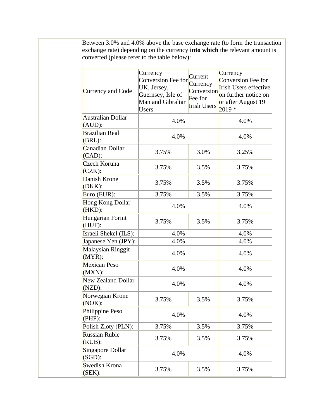| Between 3.0% and 4.0% above the base exchange rate (to form the transaction<br>exchange rate) depending on the currency <b>into which</b> the relevant amount is<br>converted (please refer to the table below): |                                                                                                  |                                                                    |                                                                                                                          |
|------------------------------------------------------------------------------------------------------------------------------------------------------------------------------------------------------------------|--------------------------------------------------------------------------------------------------|--------------------------------------------------------------------|--------------------------------------------------------------------------------------------------------------------------|
| Currency and Code                                                                                                                                                                                                | Currency<br>Conversion Fee for<br>UK, Jersey,<br>Guernsey, Isle of<br>Man and Gibraltar<br>Users | Current<br>Currency<br>Conversion<br>Fee for<br><b>Irish Users</b> | Currency<br>Conversion Fee for<br><b>Irish Users effective</b><br>on further notice on<br>or after August 19<br>$2019 *$ |
| Australian Dollar<br>$(AUD)$ :                                                                                                                                                                                   | 4.0%                                                                                             |                                                                    | 4.0%                                                                                                                     |
| <b>Brazilian Real</b><br>$(BRL)$ :                                                                                                                                                                               | 4.0%                                                                                             |                                                                    | 4.0%                                                                                                                     |
| Canadian Dollar<br>$(CAD)$ :                                                                                                                                                                                     | 3.75%                                                                                            | 3.0%                                                               | 3.25%                                                                                                                    |
| Czech Koruna<br>$(CZK)$ :                                                                                                                                                                                        | 3.75%                                                                                            | 3.5%                                                               | 3.75%                                                                                                                    |
| Danish Krone<br>$(DKK)$ :                                                                                                                                                                                        | 3.75%                                                                                            | 3.5%                                                               | 3.75%                                                                                                                    |
| Euro (EUR):                                                                                                                                                                                                      | 3.75%                                                                                            | 3.5%                                                               | 3.75%                                                                                                                    |
| Hong Kong Dollar<br>$(HKD)$ :                                                                                                                                                                                    | 4.0%                                                                                             |                                                                    | 4.0%                                                                                                                     |
| Hungarian Forint<br>(HUF):                                                                                                                                                                                       | 3.75%                                                                                            | 3.5%                                                               | 3.75%                                                                                                                    |
| Israeli Shekel (ILS):                                                                                                                                                                                            | 4.0%<br>4.0%                                                                                     |                                                                    | 4.0%                                                                                                                     |
| Japanese Yen (JPY):                                                                                                                                                                                              |                                                                                                  |                                                                    | 4.0%                                                                                                                     |
| Malaysian Ringgit<br>$(MYR)$ :                                                                                                                                                                                   | 4.0%                                                                                             |                                                                    | 4.0%                                                                                                                     |
| <b>Mexican Peso</b><br>$(MXN)$ :                                                                                                                                                                                 | 4.0%                                                                                             | 4.0%                                                               |                                                                                                                          |
| New Zealand Dollar<br>$(NZD)$ :                                                                                                                                                                                  | 4.0%                                                                                             |                                                                    |                                                                                                                          |
| Norwegian Krone<br>(NOK):                                                                                                                                                                                        | 3.75%                                                                                            | 3.5%                                                               | 3.75%                                                                                                                    |
| Philippine Peso<br>$(PHP)$ :                                                                                                                                                                                     | 4.0%                                                                                             |                                                                    | 4.0%                                                                                                                     |
| Polish Zloty (PLN):                                                                                                                                                                                              | 3.75%                                                                                            | 3.5%                                                               | 3.75%                                                                                                                    |
| Russian Ruble<br>$(RUB)$ :                                                                                                                                                                                       | 3.75%                                                                                            | 3.5%                                                               | 3.75%                                                                                                                    |
| Singapore Dollar<br>$(SGD)$ :                                                                                                                                                                                    | 4.0%                                                                                             |                                                                    | 4.0%                                                                                                                     |
| Swedish Krona<br>(SEK):                                                                                                                                                                                          | 3.75%                                                                                            | 3.5%                                                               | 3.75%                                                                                                                    |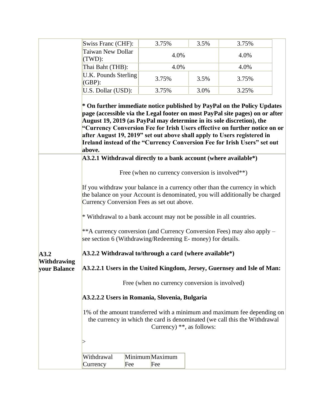|                                                                                                                                                                                        | Swiss Franc (CHF):                                                                                                                                                                                        | 3.75%                                          | 3.5% | 3.75%                                                                                                                                                                                                                                                                                                             |  |  |  |
|----------------------------------------------------------------------------------------------------------------------------------------------------------------------------------------|-----------------------------------------------------------------------------------------------------------------------------------------------------------------------------------------------------------|------------------------------------------------|------|-------------------------------------------------------------------------------------------------------------------------------------------------------------------------------------------------------------------------------------------------------------------------------------------------------------------|--|--|--|
|                                                                                                                                                                                        | <b>Taiwan New Dollar</b><br>(TWD):                                                                                                                                                                        | 4.0%                                           | 4.0% |                                                                                                                                                                                                                                                                                                                   |  |  |  |
|                                                                                                                                                                                        | Thai Baht (THB):                                                                                                                                                                                          | 4.0%                                           |      | 4.0%                                                                                                                                                                                                                                                                                                              |  |  |  |
|                                                                                                                                                                                        | U.K. Pounds Sterling<br>$(GBP)$ :                                                                                                                                                                         | 3.75%                                          | 3.5% | 3.75%                                                                                                                                                                                                                                                                                                             |  |  |  |
|                                                                                                                                                                                        | U.S. Dollar (USD):                                                                                                                                                                                        | 3.75%                                          | 3.0% | 3.25%                                                                                                                                                                                                                                                                                                             |  |  |  |
|                                                                                                                                                                                        | August 19, 2019 (as PayPal may determine in its sole discretion), the<br>after August 19, 2019" set out above shall apply to Users registered in<br>above.                                                |                                                |      | * On further immediate notice published by PayPal on the Policy Updates<br>page (accessible via the Legal footer on most PayPal site pages) on or after<br>"Currency Conversion Fee for Irish Users effective on further notice on or<br>Ireland instead of the "Currency Conversion Fee for Irish Users" set out |  |  |  |
|                                                                                                                                                                                        | A3.2.1 Withdrawal directly to a bank account (where available*)                                                                                                                                           |                                                |      |                                                                                                                                                                                                                                                                                                                   |  |  |  |
|                                                                                                                                                                                        | Free (when no currency conversion is involved <sup>**</sup> )                                                                                                                                             |                                                |      |                                                                                                                                                                                                                                                                                                                   |  |  |  |
|                                                                                                                                                                                        | If you withdraw your balance in a currency other than the currency in which<br>the balance on your Account is denominated, you will additionally be charged<br>Currency Conversion Fees as set out above. |                                                |      |                                                                                                                                                                                                                                                                                                                   |  |  |  |
|                                                                                                                                                                                        | * Withdrawal to a bank account may not be possible in all countries.                                                                                                                                      |                                                |      |                                                                                                                                                                                                                                                                                                                   |  |  |  |
|                                                                                                                                                                                        | ** A currency conversion (and Currency Conversion Fees) may also apply –<br>see section 6 (Withdrawing/Redeeming E- money) for details.                                                                   |                                                |      |                                                                                                                                                                                                                                                                                                                   |  |  |  |
| A3.2                                                                                                                                                                                   | $A3.2.2$ Withdrawal to/through a card (where available*)                                                                                                                                                  |                                                |      |                                                                                                                                                                                                                                                                                                                   |  |  |  |
| <b>Withdrawing</b><br>A3.2.2.1 Users in the United Kingdom, Jersey, Guernsey and Isle of Man:<br>vour Balance                                                                          |                                                                                                                                                                                                           |                                                |      |                                                                                                                                                                                                                                                                                                                   |  |  |  |
|                                                                                                                                                                                        |                                                                                                                                                                                                           | Free (when no currency conversion is involved) |      |                                                                                                                                                                                                                                                                                                                   |  |  |  |
|                                                                                                                                                                                        | A3.2.2.2 Users in Romania, Slovenia, Bulgaria                                                                                                                                                             |                                                |      |                                                                                                                                                                                                                                                                                                                   |  |  |  |
| 1% of the amount transferred with a minimum and maximum fee depending on<br>the currency in which the card is denominated (we call this the Withdrawal<br>Currency) $**$ , as follows: |                                                                                                                                                                                                           |                                                |      |                                                                                                                                                                                                                                                                                                                   |  |  |  |
|                                                                                                                                                                                        |                                                                                                                                                                                                           |                                                |      |                                                                                                                                                                                                                                                                                                                   |  |  |  |
|                                                                                                                                                                                        | Withdrawal<br>Currency<br>Fee                                                                                                                                                                             | Minimum Maximum<br>Fee                         |      |                                                                                                                                                                                                                                                                                                                   |  |  |  |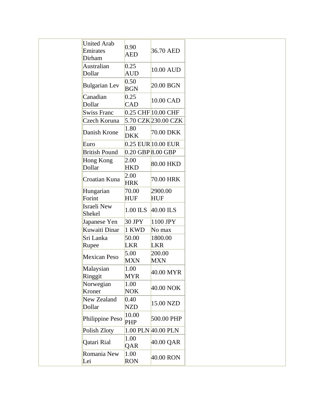| <b>United Arab</b><br>Emirates | 0.90<br><b>AED</b>           | 36.70 AED              |
|--------------------------------|------------------------------|------------------------|
| Dirham<br>Australian           | 0.25                         | 10.00 AUD              |
| Dollar                         | AUD                          |                        |
| <b>Bulgarian Lev</b>           | 0.50<br><b>BGN</b>           | 20.00 BGN              |
| Canadian                       | 0.25                         | 10.00 CAD              |
| Dollar                         | <b>CAD</b>                   |                        |
| <b>Swiss Franc</b>             |                              | $0.25$ CHF $10.00$ CHF |
| Czech Koruna                   |                              | 5.70 CZK 230.00 CZK    |
| Danish Krone                   | $ 1.80\rangle$<br><b>DKK</b> | 70.00 DKK              |
| Euro                           |                              | $0.25$ EUR $10.00$ EUR |
| <b>British Pound</b>           |                              | $0.20$ GBP $8.00$ GBP  |
| Hong Kong<br>Dollar            | 2.00<br><b>HKD</b>           | 80.00 HKD              |
| Croatian Kuna                  | 2.00<br><b>HRK</b>           | 70.00 HRK              |
| Hungarian                      | 70.00                        | 2900.00                |
| Forint                         | <b>HUF</b>                   | <b>HUF</b>             |
| Israeli New<br>Shekel          | 1.00 ILS                     | $40.00$ ILS            |
| Japanese Yen                   | $30$ JPY                     | 1100 JPY               |
| Kuwaiti Dinar                  | 1 KWD                        | No max                 |
| Sri Lanka                      | 50.00                        | 1800.00                |
| Rupee                          | <b>LKR</b>                   | <b>LKR</b>             |
| <b>Mexican Peso</b>            | 5.00<br><b>MXN</b>           | 200.00<br><b>MXN</b>   |
| Malaysian<br>Ringgit           | 1.00<br>MYR                  | 40.00 MYR              |
| Norwegian<br>Kroner            | 1.00<br><b>NOK</b>           | 40.00 NOK              |
| New Zealand<br>Dollar          | 0.40<br><b>NZD</b>           | 15.00 NZD              |
| Philippine Peso                | 10.00<br><b>PHP</b>          | 500.00 PHP             |
| Polish Zloty                   |                              | 1.00 PLN 40.00 PLN     |
| Qatari Rial                    | 1.00<br>QAR                  | 40.00 QAR              |
| Romania New<br>Lei             | 1.00<br><b>RON</b>           | 40.00 RON              |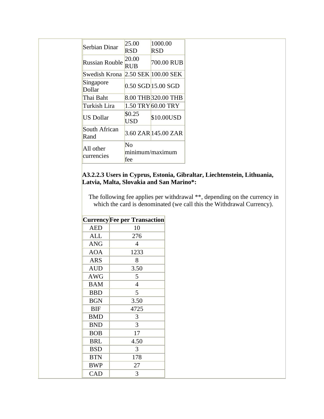| Serbian Dinar                     | 25.00           | 1000.00                |  |  |
|-----------------------------------|-----------------|------------------------|--|--|
|                                   | RSD             | RSD                    |  |  |
| Russian Rouble                    | 20.00           | 700.00 RUB             |  |  |
|                                   | RUB             |                        |  |  |
| Swedish Krona 2.50 SEK 100.00 SEK |                 |                        |  |  |
| Singapore<br>Dollar               |                 | $0.50$ SGD $15.00$ SGD |  |  |
| Thai Baht                         |                 | 8.00 THB 320.00 THB    |  |  |
| Turkish Lira                      |                 | 1.50 TRY 60.00 TRY     |  |  |
| US Dollar                         | \$0.25<br>USD   | \$10.00USD             |  |  |
| South African<br>Rand             |                 | 3.60 ZAR 145.00 ZAR    |  |  |
| All other                         | Nο              |                        |  |  |
| currencies                        | minimum/maximum |                        |  |  |
|                                   | fee             |                        |  |  |

#### **A3.2.2.3 Users in Cyprus, Estonia, Gibraltar, Liechtenstein, Lithuania, Latvia, Malta, Slovakia and San Marino\*:**

The following fee applies per withdrawal \*\*, depending on the currency in which the card is denominated (we call this the Withdrawal Currency).

|            | <b>Currency Fee per Transaction</b> |
|------------|-------------------------------------|
| <b>AED</b> | 10                                  |
| <b>ALL</b> | 276                                 |
| <b>ANG</b> | 4                                   |
| <b>AOA</b> | 1233                                |
| <b>ARS</b> | 8                                   |
| <b>AUD</b> | 3.50                                |
| <b>AWG</b> | 5                                   |
| <b>BAM</b> | $\overline{4}$                      |
| <b>BBD</b> | 5                                   |
| <b>BGN</b> | 3.50                                |
| <b>BIF</b> | 4725                                |
| <b>BMD</b> | 3                                   |
| <b>BND</b> | 3                                   |
| <b>BOB</b> | 17                                  |
| <b>BRL</b> | 4.50                                |
| <b>BSD</b> | 3                                   |
| <b>BTN</b> | 178                                 |
| <b>BWP</b> | 27                                  |
| <b>CAD</b> | 3                                   |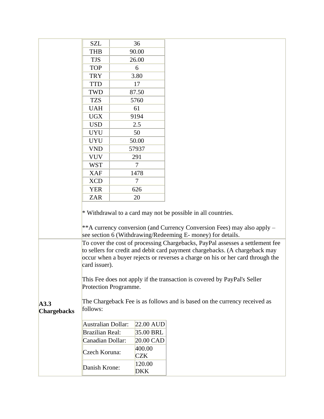|                            | <b>SZL</b>                                                                            |  | 36                   |                                                                                                                                                                                                                                           |
|----------------------------|---------------------------------------------------------------------------------------|--|----------------------|-------------------------------------------------------------------------------------------------------------------------------------------------------------------------------------------------------------------------------------------|
|                            | <b>THB</b>                                                                            |  | 90.00                |                                                                                                                                                                                                                                           |
|                            | <b>TJS</b>                                                                            |  | 26.00                |                                                                                                                                                                                                                                           |
|                            | <b>TOP</b>                                                                            |  | 6                    |                                                                                                                                                                                                                                           |
|                            | <b>TRY</b>                                                                            |  | 3.80                 |                                                                                                                                                                                                                                           |
|                            | <b>TTD</b>                                                                            |  | 17                   |                                                                                                                                                                                                                                           |
|                            | <b>TWD</b>                                                                            |  | 87.50                |                                                                                                                                                                                                                                           |
|                            | <b>TZS</b>                                                                            |  | 5760                 |                                                                                                                                                                                                                                           |
|                            | <b>UAH</b>                                                                            |  | 61                   |                                                                                                                                                                                                                                           |
|                            | <b>UGX</b>                                                                            |  | 9194                 |                                                                                                                                                                                                                                           |
|                            | <b>USD</b>                                                                            |  | 2.5                  |                                                                                                                                                                                                                                           |
|                            | <b>UYU</b>                                                                            |  | 50                   |                                                                                                                                                                                                                                           |
|                            | <b>UYU</b>                                                                            |  | 50.00                |                                                                                                                                                                                                                                           |
|                            | <b>VND</b>                                                                            |  | 57937                |                                                                                                                                                                                                                                           |
|                            | <b>VUV</b>                                                                            |  | 291                  |                                                                                                                                                                                                                                           |
|                            | <b>WST</b>                                                                            |  | $\tau$               |                                                                                                                                                                                                                                           |
|                            | <b>XAF</b>                                                                            |  | 1478                 |                                                                                                                                                                                                                                           |
|                            | <b>XCD</b>                                                                            |  | $\overline{7}$       |                                                                                                                                                                                                                                           |
|                            | <b>YER</b>                                                                            |  | 626                  |                                                                                                                                                                                                                                           |
|                            | <b>ZAR</b>                                                                            |  | 20                   |                                                                                                                                                                                                                                           |
|                            |                                                                                       |  |                      | * Withdrawal to a card may not be possible in all countries.<br>** A currency conversion (and Currency Conversion Fees) may also apply –<br>see section 6 (Withdrawing/Redeeming E- money) for details.                                   |
|                            |                                                                                       |  |                      | To cover the cost of processing Chargebacks, PayPal assesses a settlement fee                                                                                                                                                             |
|                            | card issuer).<br>Protection Programme.                                                |  |                      | to sellers for credit and debit card payment chargebacks. (A chargeback may<br>occur when a buyer rejects or reverses a charge on his or her card through the<br>This Fee does not apply if the transaction is covered by PayPal's Seller |
| A3.3<br><b>Chargebacks</b> | The Chargeback Fee is as follows and is based on the currency received as<br>follows: |  |                      |                                                                                                                                                                                                                                           |
|                            | Australian Dollar:                                                                    |  | $22.00$ AUD          |                                                                                                                                                                                                                                           |
|                            | <b>Brazilian Real:</b>                                                                |  | 35.00 BRL            |                                                                                                                                                                                                                                           |
|                            | Canadian Dollar:                                                                      |  | 20.00 CAD            |                                                                                                                                                                                                                                           |
|                            | Czech Koruna:                                                                         |  | 400.00<br><b>CZK</b> |                                                                                                                                                                                                                                           |
|                            | Danish Krone:                                                                         |  | 120.00<br><b>DKK</b> |                                                                                                                                                                                                                                           |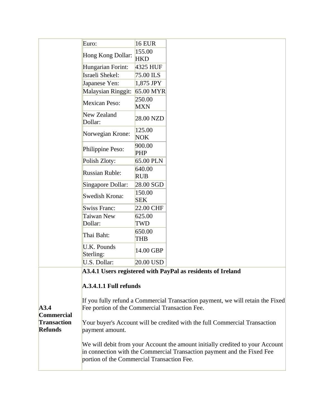|                                                                                                                                                                                                        | Euro:                                                                                                                            | <b>16 EUR</b>        |                                                             |  |  |
|--------------------------------------------------------------------------------------------------------------------------------------------------------------------------------------------------------|----------------------------------------------------------------------------------------------------------------------------------|----------------------|-------------------------------------------------------------|--|--|
|                                                                                                                                                                                                        | Hong Kong Dollar:                                                                                                                | 155.00<br><b>HKD</b> |                                                             |  |  |
|                                                                                                                                                                                                        | Hungarian Forint:                                                                                                                | 4325 HUF             |                                                             |  |  |
|                                                                                                                                                                                                        | Israeli Shekel:                                                                                                                  | 75.00 ILS            |                                                             |  |  |
|                                                                                                                                                                                                        | Japanese Yen:                                                                                                                    | 1,875 JPY            |                                                             |  |  |
|                                                                                                                                                                                                        | <b>Malaysian Ringgit:</b>                                                                                                        | 65.00 MYR            |                                                             |  |  |
|                                                                                                                                                                                                        | <b>Mexican Peso:</b>                                                                                                             | 250.00<br><b>MXN</b> |                                                             |  |  |
|                                                                                                                                                                                                        | New Zealand<br>Dollar:                                                                                                           | 28.00 NZD            |                                                             |  |  |
|                                                                                                                                                                                                        | Norwegian Krone:                                                                                                                 | 125.00<br><b>NOK</b> |                                                             |  |  |
|                                                                                                                                                                                                        | Philippine Peso:                                                                                                                 | 900.00<br><b>PHP</b> |                                                             |  |  |
|                                                                                                                                                                                                        | Polish Zloty:                                                                                                                    | 65.00 PLN            |                                                             |  |  |
|                                                                                                                                                                                                        | <b>Russian Ruble:</b>                                                                                                            | 640.00<br><b>RUB</b> |                                                             |  |  |
|                                                                                                                                                                                                        | Singapore Dollar:                                                                                                                | 28.00 SGD            |                                                             |  |  |
|                                                                                                                                                                                                        | Swedish Krona:                                                                                                                   | 150.00<br><b>SEK</b> |                                                             |  |  |
|                                                                                                                                                                                                        | <b>Swiss Franc:</b>                                                                                                              | 22.00 CHF            |                                                             |  |  |
|                                                                                                                                                                                                        | Taiwan New                                                                                                                       | 625.00               |                                                             |  |  |
|                                                                                                                                                                                                        | Dollar:                                                                                                                          | TWD                  |                                                             |  |  |
|                                                                                                                                                                                                        | Thai Baht:                                                                                                                       | 650.00<br>THB        |                                                             |  |  |
|                                                                                                                                                                                                        | <b>U.K. Pounds</b><br>Sterling:                                                                                                  | 14.00 GBP            |                                                             |  |  |
|                                                                                                                                                                                                        | U.S. Dollar:                                                                                                                     | 20.00 USD            |                                                             |  |  |
|                                                                                                                                                                                                        | A.3.4.1.1 Full refunds                                                                                                           |                      | A3.4.1 Users registered with PayPal as residents of Ireland |  |  |
| A3.4<br><b>Commercial</b>                                                                                                                                                                              | If you fully refund a Commercial Transaction payment, we will retain the Fixed<br>Fee portion of the Commercial Transaction Fee. |                      |                                                             |  |  |
| <b>Transaction</b><br><b>Refunds</b>                                                                                                                                                                   | Your buyer's Account will be credited with the full Commercial Transaction<br>payment amount.                                    |                      |                                                             |  |  |
| We will debit from your Account the amount initially credited to your Account<br>in connection with the Commercial Transaction payment and the Fixed Fee<br>portion of the Commercial Transaction Fee. |                                                                                                                                  |                      |                                                             |  |  |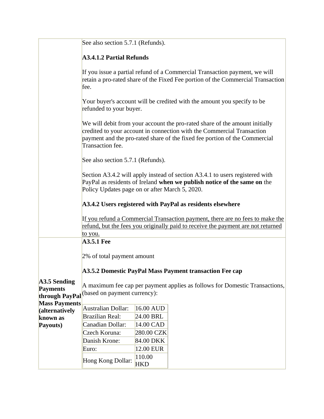|                                   | See also section 5.7.1 (Refunds).                                                                                                                                                                                                                       |  |  |  |  |  |
|-----------------------------------|---------------------------------------------------------------------------------------------------------------------------------------------------------------------------------------------------------------------------------------------------------|--|--|--|--|--|
|                                   | <b>A3.4.1.2 Partial Refunds</b>                                                                                                                                                                                                                         |  |  |  |  |  |
|                                   | If you issue a partial refund of a Commercial Transaction payment, we will<br>retain a pro-rated share of the Fixed Fee portion of the Commercial Transaction<br>fee.                                                                                   |  |  |  |  |  |
|                                   | Your buyer's account will be credited with the amount you specify to be<br>refunded to your buyer.                                                                                                                                                      |  |  |  |  |  |
|                                   | We will debit from your account the pro-rated share of the amount initially<br>credited to your account in connection with the Commercial Transaction<br>payment and the pro-rated share of the fixed fee portion of the Commercial<br>Transaction fee. |  |  |  |  |  |
|                                   | See also section 5.7.1 (Refunds).                                                                                                                                                                                                                       |  |  |  |  |  |
|                                   | Section A3.4.2 will apply instead of section A3.4.1 to users registered with<br>PayPal as residents of Ireland when we publish notice of the same on the<br>Policy Updates page on or after March 5, 2020.                                              |  |  |  |  |  |
|                                   | A3.4.2 Users registered with PayPal as residents elsewhere                                                                                                                                                                                              |  |  |  |  |  |
|                                   | If you refund a Commercial Transaction payment, there are no fees to make the<br>refund, but the fees you originally paid to receive the payment are not returned<br>to you.                                                                            |  |  |  |  |  |
|                                   | <b>A3.5.1 Fee</b>                                                                                                                                                                                                                                       |  |  |  |  |  |
|                                   |                                                                                                                                                                                                                                                         |  |  |  |  |  |
|                                   | 2% of total payment amount                                                                                                                                                                                                                              |  |  |  |  |  |
|                                   | A3.5.2 Domestic PayPal Mass Payment transaction Fee cap                                                                                                                                                                                                 |  |  |  |  |  |
| A3.5 Sending                      | A maximum fee cap per payment applies as follows for Domestic Transactions,                                                                                                                                                                             |  |  |  |  |  |
| <b>Payments</b><br>through PayPal | (based on payment currency):                                                                                                                                                                                                                            |  |  |  |  |  |
| <b>Mass Payments</b>              |                                                                                                                                                                                                                                                         |  |  |  |  |  |
| (alternatively                    | Australian Dollar:<br>16.00 AUD                                                                                                                                                                                                                         |  |  |  |  |  |
| known as                          | <b>Brazilian Real:</b><br>24.00 BRL                                                                                                                                                                                                                     |  |  |  |  |  |
| Payouts)                          | Canadian Dollar:<br>14.00 CAD                                                                                                                                                                                                                           |  |  |  |  |  |
|                                   | Czech Koruna:<br>280.00 CZK                                                                                                                                                                                                                             |  |  |  |  |  |
|                                   | Danish Krone:<br>84.00 DKK                                                                                                                                                                                                                              |  |  |  |  |  |
|                                   | 12.00 EUR<br>Euro:                                                                                                                                                                                                                                      |  |  |  |  |  |
|                                   | 110.00<br>Hong Kong Dollar:<br><b>HKD</b>                                                                                                                                                                                                               |  |  |  |  |  |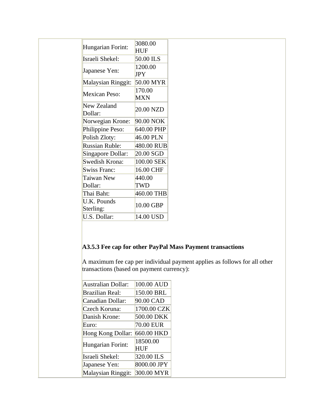|                          | 3080.00              |
|--------------------------|----------------------|
| Hungarian Forint:        | HUF                  |
| Israeli Shekel:          | 50.00 ILS            |
| Japanese Yen:            | 1200.00<br>JPY       |
| Malaysian Ringgit:       | 50.00 MYR            |
| Mexican Peso:            | 170.00<br><b>MXN</b> |
| New Zealand<br>Dollar:   | 20.00 NZD            |
| Norwegian Krone:         | 90.00 NOK            |
| Philippine Peso:         | 640.00 PHP           |
| Polish Zloty:            | 46.00 PLN            |
| <b>Russian Ruble:</b>    | 480.00 RUB           |
| Singapore Dollar:        | 20.00 SGD            |
| Swedish Krona:           | 100.00 SEK           |
| <b>Swiss Franc:</b>      | 16.00 CHF            |
| Taiwan New               | 440.00               |
| Dollar:                  | TWD                  |
| Thai Baht:               | 460.00 THB           |
| U.K. Pounds<br>Sterling: | 10.00 GBP            |
| U.S. Dollar:             | 14.00 USD            |

### **A3.5.3 Fee cap for other PayPal Mass Payment transactions**

A maximum fee cap per individual payment applies as follows for all other transactions (based on payment currency):

| <b>Australian Dollar:</b> | 100.00 AUD      |
|---------------------------|-----------------|
| <b>Brazilian Real:</b>    | 150.00 BRL      |
| Canadian Dollar:          | 90.00 CAD       |
| Czech Koruna:             | 1700.00 CZK     |
| Danish Krone:             | 500.00 DKK      |
| Euro:                     | 70.00 EUR       |
| Hong Kong Dollar:         | 660.00 HKD      |
| Hungarian Forint:         | 18500.00<br>HUF |
| Israeli Shekel:           | 320.00 ILS      |
| Japanese Yen:             | 8000.00 JPY     |
| Malaysian Ringgit:        | 300.00 MYR      |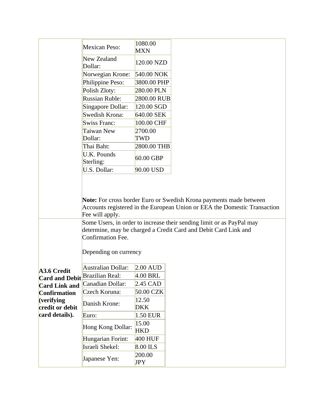|                               | <b>Mexican Peso:</b>            | 1080.00<br><b>MXN</b> |                                                                                                                                                                                                                          |
|-------------------------------|---------------------------------|-----------------------|--------------------------------------------------------------------------------------------------------------------------------------------------------------------------------------------------------------------------|
|                               | New Zealand<br>Dollar:          | 120.00 NZD            |                                                                                                                                                                                                                          |
|                               | Norwegian Krone:                | 540.00 NOK            |                                                                                                                                                                                                                          |
|                               | Philippine Peso:                | 3800.00 PHP           |                                                                                                                                                                                                                          |
|                               | Polish Zloty:                   | 280.00 PLN            |                                                                                                                                                                                                                          |
|                               | <b>Russian Ruble:</b>           | 2800.00 RUB           |                                                                                                                                                                                                                          |
|                               | Singapore Dollar:               | 120.00 SGD            |                                                                                                                                                                                                                          |
|                               | Swedish Krona:                  | 640.00 SEK            |                                                                                                                                                                                                                          |
|                               | Swiss Franc:                    | 100.00 CHF            |                                                                                                                                                                                                                          |
|                               | Taiwan New                      | 2700.00               |                                                                                                                                                                                                                          |
|                               | Dollar:                         | TWD                   |                                                                                                                                                                                                                          |
|                               | Thai Baht:                      | 2800.00 THB           |                                                                                                                                                                                                                          |
|                               | <b>U.K. Pounds</b><br>Sterling: | 60.00 GBP             |                                                                                                                                                                                                                          |
|                               | U.S. Dollar:                    | 90.00 USD             |                                                                                                                                                                                                                          |
|                               | Fee will apply.                 |                       | Note: For cross border Euro or Swedish Krona payments made between<br>Accounts registered in the European Union or EEA the Domestic Transaction<br>Some Users, in order to increase their sending limit or as PayPal may |
|                               | <b>Confirmation Fee.</b>        |                       | determine, may be charged a Credit Card and Debit Card Link and                                                                                                                                                          |
|                               | Depending on currency           |                       |                                                                                                                                                                                                                          |
| <b>A3.6 Credit</b>            | Australian Dollar:              | $2.00$ AUD            |                                                                                                                                                                                                                          |
| <b>Card and Debit</b>         | <b>Brazilian Real:</b>          | $4.00$ BRL            |                                                                                                                                                                                                                          |
| <b>Card Link and</b>          | Canadian Dollar:                | 2.45 CAD              |                                                                                                                                                                                                                          |
| <b>Confirmation</b>           | Czech Koruna:                   | 50.00 CZK             |                                                                                                                                                                                                                          |
| (verifying<br>credit or debit | Danish Krone:                   | 12.50<br><b>DKK</b>   |                                                                                                                                                                                                                          |
| card details).                | Euro:                           | 1.50 EUR              |                                                                                                                                                                                                                          |
|                               | Hong Kong Dollar:               | 15.00<br><b>HKD</b>   |                                                                                                                                                                                                                          |
|                               | Hungarian Forint:               | $400$ HUF             |                                                                                                                                                                                                                          |
|                               | Israeli Shekel:                 | 8.00 ILS              |                                                                                                                                                                                                                          |
|                               | Japanese Yen:                   | 200.00<br>JPY         |                                                                                                                                                                                                                          |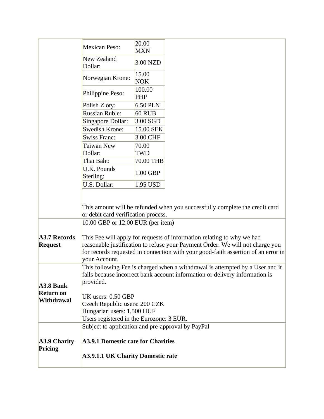|                                       | <b>Mexican Peso:</b>                                                                                                                                                                                                                                          | 20.00<br><b>MXN</b>  |                                                                                                                                                              |
|---------------------------------------|---------------------------------------------------------------------------------------------------------------------------------------------------------------------------------------------------------------------------------------------------------------|----------------------|--------------------------------------------------------------------------------------------------------------------------------------------------------------|
|                                       | New Zealand<br>Dollar:                                                                                                                                                                                                                                        | 3.00 NZD             |                                                                                                                                                              |
|                                       | Norwegian Krone:                                                                                                                                                                                                                                              | 15.00<br><b>NOK</b>  |                                                                                                                                                              |
|                                       | Philippine Peso:                                                                                                                                                                                                                                              | 100.00<br><b>PHP</b> |                                                                                                                                                              |
|                                       | Polish Zloty:                                                                                                                                                                                                                                                 | 6.50 PLN             |                                                                                                                                                              |
|                                       | <b>Russian Ruble:</b>                                                                                                                                                                                                                                         | <b>60 RUB</b>        |                                                                                                                                                              |
|                                       | Singapore Dollar:                                                                                                                                                                                                                                             | $3.00$ SGD           |                                                                                                                                                              |
|                                       | Swedish Krone:                                                                                                                                                                                                                                                | 15.00 SEK            |                                                                                                                                                              |
|                                       | <b>Swiss Franc:</b>                                                                                                                                                                                                                                           | 3.00 CHF             |                                                                                                                                                              |
|                                       | Taiwan New                                                                                                                                                                                                                                                    | 70.00                |                                                                                                                                                              |
|                                       | Dollar:                                                                                                                                                                                                                                                       | TWD                  |                                                                                                                                                              |
|                                       | Thai Baht:                                                                                                                                                                                                                                                    | 70.00 THB            |                                                                                                                                                              |
|                                       | U.K. Pounds<br>Sterling:                                                                                                                                                                                                                                      | 1.00 GBP             |                                                                                                                                                              |
|                                       | U.S. Dollar:                                                                                                                                                                                                                                                  | 1.95 USD             |                                                                                                                                                              |
|                                       | or debit card verification process.<br>10.00 GBP or 12.00 EUR (per item)                                                                                                                                                                                      |                      | This amount will be refunded when you successfully complete the credit card                                                                                  |
| <b>A3.7 Records</b><br><b>Request</b> | This Fee will apply for requests of information relating to why we had<br>reasonable justification to refuse your Payment Order. We will not charge you<br>for records requested in connection with your good-faith assertion of an error in<br>your Account. |                      |                                                                                                                                                              |
| A3.8 Bank                             | provided.                                                                                                                                                                                                                                                     |                      | This following Fee is charged when a withdrawal is attempted by a User and it<br>fails because incorrect bank account information or delivery information is |
| <b>Return on</b><br><b>Withdrawal</b> | UK users: 0.50 GBP<br>Czech Republic users: 200 CZK<br>Hungarian users: 1,500 HUF                                                                                                                                                                             |                      |                                                                                                                                                              |
|                                       | Users registered in the Eurozone: 3 EUR.                                                                                                                                                                                                                      |                      |                                                                                                                                                              |
|                                       | Subject to application and pre-approval by PayPal                                                                                                                                                                                                             |                      |                                                                                                                                                              |
| <b>A3.9 Charity</b><br>Pricing        | <b>A3.9.1 Domestic rate for Charities</b><br><b>A3.9.1.1 UK Charity Domestic rate</b>                                                                                                                                                                         |                      |                                                                                                                                                              |
|                                       |                                                                                                                                                                                                                                                               |                      |                                                                                                                                                              |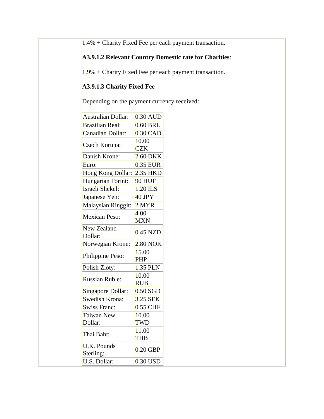1.4% + Charity Fixed Fee per each payment transaction.

### **A3.9.1.2 Relevant Country Domestic rate for Charities**:

 $1.9\%$  + Charity Fixed Fee per each payment transaction.

### **A3.9.1.3 Charity Fixed Fee**

Depending on the payment currency received:

| <b>Australian Dollar:</b>     | $0.30$ AUD          |
|-------------------------------|---------------------|
| <b>Brazilian Real:</b>        | 0.60 BRL            |
| Canadian Dollar:              | 0.30 CAD            |
| Czech Koruna:                 | 10.00<br><b>CZK</b> |
| Danish Krone:                 | 2.60 DKK            |
| Euro:                         | 0.35 EUR            |
| Hong Kong Dollar:             | 2.35 HKD            |
| Hungarian Forint:             | <b>90 HUF</b>       |
| Israeli Shekel:               | 1.20 ILS            |
| Japanese Yen:                 | 40 JPY              |
| Malaysian Ringgit:            | 2 MYR               |
| <b>Mexican Peso:</b>          | 4.00<br><b>MXN</b>  |
| <b>New Zealand</b><br>Dollar: | $0.45$ NZD          |
| Norwegian Krone:              | 2.80 NOK            |
| Philippine Peso:              | 15.00<br><b>PHP</b> |
| Polish Zloty:                 | 1.35 PLN            |
| <b>Russian Ruble:</b>         | 10.00<br><b>RUB</b> |
| Singapore Dollar:             | $0.50$ SGD          |
| Swedish Krona:                | 3.25 SEK            |
| <b>Swiss Franc:</b>           | 0.55 CHF            |
| Taiwan New                    | 10.00               |
| Dollar:                       | TWD                 |
| Thai Baht:                    | 11.00<br>THB        |
| U.K. Pounds<br>Sterling:      | $0.20$ GBP          |
| U.S. Dollar:                  | 0.30 USD            |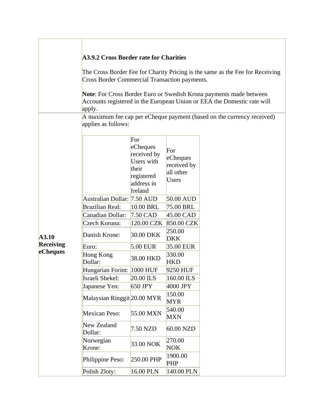|                  |                                                       | A3.9.2 Cross Border rate for Charities<br>The Cross Border Fee for Charity Pricing is the same as the Fee for Receiving<br>Cross Border Commercial Transaction payments. |                                                      |                                                                        |  |  |  |
|------------------|-------------------------------------------------------|--------------------------------------------------------------------------------------------------------------------------------------------------------------------------|------------------------------------------------------|------------------------------------------------------------------------|--|--|--|
|                  | apply.                                                | Note: For Cross Border Euro or Swedish Krona payments made between<br>Accounts registered in the European Union or EEA the Domestic rate will                            |                                                      |                                                                        |  |  |  |
|                  | applies as follows:                                   |                                                                                                                                                                          |                                                      | A maximum fee cap per eCheque payment (based on the currency received) |  |  |  |
|                  |                                                       | For<br>eCheques<br>received by<br>Users with<br>their<br>registered<br>address in<br>Ireland                                                                             | For<br>eCheques<br>received by<br>all other<br>Users |                                                                        |  |  |  |
|                  | Australian Dollar: 7.50 AUD<br><b>Brazilian Real:</b> | 10.00 BRL                                                                                                                                                                | 50.00 AUD<br>75.00 BRL                               |                                                                        |  |  |  |
|                  | Canadian Dollar:                                      | $7.50$ CAD                                                                                                                                                               | 45.00 CAD                                            |                                                                        |  |  |  |
| A3.10            | Czech Koruna:<br>Danish Krone:                        | 120.00 CZK<br>30.00 DKK                                                                                                                                                  | 850.00 CZK<br>250.00<br><b>DKK</b>                   |                                                                        |  |  |  |
| <b>Receiving</b> | Euro:                                                 | $5.00$ EUR                                                                                                                                                               | 35.00 EUR                                            |                                                                        |  |  |  |
| eCheques         | Hong Kong<br>Dollar:                                  | 38.00 HKD                                                                                                                                                                | 330.00<br><b>HKD</b>                                 |                                                                        |  |  |  |
|                  | Hungarian Forint: 1000 HUF                            |                                                                                                                                                                          | 9250 HUF                                             |                                                                        |  |  |  |
|                  | Israeli Shekel:                                       | $20.00$ ILS                                                                                                                                                              | 160.00 ILS                                           |                                                                        |  |  |  |
|                  | Japanese Yen:                                         | 650 JPY                                                                                                                                                                  | 4000 JPY                                             |                                                                        |  |  |  |
|                  | Malaysian Ringgit 20.00 MYR                           |                                                                                                                                                                          | 150.00<br><b>MYR</b>                                 |                                                                        |  |  |  |
|                  | <b>Mexican Peso:</b>                                  | 55.00 MXN                                                                                                                                                                | 540.00<br><b>MXN</b>                                 |                                                                        |  |  |  |
|                  | New Zealand<br>Dollar:                                | 7.50 NZD                                                                                                                                                                 | 60.00 NZD                                            |                                                                        |  |  |  |
|                  | Norwegian<br>Krone:                                   | 33.00 NOK                                                                                                                                                                | 270.00<br><b>NOK</b>                                 |                                                                        |  |  |  |
|                  | Philippine Peso:                                      | 250.00 PHP                                                                                                                                                               | 1900.00<br><b>PHP</b>                                |                                                                        |  |  |  |
|                  | Polish Zloty:                                         | 16.00 PLN                                                                                                                                                                | 140.00 PLN                                           |                                                                        |  |  |  |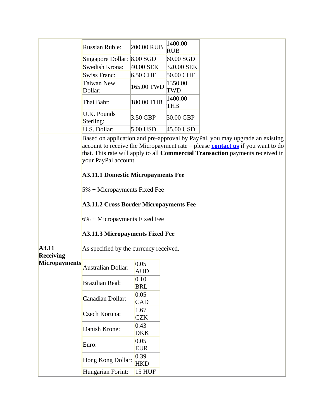|                                                   | <b>Russian Ruble:</b>                                                                                                                                                                                                                                                                              | 200.00 RUB         | 1400.00<br><b>RUB</b> |                                                                                                                                                                                                                                                        |
|---------------------------------------------------|----------------------------------------------------------------------------------------------------------------------------------------------------------------------------------------------------------------------------------------------------------------------------------------------------|--------------------|-----------------------|--------------------------------------------------------------------------------------------------------------------------------------------------------------------------------------------------------------------------------------------------------|
|                                                   | Singapore Dollar: 8.00 SGD                                                                                                                                                                                                                                                                         |                    | 60.00 SGD             |                                                                                                                                                                                                                                                        |
|                                                   | Swedish Krona:                                                                                                                                                                                                                                                                                     | 40.00 SEK          | 320.00 SEK            |                                                                                                                                                                                                                                                        |
|                                                   | Swiss Franc:                                                                                                                                                                                                                                                                                       | 6.50 CHF           | 50.00 CHF             |                                                                                                                                                                                                                                                        |
|                                                   | Taiwan New<br>Dollar:                                                                                                                                                                                                                                                                              | 165.00 TWD         | 1350.00<br>TWD        |                                                                                                                                                                                                                                                        |
|                                                   | Thai Baht:                                                                                                                                                                                                                                                                                         | 180.00 THB         | 1400.00<br>THB        |                                                                                                                                                                                                                                                        |
|                                                   | U.K. Pounds<br>Sterling:                                                                                                                                                                                                                                                                           | 3.50 GBP           | 30.00 GBP             |                                                                                                                                                                                                                                                        |
|                                                   | U.S. Dollar:                                                                                                                                                                                                                                                                                       | $5.00$ USD         | $45.00$ USD           |                                                                                                                                                                                                                                                        |
| A3.11<br><b>Receiving</b><br><b>Micropayments</b> | your PayPal account.<br><b>A3.11.1 Domestic Micropayments Fee</b><br>$5\%$ + Micropayments Fixed Fee<br><b>A3.11.2 Cross Border Micropayments Fee</b><br>$6\%$ + Micropayments Fixed Fee<br><b>A3.11.3 Micropayments Fixed Fee</b><br>As specified by the currency received.<br>Australian Dollar: | 0.05<br>AUD        |                       | Based on application and pre-approval by PayPal, you may upgrade an existing<br>account to receive the Micropayment rate – please <b>contact us</b> if you want to do<br>that. This rate will apply to all Commercial Transaction payments received in |
|                                                   | <b>Brazilian Real:</b>                                                                                                                                                                                                                                                                             | 0.10<br><b>BRL</b> |                       |                                                                                                                                                                                                                                                        |
|                                                   | Canadian Dollar:                                                                                                                                                                                                                                                                                   | 0.05<br><b>CAD</b> |                       |                                                                                                                                                                                                                                                        |
|                                                   | Czech Koruna:                                                                                                                                                                                                                                                                                      | 1.67<br><b>CZK</b> |                       |                                                                                                                                                                                                                                                        |
|                                                   | Danish Krone:                                                                                                                                                                                                                                                                                      | 0.43<br><b>DKK</b> |                       |                                                                                                                                                                                                                                                        |
|                                                   | Euro:                                                                                                                                                                                                                                                                                              | 0.05<br><b>EUR</b> |                       |                                                                                                                                                                                                                                                        |
|                                                   | Hong Kong Dollar:                                                                                                                                                                                                                                                                                  | 0.39<br><b>HKD</b> |                       |                                                                                                                                                                                                                                                        |
|                                                   | Hungarian Forint:                                                                                                                                                                                                                                                                                  | 15 HUF             |                       |                                                                                                                                                                                                                                                        |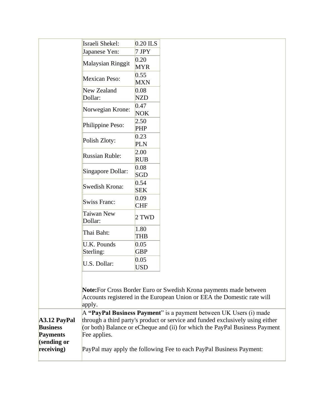| Israeli Shekel:                                                                                                                                                                                                                 | $0.20$ ILS                                                                     |
|---------------------------------------------------------------------------------------------------------------------------------------------------------------------------------------------------------------------------------|--------------------------------------------------------------------------------|
| Japanese Yen:                                                                                                                                                                                                                   | $7$ JPY                                                                        |
| Malaysian Ringgit                                                                                                                                                                                                               | 0.20<br><b>MYR</b>                                                             |
| <b>Mexican Peso:</b>                                                                                                                                                                                                            | 0.55<br><b>MXN</b>                                                             |
| New Zealand<br>Dollar:                                                                                                                                                                                                          | 0.08<br><b>NZD</b>                                                             |
| Norwegian Krone:                                                                                                                                                                                                                | 0.47<br><b>NOK</b>                                                             |
| Philippine Peso:                                                                                                                                                                                                                | 2.50<br><b>PHP</b>                                                             |
| Polish Zloty:                                                                                                                                                                                                                   | 0.23<br><b>PLN</b>                                                             |
| <b>Russian Ruble:</b>                                                                                                                                                                                                           | 2.00<br><b>RUB</b>                                                             |
| Singapore Dollar:                                                                                                                                                                                                               | 0.08<br>SGD                                                                    |
| Swedish Krona:                                                                                                                                                                                                                  | 0.54<br><b>SEK</b>                                                             |
| Swiss Franc:                                                                                                                                                                                                                    | 0.09<br><b>CHF</b>                                                             |
| Taiwan New<br>Dollar:                                                                                                                                                                                                           | 2 TWD                                                                          |
| Thai Baht:                                                                                                                                                                                                                      | 1.80<br>THB                                                                    |
| <b>U.K. Pounds</b><br>Sterling:                                                                                                                                                                                                 | 0.05<br><b>GBP</b>                                                             |
| U.S. Dollar:                                                                                                                                                                                                                    | 0.05<br><b>USD</b>                                                             |
| Note: For Cross Border Euro or Swedish Krona payments made between<br>Accounts registered in the European Union or EEA the Domestic rate will<br>apply.<br>$A$ "PayPal Business Payment" is a payment between UK Users (i) made | through a third party's product or service and funded exclusively using either |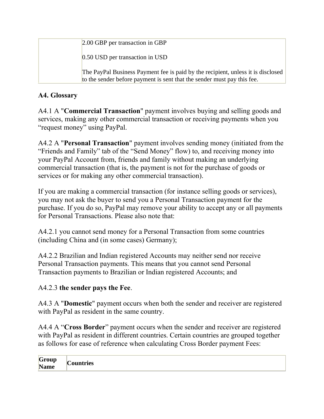| 2.00 GBP per transaction in GBP                                                                                                                             |
|-------------------------------------------------------------------------------------------------------------------------------------------------------------|
| $0.50$ USD per transaction in USD                                                                                                                           |
| The PayPal Business Payment fee is paid by the recipient, unless it is disclosed<br>to the sender before payment is sent that the sender must pay this fee. |

## **A4. Glossary**

A4.1 A "**Commercial Transaction**" payment involves buying and selling goods and services, making any other commercial transaction or receiving payments when you "request money" using PayPal.

A4.2 A "**Personal Transaction**" payment involves sending money (initiated from the "Friends and Family" tab of the "Send Money" flow) to, and receiving money into your PayPal Account from, friends and family without making an underlying commercial transaction (that is, the payment is not for the purchase of goods or services or for making any other commercial transaction).

If you are making a commercial transaction (for instance selling goods or services), you may not ask the buyer to send you a Personal Transaction payment for the purchase. If you do so, PayPal may remove your ability to accept any or all payments for Personal Transactions. Please also note that:

A4.2.1 you cannot send money for a Personal Transaction from some countries (including China and (in some cases) Germany);

A4.2.2 Brazilian and Indian registered Accounts may neither send nor receive Personal Transaction payments. This means that you cannot send Personal Transaction payments to Brazilian or Indian registered Accounts; and

### A4.2.3 **the sender pays the Fee**.

A4.3 A "**Domestic**" payment occurs when both the sender and receiver are registered with PayPal as resident in the same country.

A4.4 A "**Cross Border**" payment occurs when the sender and receiver are registered with PayPal as resident in different countries. Certain countries are grouped together as follows for ease of reference when calculating Cross Border payment Fees:

| $\sim$<br>Group<br>-<br><b>Name</b> | $\sim$<br>Countries |
|-------------------------------------|---------------------|
|-------------------------------------|---------------------|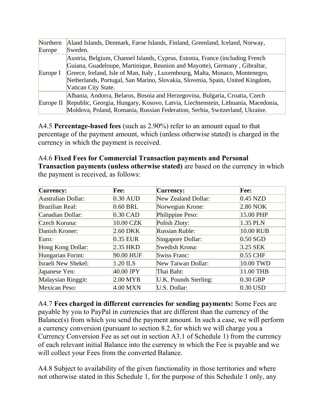| Northern  | Aland Islands, Denmark, Faroe Islands, Finland, Greenland, Iceland, Norway,                                                                                                                                                                                                                                                                      |
|-----------|--------------------------------------------------------------------------------------------------------------------------------------------------------------------------------------------------------------------------------------------------------------------------------------------------------------------------------------------------|
| Europe    | Sweden.                                                                                                                                                                                                                                                                                                                                          |
| Europe I  | Austria, Belgium, Channel Islands, Cyprus, Estonia, France (including French<br>Guiana, Guadeloupe, Martinique, Reunion and Mayotte), Germany, Gibraltar,<br>Greece, Ireland, Isle of Man, Italy, Luxembourg, Malta, Monaco, Montenegro,<br>Netherlands, Portugal, San Marino, Slovakia, Slovenia, Spain, United Kingdom,<br>Vatican City State. |
| Europe II | Albania, Andorra, Belarus, Bosnia and Herzegovina, Bulgaria, Croatia, Czech<br>Republic, Georgia, Hungary, Kosovo, Latvia, Liechtenstein, Lithuania, Macedonia,<br>Moldova, Poland, Romania, Russian Federation, Serbia, Switzerland, Ukraine.                                                                                                   |

A4.5 **Percentage-based fees** (such as 2.90%) refer to an amount equal to that percentage of the payment amount, which (unless otherwise stated) is charged in the currency in which the payment is received.

A4.6 **Fixed Fees for Commercial Transaction payments and Personal Transaction payments (unless otherwise stated)** are based on the currency in which the payment is received, as follows:

| <b>Currency:</b>          | Fee:        | Currency:             | Fee:       |
|---------------------------|-------------|-----------------------|------------|
| <b>Australian Dollar:</b> | $0.30$ AUD  | New Zealand Dollar:   | $0.45$ NZD |
| <b>Brazilian Real:</b>    | $0.60$ BRL  | Norwegian Krone:      | $2.80$ NOK |
| Canadian Dollar:          | $0.30$ CAD  | Philippine Peso:      | 15.00 PHP  |
| Czech Koruna:             | 10.00 CZK   | Polish Zloty:         | 1.35 PLN   |
| Danish Kroner:            | 2.60 DKK    | <b>Russian Ruble:</b> | 10.00 RUB  |
| Euro:                     | $0.35$ EUR  | Singapore Dollar:     | $0.50$ SGD |
| Hong Kong Dollar:         | 2.35 HKD    | Swedish Krona:        | $3.25$ SEK |
| Hungarian Forint:         | 90.00 HUF   | Swiss Franc:          | $0.55$ CHF |
| Israeli New Shekel:       | 1.20 ILS    | New Taiwan Dollar:    | 10.00 TWD  |
| Japanese Yen:             | $40.00$ JPY | Thai Baht:            | 11.00 THB  |
| Malaysian Ringgit:        | $2.00$ MYR  | U.K. Pounds Sterling: | $0.30$ GBP |
| <b>Mexican Peso:</b>      | 4.00 MXN    | U.S. Dollar:          | $0.30$ USD |

A4.7 **Fees charged in different currencies for sending payments:** Some Fees are payable by you to PayPal in currencies that are different than the currency of the Balance(s) from which you send the payment amount. In such a case, we will perform a currency conversion (pursuant to section 8.2, for which we will charge you a Currency Conversion Fee as set out in section A3.1 of Schedule 1) from the currency of each relevant initial Balance into the currency in which the Fee is payable and we will collect your Fees from the converted Balance.

A4.8 Subject to availability of the given functionality in those territories and where not otherwise stated in this Schedule 1, for the purpose of this Schedule 1 only, any